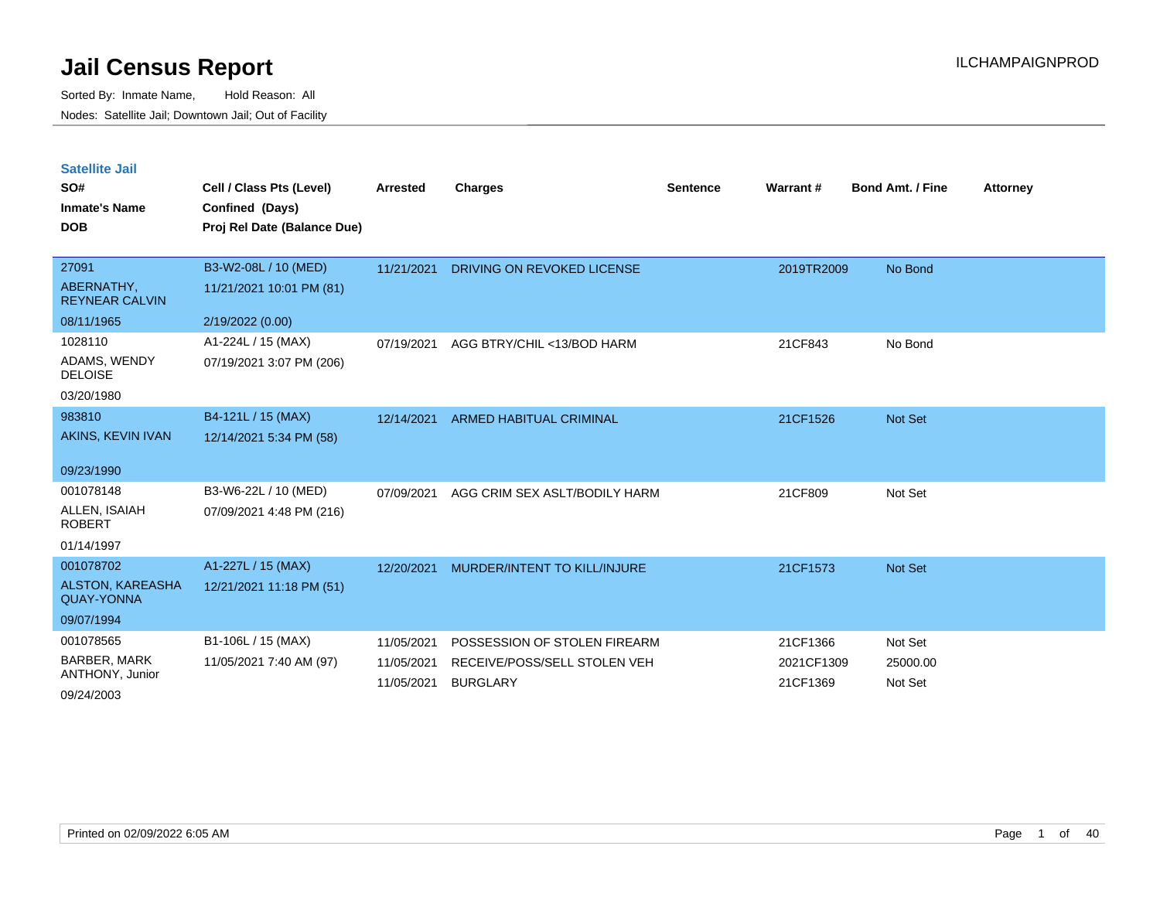| <b>Satellite Jail</b> |  |
|-----------------------|--|
|                       |  |

| SO#<br><b>Inmate's Name</b><br><b>DOB</b>                               | Cell / Class Pts (Level)<br>Confined (Days)<br>Proj Rel Date (Balance Due) | <b>Arrested</b>                        | <b>Charges</b>                                                                  | <b>Sentence</b> | <b>Warrant#</b>                    | <b>Bond Amt. / Fine</b>        | <b>Attorney</b> |
|-------------------------------------------------------------------------|----------------------------------------------------------------------------|----------------------------------------|---------------------------------------------------------------------------------|-----------------|------------------------------------|--------------------------------|-----------------|
| 27091<br>ABERNATHY,<br><b>REYNEAR CALVIN</b>                            | B3-W2-08L / 10 (MED)<br>11/21/2021 10:01 PM (81)                           | 11/21/2021                             | DRIVING ON REVOKED LICENSE                                                      |                 | 2019TR2009                         | No Bond                        |                 |
| 08/11/1965<br>1028110<br>ADAMS, WENDY<br><b>DELOISE</b><br>03/20/1980   | 2/19/2022 (0.00)<br>A1-224L / 15 (MAX)<br>07/19/2021 3:07 PM (206)         | 07/19/2021                             | AGG BTRY/CHIL <13/BOD HARM                                                      |                 | 21CF843                            | No Bond                        |                 |
| 983810<br>AKINS, KEVIN IVAN<br>09/23/1990                               | B4-121L / 15 (MAX)<br>12/14/2021 5:34 PM (58)                              | 12/14/2021                             | <b>ARMED HABITUAL CRIMINAL</b>                                                  |                 | 21CF1526                           | Not Set                        |                 |
| 001078148<br>ALLEN, ISAIAH<br><b>ROBERT</b><br>01/14/1997               | B3-W6-22L / 10 (MED)<br>07/09/2021 4:48 PM (216)                           | 07/09/2021                             | AGG CRIM SEX ASLT/BODILY HARM                                                   |                 | 21CF809                            | Not Set                        |                 |
| 001078702<br><b>ALSTON, KAREASHA</b><br><b>QUAY-YONNA</b><br>09/07/1994 | A1-227L / 15 (MAX)<br>12/21/2021 11:18 PM (51)                             | 12/20/2021                             | MURDER/INTENT TO KILL/INJURE                                                    |                 | 21CF1573                           | Not Set                        |                 |
| 001078565<br><b>BARBER, MARK</b><br>ANTHONY, Junior<br>09/24/2003       | B1-106L / 15 (MAX)<br>11/05/2021 7:40 AM (97)                              | 11/05/2021<br>11/05/2021<br>11/05/2021 | POSSESSION OF STOLEN FIREARM<br>RECEIVE/POSS/SELL STOLEN VEH<br><b>BURGLARY</b> |                 | 21CF1366<br>2021CF1309<br>21CF1369 | Not Set<br>25000.00<br>Not Set |                 |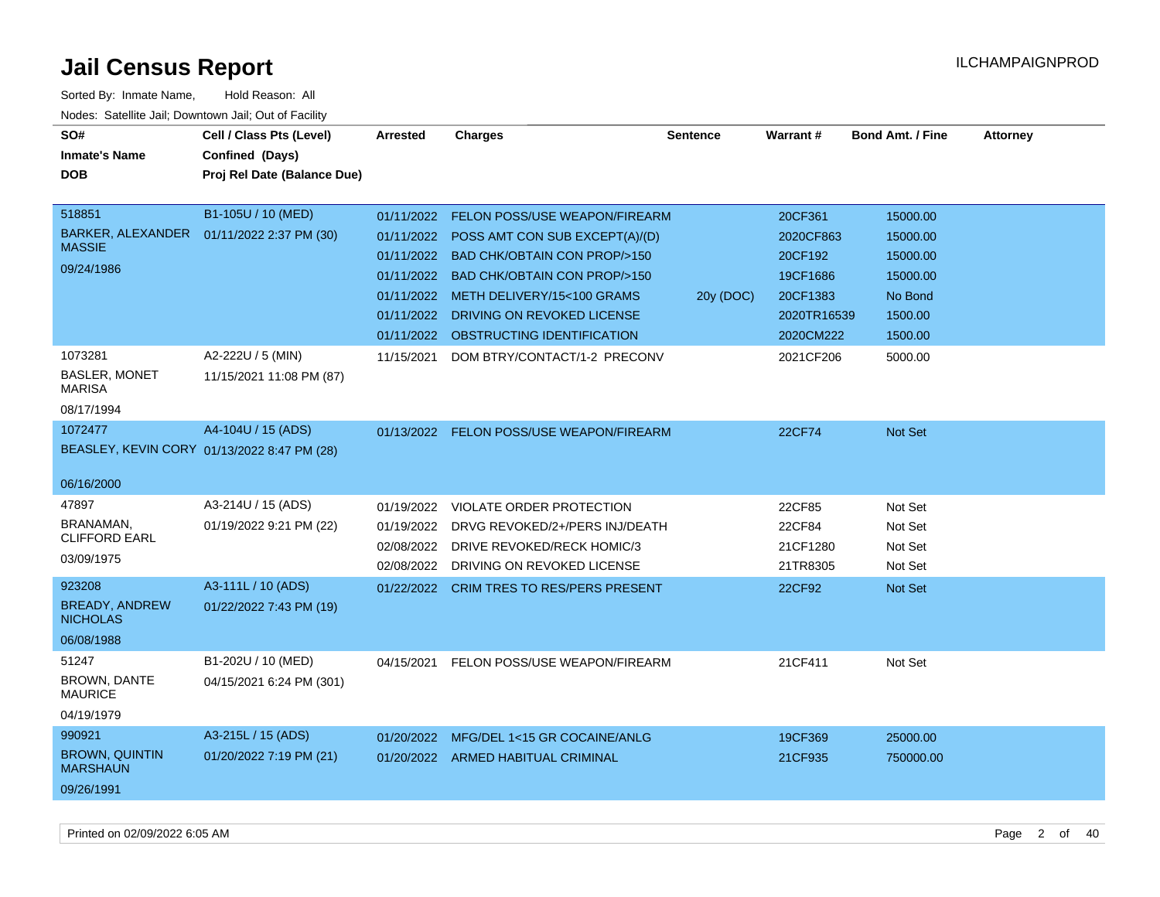| SO#<br><b>Inmate's Name</b><br><b>DOB</b>                          | Cell / Class Pts (Level)<br>Confined (Days)<br>Proj Rel Date (Balance Due) | <b>Arrested</b>                                                    | <b>Charges</b>                                                                                                                                                                                                                                                   | <b>Sentence</b> | <b>Warrant#</b>                                                                     | <b>Bond Amt. / Fine</b>                                                       | <b>Attorney</b> |
|--------------------------------------------------------------------|----------------------------------------------------------------------------|--------------------------------------------------------------------|------------------------------------------------------------------------------------------------------------------------------------------------------------------------------------------------------------------------------------------------------------------|-----------------|-------------------------------------------------------------------------------------|-------------------------------------------------------------------------------|-----------------|
| 518851<br>BARKER, ALEXANDER<br><b>MASSIE</b><br>09/24/1986         | B1-105U / 10 (MED)<br>01/11/2022 2:37 PM (30)                              | 01/11/2022<br>01/11/2022<br>01/11/2022<br>01/11/2022<br>01/11/2022 | <b>FELON POSS/USE WEAPON/FIREARM</b><br>POSS AMT CON SUB EXCEPT(A)/(D)<br><b>BAD CHK/OBTAIN CON PROP/&gt;150</b><br>01/11/2022 BAD CHK/OBTAIN CON PROP/>150<br>01/11/2022 METH DELIVERY/15<100 GRAMS<br>DRIVING ON REVOKED LICENSE<br>OBSTRUCTING IDENTIFICATION | 20y (DOC)       | 20CF361<br>2020CF863<br>20CF192<br>19CF1686<br>20CF1383<br>2020TR16539<br>2020CM222 | 15000.00<br>15000.00<br>15000.00<br>15000.00<br>No Bond<br>1500.00<br>1500.00 |                 |
| 1073281<br>BASLER, MONET<br><b>MARISA</b><br>08/17/1994            | A2-222U / 5 (MIN)<br>11/15/2021 11:08 PM (87)                              | 11/15/2021                                                         | DOM BTRY/CONTACT/1-2 PRECONV                                                                                                                                                                                                                                     |                 | 2021CF206                                                                           | 5000.00                                                                       |                 |
| 1072477<br>06/16/2000                                              | A4-104U / 15 (ADS)<br>BEASLEY, KEVIN CORY 01/13/2022 8:47 PM (28)          |                                                                    | 01/13/2022 FELON POSS/USE WEAPON/FIREARM                                                                                                                                                                                                                         |                 | 22CF74                                                                              | Not Set                                                                       |                 |
| 47897<br>BRANAMAN.<br><b>CLIFFORD EARL</b><br>03/09/1975<br>923208 | A3-214U / 15 (ADS)<br>01/19/2022 9:21 PM (22)<br>A3-111L / 10 (ADS)        | 01/19/2022<br>01/19/2022<br>02/08/2022<br>02/08/2022<br>01/22/2022 | <b>VIOLATE ORDER PROTECTION</b><br>DRVG REVOKED/2+/PERS INJ/DEATH<br>DRIVE REVOKED/RECK HOMIC/3<br>DRIVING ON REVOKED LICENSE<br><b>CRIM TRES TO RES/PERS PRESENT</b>                                                                                            |                 | 22CF85<br>22CF84<br>21CF1280<br>21TR8305<br>22CF92                                  | Not Set<br>Not Set<br>Not Set<br>Not Set<br>Not Set                           |                 |
| <b>BREADY, ANDREW</b><br><b>NICHOLAS</b><br>06/08/1988             | 01/22/2022 7:43 PM (19)                                                    |                                                                    |                                                                                                                                                                                                                                                                  |                 |                                                                                     |                                                                               |                 |
| 51247<br>BROWN, DANTE<br><b>MAURICE</b><br>04/19/1979              | B1-202U / 10 (MED)<br>04/15/2021 6:24 PM (301)                             | 04/15/2021                                                         | FELON POSS/USE WEAPON/FIREARM                                                                                                                                                                                                                                    |                 | 21CF411                                                                             | Not Set                                                                       |                 |
| 990921<br><b>BROWN, QUINTIN</b><br><b>MARSHAUN</b><br>09/26/1991   | A3-215L / 15 (ADS)<br>01/20/2022 7:19 PM (21)                              | 01/20/2022                                                         | MFG/DEL 1<15 GR COCAINE/ANLG<br>01/20/2022 ARMED HABITUAL CRIMINAL                                                                                                                                                                                               |                 | 19CF369<br>21CF935                                                                  | 25000.00<br>750000.00                                                         |                 |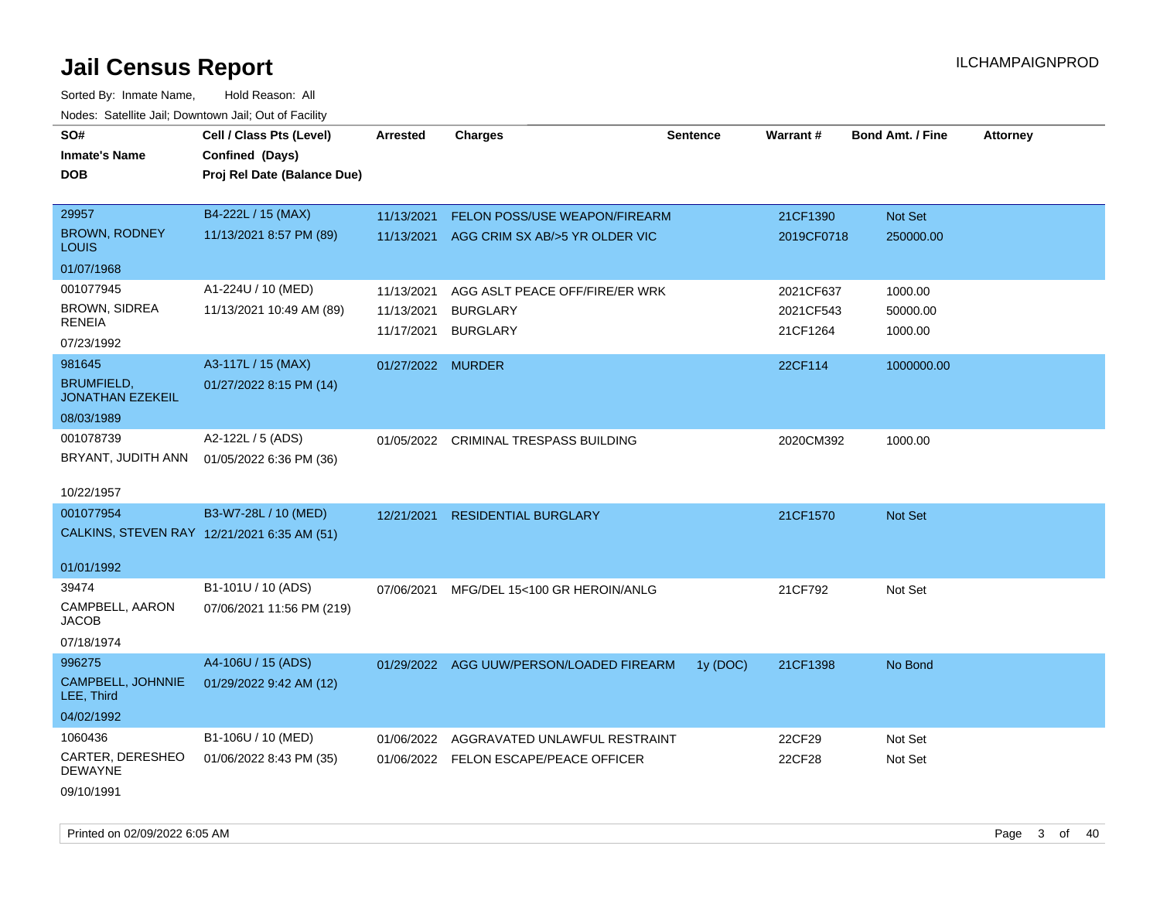Sorted By: Inmate Name, Hold Reason: All Nodes: Satellite Jail; Downtown Jail; Out of Facility

| SO#<br><b>Inmate's Name</b><br><b>DOB</b>    | Cell / Class Pts (Level)<br>Confined (Days)<br>Proj Rel Date (Balance Due) | <b>Arrested</b>   | <b>Charges</b>                           | <b>Sentence</b> | Warrant#   | <b>Bond Amt. / Fine</b> | <b>Attorney</b> |
|----------------------------------------------|----------------------------------------------------------------------------|-------------------|------------------------------------------|-----------------|------------|-------------------------|-----------------|
| 29957                                        | B4-222L / 15 (MAX)                                                         |                   |                                          |                 |            |                         |                 |
| <b>BROWN, RODNEY</b>                         | 11/13/2021 8:57 PM (89)                                                    | 11/13/2021        | <b>FELON POSS/USE WEAPON/FIREARM</b>     |                 | 21CF1390   | Not Set                 |                 |
| <b>LOUIS</b>                                 |                                                                            | 11/13/2021        | AGG CRIM SX AB/>5 YR OLDER VIC           |                 | 2019CF0718 | 250000.00               |                 |
| 01/07/1968                                   |                                                                            |                   |                                          |                 |            |                         |                 |
| 001077945                                    | A1-224U / 10 (MED)                                                         | 11/13/2021        | AGG ASLT PEACE OFF/FIRE/ER WRK           |                 | 2021CF637  | 1000.00                 |                 |
| BROWN, SIDREA                                | 11/13/2021 10:49 AM (89)                                                   | 11/13/2021        | <b>BURGLARY</b>                          |                 | 2021CF543  | 50000.00                |                 |
| <b>RENEIA</b>                                |                                                                            | 11/17/2021        | <b>BURGLARY</b>                          |                 | 21CF1264   | 1000.00                 |                 |
| 07/23/1992                                   |                                                                            |                   |                                          |                 |            |                         |                 |
| 981645                                       | A3-117L / 15 (MAX)                                                         | 01/27/2022 MURDER |                                          |                 | 22CF114    | 1000000.00              |                 |
| <b>BRUMFIELD,</b><br><b>JONATHAN EZEKEIL</b> | 01/27/2022 8:15 PM (14)                                                    |                   |                                          |                 |            |                         |                 |
| 08/03/1989                                   |                                                                            |                   |                                          |                 |            |                         |                 |
| 001078739                                    | A2-122L / 5 (ADS)                                                          |                   | 01/05/2022 CRIMINAL TRESPASS BUILDING    |                 | 2020CM392  | 1000.00                 |                 |
| BRYANT, JUDITH ANN                           | 01/05/2022 6:36 PM (36)                                                    |                   |                                          |                 |            |                         |                 |
|                                              |                                                                            |                   |                                          |                 |            |                         |                 |
| 10/22/1957                                   |                                                                            |                   |                                          |                 |            |                         |                 |
| 001077954                                    | B3-W7-28L / 10 (MED)                                                       | 12/21/2021        | <b>RESIDENTIAL BURGLARY</b>              |                 | 21CF1570   | <b>Not Set</b>          |                 |
|                                              | CALKINS, STEVEN RAY 12/21/2021 6:35 AM (51)                                |                   |                                          |                 |            |                         |                 |
| 01/01/1992                                   |                                                                            |                   |                                          |                 |            |                         |                 |
| 39474                                        | B1-101U / 10 (ADS)                                                         | 07/06/2021        | MFG/DEL 15<100 GR HEROIN/ANLG            |                 | 21CF792    | Not Set                 |                 |
| CAMPBELL, AARON<br><b>JACOB</b>              | 07/06/2021 11:56 PM (219)                                                  |                   |                                          |                 |            |                         |                 |
| 07/18/1974                                   |                                                                            |                   |                                          |                 |            |                         |                 |
| 996275                                       | A4-106U / 15 (ADS)                                                         |                   | 01/29/2022 AGG UUW/PERSON/LOADED FIREARM | 1y (DOC)        | 21CF1398   | No Bond                 |                 |
| CAMPBELL, JOHNNIE<br>LEE, Third              | 01/29/2022 9:42 AM (12)                                                    |                   |                                          |                 |            |                         |                 |
| 04/02/1992                                   |                                                                            |                   |                                          |                 |            |                         |                 |
| 1060436                                      | B1-106U / 10 (MED)                                                         | 01/06/2022        | AGGRAVATED UNLAWFUL RESTRAINT            |                 | 22CF29     | Not Set                 |                 |
| CARTER, DERESHEO<br><b>DEWAYNE</b>           | 01/06/2022 8:43 PM (35)                                                    |                   | 01/06/2022 FELON ESCAPE/PEACE OFFICER    |                 | 22CF28     | Not Set                 |                 |
| 09/10/1991                                   |                                                                            |                   |                                          |                 |            |                         |                 |

Printed on 02/09/2022 6:05 AM Page 3 of 40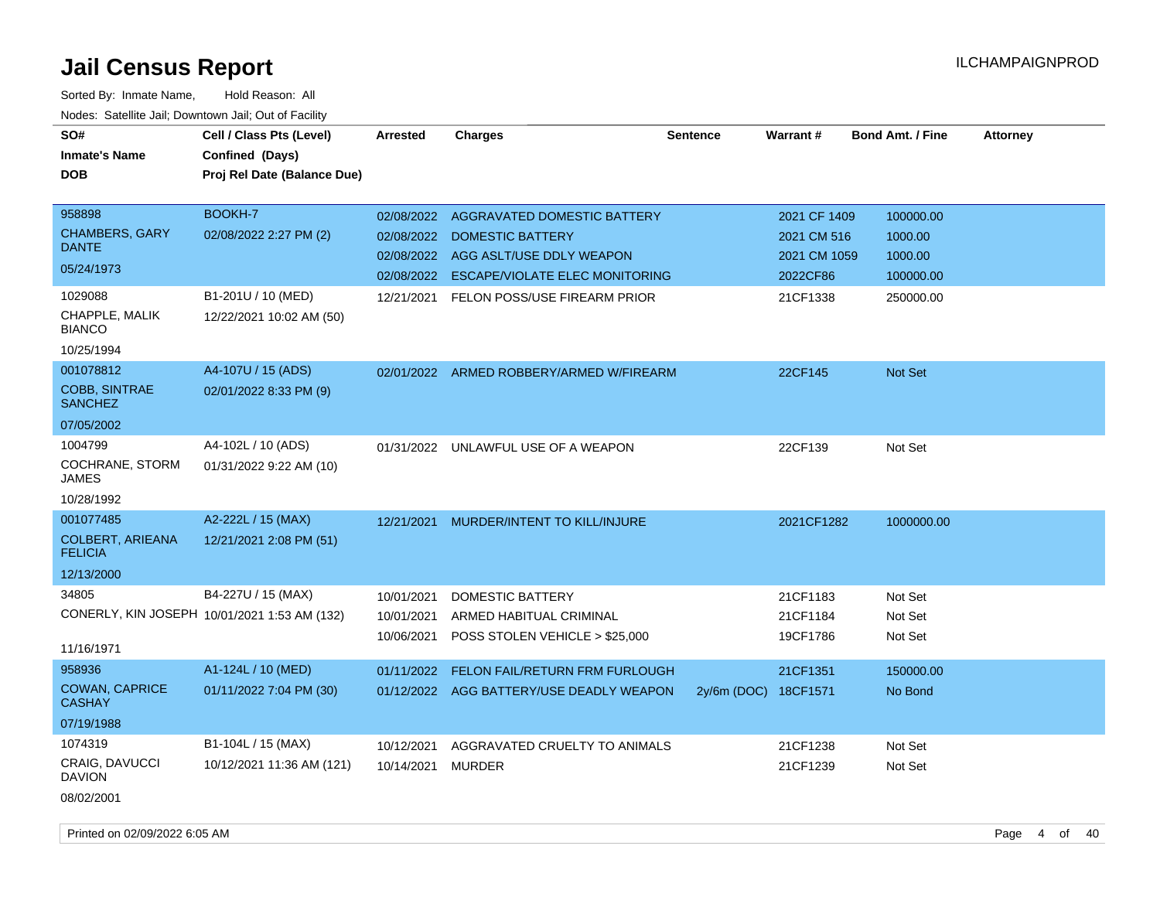| SO#<br><b>Inmate's Name</b><br><b>DOB</b>                                | Cell / Class Pts (Level)<br>Confined (Days)<br>Proj Rel Date (Balance Due) | <b>Arrested</b>                        | <b>Charges</b>                                                                                                                                                             | <b>Sentence</b>      | Warrant#                                                            | <b>Bond Amt. / Fine</b>                                   | <b>Attorney</b> |
|--------------------------------------------------------------------------|----------------------------------------------------------------------------|----------------------------------------|----------------------------------------------------------------------------------------------------------------------------------------------------------------------------|----------------------|---------------------------------------------------------------------|-----------------------------------------------------------|-----------------|
| 958898<br><b>CHAMBERS, GARY</b><br><b>DANTE</b><br>05/24/1973<br>1029088 | BOOKH-7<br>02/08/2022 2:27 PM (2)<br>B1-201U / 10 (MED)                    | 02/08/2022<br>02/08/2022<br>12/21/2021 | AGGRAVATED DOMESTIC BATTERY<br><b>DOMESTIC BATTERY</b><br>02/08/2022 AGG ASLT/USE DDLY WEAPON<br>02/08/2022 ESCAPE/VIOLATE ELEC MONITORING<br>FELON POSS/USE FIREARM PRIOR |                      | 2021 CF 1409<br>2021 CM 516<br>2021 CM 1059<br>2022CF86<br>21CF1338 | 100000.00<br>1000.00<br>1000.00<br>100000.00<br>250000.00 |                 |
| CHAPPLE, MALIK<br><b>BIANCO</b><br>10/25/1994                            | 12/22/2021 10:02 AM (50)                                                   |                                        |                                                                                                                                                                            |                      |                                                                     |                                                           |                 |
| 001078812<br>COBB, SINTRAE<br><b>SANCHEZ</b><br>07/05/2002               | A4-107U / 15 (ADS)<br>02/01/2022 8:33 PM (9)                               |                                        | 02/01/2022 ARMED ROBBERY/ARMED W/FIREARM                                                                                                                                   |                      | 22CF145                                                             | Not Set                                                   |                 |
| 1004799<br>COCHRANE, STORM<br><b>JAMES</b><br>10/28/1992                 | A4-102L / 10 (ADS)<br>01/31/2022 9:22 AM (10)                              |                                        | 01/31/2022 UNLAWFUL USE OF A WEAPON                                                                                                                                        |                      | 22CF139                                                             | Not Set                                                   |                 |
| 001077485<br>COLBERT, ARIEANA<br><b>FELICIA</b><br>12/13/2000            | A2-222L / 15 (MAX)<br>12/21/2021 2:08 PM (51)                              | 12/21/2021                             | MURDER/INTENT TO KILL/INJURE                                                                                                                                               |                      | 2021CF1282                                                          | 1000000.00                                                |                 |
| 34805<br>11/16/1971                                                      | B4-227U / 15 (MAX)<br>CONERLY, KIN JOSEPH 10/01/2021 1:53 AM (132)         | 10/01/2021<br>10/01/2021<br>10/06/2021 | DOMESTIC BATTERY<br>ARMED HABITUAL CRIMINAL<br>POSS STOLEN VEHICLE > \$25,000                                                                                              |                      | 21CF1183<br>21CF1184<br>19CF1786                                    | Not Set<br>Not Set<br>Not Set                             |                 |
| 958936<br><b>COWAN, CAPRICE</b><br><b>CASHAY</b><br>07/19/1988           | A1-124L / 10 (MED)<br>01/11/2022 7:04 PM (30)                              | 01/11/2022                             | FELON FAIL/RETURN FRM FURLOUGH<br>01/12/2022 AGG BATTERY/USE DEADLY WEAPON                                                                                                 | 2y/6m (DOC) 18CF1571 | 21CF1351                                                            | 150000.00<br>No Bond                                      |                 |
| 1074319<br><b>CRAIG, DAVUCCI</b><br><b>DAVION</b><br>08/02/2001          | B1-104L / 15 (MAX)<br>10/12/2021 11:36 AM (121)                            | 10/12/2021<br>10/14/2021               | AGGRAVATED CRUELTY TO ANIMALS<br><b>MURDER</b>                                                                                                                             |                      | 21CF1238<br>21CF1239                                                | Not Set<br>Not Set                                        |                 |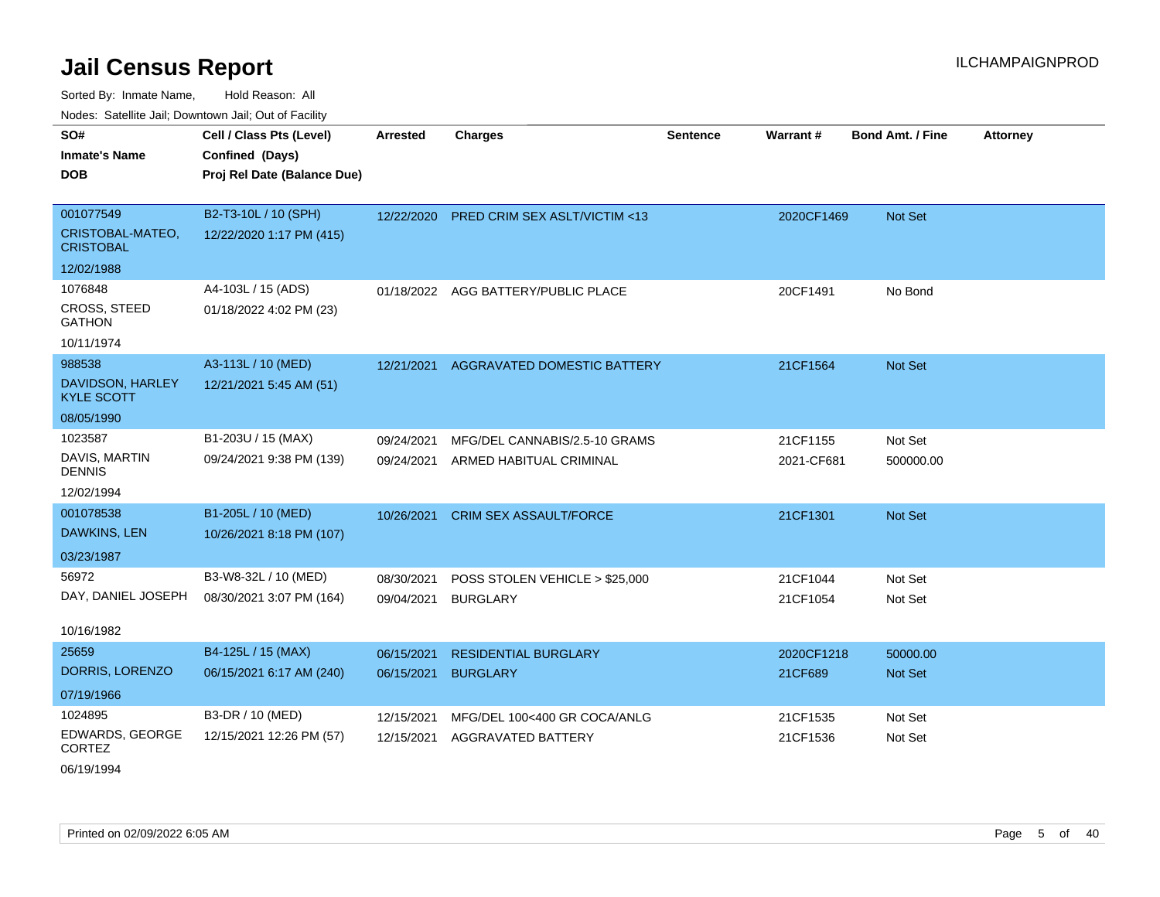Sorted By: Inmate Name, Hold Reason: All Nodes: Satellite Jail; Downtown Jail; Out of Facility

| voucs. Oatchite sail, Downtown sail, Out of Facility |                             |                 |                                         |                 |            |                         |                 |
|------------------------------------------------------|-----------------------------|-----------------|-----------------------------------------|-----------------|------------|-------------------------|-----------------|
| SO#                                                  | Cell / Class Pts (Level)    | <b>Arrested</b> | <b>Charges</b>                          | <b>Sentence</b> | Warrant#   | <b>Bond Amt. / Fine</b> | <b>Attorney</b> |
| <b>Inmate's Name</b>                                 | Confined (Days)             |                 |                                         |                 |            |                         |                 |
| <b>DOB</b>                                           | Proj Rel Date (Balance Due) |                 |                                         |                 |            |                         |                 |
|                                                      |                             |                 |                                         |                 |            |                         |                 |
| 001077549                                            | B2-T3-10L / 10 (SPH)        | 12/22/2020      | <b>PRED CRIM SEX ASLT/VICTIM &lt;13</b> |                 | 2020CF1469 | <b>Not Set</b>          |                 |
| CRISTOBAL-MATEO,<br><b>CRISTOBAL</b>                 | 12/22/2020 1:17 PM (415)    |                 |                                         |                 |            |                         |                 |
| 12/02/1988                                           |                             |                 |                                         |                 |            |                         |                 |
| 1076848                                              | A4-103L / 15 (ADS)          |                 | 01/18/2022 AGG BATTERY/PUBLIC PLACE     |                 | 20CF1491   | No Bond                 |                 |
| <b>CROSS, STEED</b><br><b>GATHON</b>                 | 01/18/2022 4:02 PM (23)     |                 |                                         |                 |            |                         |                 |
| 10/11/1974                                           |                             |                 |                                         |                 |            |                         |                 |
| 988538                                               | A3-113L / 10 (MED)          | 12/21/2021      | AGGRAVATED DOMESTIC BATTERY             |                 | 21CF1564   | <b>Not Set</b>          |                 |
| DAVIDSON, HARLEY<br><b>KYLE SCOTT</b>                | 12/21/2021 5:45 AM (51)     |                 |                                         |                 |            |                         |                 |
| 08/05/1990                                           |                             |                 |                                         |                 |            |                         |                 |
| 1023587                                              | B1-203U / 15 (MAX)          | 09/24/2021      | MFG/DEL CANNABIS/2.5-10 GRAMS           |                 | 21CF1155   | Not Set                 |                 |
| DAVIS, MARTIN<br><b>DENNIS</b>                       | 09/24/2021 9:38 PM (139)    | 09/24/2021      | ARMED HABITUAL CRIMINAL                 |                 | 2021-CF681 | 500000.00               |                 |
| 12/02/1994                                           |                             |                 |                                         |                 |            |                         |                 |
| 001078538                                            | B1-205L / 10 (MED)          | 10/26/2021      | <b>CRIM SEX ASSAULT/FORCE</b>           |                 | 21CF1301   | <b>Not Set</b>          |                 |
| DAWKINS, LEN                                         | 10/26/2021 8:18 PM (107)    |                 |                                         |                 |            |                         |                 |
| 03/23/1987                                           |                             |                 |                                         |                 |            |                         |                 |
| 56972                                                | B3-W8-32L / 10 (MED)        | 08/30/2021      | POSS STOLEN VEHICLE > \$25,000          |                 | 21CF1044   | Not Set                 |                 |
| DAY, DANIEL JOSEPH                                   | 08/30/2021 3:07 PM (164)    | 09/04/2021      | <b>BURGLARY</b>                         |                 | 21CF1054   | Not Set                 |                 |
|                                                      |                             |                 |                                         |                 |            |                         |                 |
| 10/16/1982                                           |                             |                 |                                         |                 |            |                         |                 |
| 25659                                                | B4-125L / 15 (MAX)          | 06/15/2021      | <b>RESIDENTIAL BURGLARY</b>             |                 | 2020CF1218 | 50000.00                |                 |
| DORRIS, LORENZO                                      | 06/15/2021 6:17 AM (240)    | 06/15/2021      | <b>BURGLARY</b>                         |                 | 21CF689    | <b>Not Set</b>          |                 |
| 07/19/1966                                           |                             |                 |                                         |                 |            |                         |                 |
| 1024895                                              | B3-DR / 10 (MED)            | 12/15/2021      | MFG/DEL 100<400 GR COCA/ANLG            |                 | 21CF1535   | Not Set                 |                 |
| EDWARDS, GEORGE<br><b>CORTEZ</b>                     | 12/15/2021 12:26 PM (57)    | 12/15/2021      | <b>AGGRAVATED BATTERY</b>               |                 | 21CF1536   | Not Set                 |                 |

06/19/1994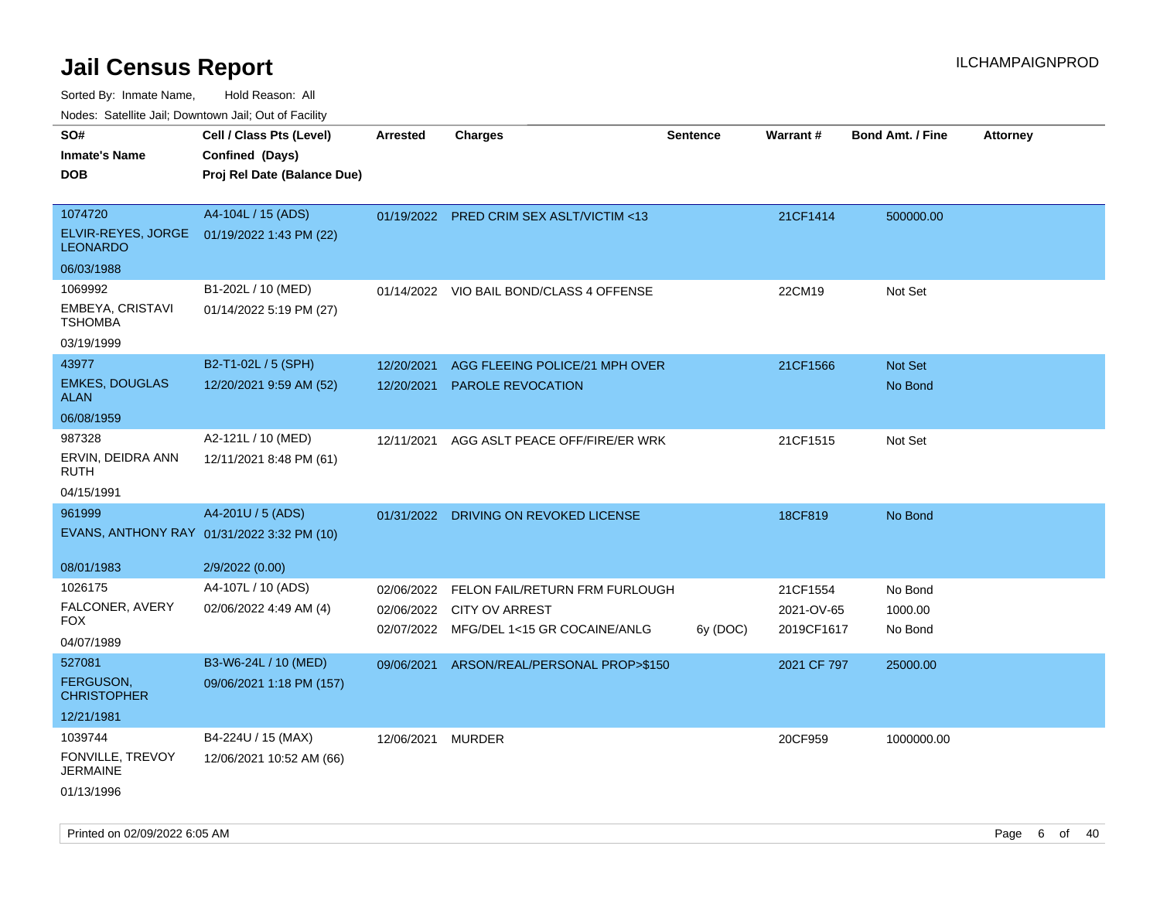Sorted By: Inmate Name, Hold Reason: All

Nodes: Satellite Jail; Downtown Jail; Out of Facility

| roaco. Calcinio dan, Downtown dan, Oal or Fability |                                            |                   |                                          |                 |                 |                         |                 |
|----------------------------------------------------|--------------------------------------------|-------------------|------------------------------------------|-----------------|-----------------|-------------------------|-----------------|
| SO#                                                | Cell / Class Pts (Level)                   | <b>Arrested</b>   | <b>Charges</b>                           | <b>Sentence</b> | <b>Warrant#</b> | <b>Bond Amt. / Fine</b> | <b>Attorney</b> |
| <b>Inmate's Name</b>                               | Confined (Days)                            |                   |                                          |                 |                 |                         |                 |
| <b>DOB</b>                                         | Proj Rel Date (Balance Due)                |                   |                                          |                 |                 |                         |                 |
|                                                    |                                            |                   |                                          |                 |                 |                         |                 |
| 1074720                                            | A4-104L / 15 (ADS)                         |                   | 01/19/2022 PRED CRIM SEX ASLT/VICTIM <13 |                 | 21CF1414        | 500000.00               |                 |
| <b>LEONARDO</b>                                    | ELVIR-REYES, JORGE 01/19/2022 1:43 PM (22) |                   |                                          |                 |                 |                         |                 |
| 06/03/1988                                         |                                            |                   |                                          |                 |                 |                         |                 |
| 1069992                                            | B1-202L / 10 (MED)                         |                   | 01/14/2022 VIO BAIL BOND/CLASS 4 OFFENSE |                 | 22CM19          | Not Set                 |                 |
| EMBEYA, CRISTAVI<br><b>TSHOMBA</b>                 | 01/14/2022 5:19 PM (27)                    |                   |                                          |                 |                 |                         |                 |
| 03/19/1999                                         |                                            |                   |                                          |                 |                 |                         |                 |
| 43977                                              | B2-T1-02L / 5 (SPH)                        | 12/20/2021        | AGG FLEEING POLICE/21 MPH OVER           |                 | 21CF1566        | Not Set                 |                 |
| <b>EMKES, DOUGLAS</b><br><b>ALAN</b>               | 12/20/2021 9:59 AM (52)                    | 12/20/2021        | <b>PAROLE REVOCATION</b>                 |                 |                 | No Bond                 |                 |
| 06/08/1959                                         |                                            |                   |                                          |                 |                 |                         |                 |
| 987328                                             | A2-121L / 10 (MED)                         | 12/11/2021        | AGG ASLT PEACE OFF/FIRE/ER WRK           |                 | 21CF1515        | Not Set                 |                 |
| ERVIN, DEIDRA ANN<br>RUTH                          | 12/11/2021 8:48 PM (61)                    |                   |                                          |                 |                 |                         |                 |
| 04/15/1991                                         |                                            |                   |                                          |                 |                 |                         |                 |
| 961999                                             | A4-201U / 5 (ADS)                          |                   | 01/31/2022 DRIVING ON REVOKED LICENSE    |                 | 18CF819         | No Bond                 |                 |
|                                                    | EVANS, ANTHONY RAY 01/31/2022 3:32 PM (10) |                   |                                          |                 |                 |                         |                 |
| 08/01/1983                                         | 2/9/2022 (0.00)                            |                   |                                          |                 |                 |                         |                 |
| 1026175                                            | A4-107L / 10 (ADS)                         | 02/06/2022        | FELON FAIL/RETURN FRM FURLOUGH           |                 | 21CF1554        | No Bond                 |                 |
| FALCONER, AVERY                                    | 02/06/2022 4:49 AM (4)                     |                   | 02/06/2022 CITY OV ARREST                |                 | 2021-OV-65      | 1000.00                 |                 |
| FOX.                                               |                                            |                   | 02/07/2022 MFG/DEL 1<15 GR COCAINE/ANLG  | 6y (DOC)        | 2019CF1617      | No Bond                 |                 |
| 04/07/1989                                         |                                            |                   |                                          |                 |                 |                         |                 |
| 527081                                             | B3-W6-24L / 10 (MED)                       | 09/06/2021        | ARSON/REAL/PERSONAL PROP>\$150           |                 | 2021 CF 797     | 25000.00                |                 |
| <b>FERGUSON,</b><br><b>CHRISTOPHER</b>             | 09/06/2021 1:18 PM (157)                   |                   |                                          |                 |                 |                         |                 |
| 12/21/1981                                         |                                            |                   |                                          |                 |                 |                         |                 |
| 1039744                                            | B4-224U / 15 (MAX)                         | 12/06/2021 MURDER |                                          |                 | 20CF959         | 1000000.00              |                 |
| FONVILLE, TREVOY<br><b>JERMAINE</b>                | 12/06/2021 10:52 AM (66)                   |                   |                                          |                 |                 |                         |                 |
| 01/13/1996                                         |                                            |                   |                                          |                 |                 |                         |                 |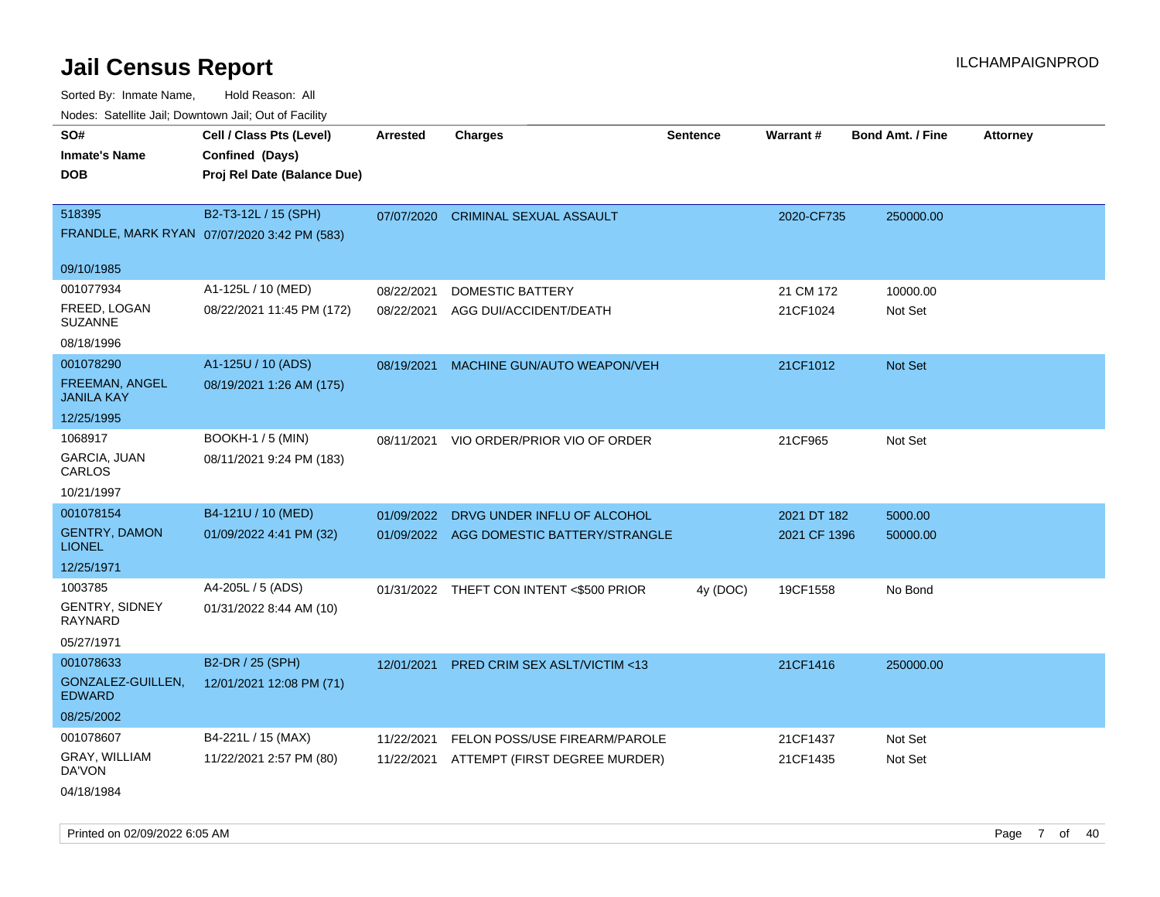| ivuutos. Saltiilit Jall, Duwilluwii Jall, Oul of Facility |                                             |            |                                          |                 |                 |                         |                 |
|-----------------------------------------------------------|---------------------------------------------|------------|------------------------------------------|-----------------|-----------------|-------------------------|-----------------|
| SO#                                                       | Cell / Class Pts (Level)                    | Arrested   | <b>Charges</b>                           | <b>Sentence</b> | <b>Warrant#</b> | <b>Bond Amt. / Fine</b> | <b>Attorney</b> |
| <b>Inmate's Name</b>                                      | Confined (Days)                             |            |                                          |                 |                 |                         |                 |
| <b>DOB</b>                                                | Proj Rel Date (Balance Due)                 |            |                                          |                 |                 |                         |                 |
|                                                           |                                             |            |                                          |                 |                 |                         |                 |
| 518395                                                    | B2-T3-12L / 15 (SPH)                        | 07/07/2020 | <b>CRIMINAL SEXUAL ASSAULT</b>           |                 | 2020-CF735      | 250000.00               |                 |
|                                                           | FRANDLE, MARK RYAN 07/07/2020 3:42 PM (583) |            |                                          |                 |                 |                         |                 |
|                                                           |                                             |            |                                          |                 |                 |                         |                 |
| 09/10/1985                                                |                                             |            |                                          |                 |                 |                         |                 |
| 001077934                                                 | A1-125L / 10 (MED)                          | 08/22/2021 | <b>DOMESTIC BATTERY</b>                  |                 | 21 CM 172       | 10000.00                |                 |
| FREED, LOGAN<br>SUZANNE                                   | 08/22/2021 11:45 PM (172)                   | 08/22/2021 | AGG DUI/ACCIDENT/DEATH                   |                 | 21CF1024        | Not Set                 |                 |
| 08/18/1996                                                |                                             |            |                                          |                 |                 |                         |                 |
| 001078290                                                 | A1-125U / 10 (ADS)                          | 08/19/2021 | MACHINE GUN/AUTO WEAPON/VEH              |                 | 21CF1012        | Not Set                 |                 |
| FREEMAN, ANGEL<br><b>JANILA KAY</b>                       | 08/19/2021 1:26 AM (175)                    |            |                                          |                 |                 |                         |                 |
| 12/25/1995                                                |                                             |            |                                          |                 |                 |                         |                 |
| 1068917                                                   | <b>BOOKH-1 / 5 (MIN)</b>                    | 08/11/2021 | VIO ORDER/PRIOR VIO OF ORDER             |                 | 21CF965         | Not Set                 |                 |
| GARCIA, JUAN<br>CARLOS                                    | 08/11/2021 9:24 PM (183)                    |            |                                          |                 |                 |                         |                 |
| 10/21/1997                                                |                                             |            |                                          |                 |                 |                         |                 |
| 001078154                                                 | B4-121U / 10 (MED)                          | 01/09/2022 | DRVG UNDER INFLU OF ALCOHOL              |                 | 2021 DT 182     | 5000.00                 |                 |
| <b>GENTRY, DAMON</b><br><b>LIONEL</b>                     | 01/09/2022 4:41 PM (32)                     |            | 01/09/2022 AGG DOMESTIC BATTERY/STRANGLE |                 | 2021 CF 1396    | 50000.00                |                 |
| 12/25/1971                                                |                                             |            |                                          |                 |                 |                         |                 |
| 1003785                                                   | A4-205L / 5 (ADS)                           |            | 01/31/2022 THEFT CON INTENT <\$500 PRIOR | 4y (DOC)        | 19CF1558        | No Bond                 |                 |
| GENTRY, SIDNEY<br>RAYNARD                                 | 01/31/2022 8:44 AM (10)                     |            |                                          |                 |                 |                         |                 |
| 05/27/1971                                                |                                             |            |                                          |                 |                 |                         |                 |
| 001078633                                                 | B2-DR / 25 (SPH)                            | 12/01/2021 | <b>PRED CRIM SEX ASLT/VICTIM &lt;13</b>  |                 | 21CF1416        | 250000.00               |                 |
| GONZALEZ-GUILLEN,<br>EDWARD                               | 12/01/2021 12:08 PM (71)                    |            |                                          |                 |                 |                         |                 |
| 08/25/2002                                                |                                             |            |                                          |                 |                 |                         |                 |
| 001078607                                                 | B4-221L / 15 (MAX)                          | 11/22/2021 | FELON POSS/USE FIREARM/PAROLE            |                 | 21CF1437        | Not Set                 |                 |
| <b>GRAY, WILLIAM</b><br>DA'VON                            | 11/22/2021 2:57 PM (80)                     |            | 11/22/2021 ATTEMPT (FIRST DEGREE MURDER) |                 | 21CF1435        | Not Set                 |                 |
| 04/18/1984                                                |                                             |            |                                          |                 |                 |                         |                 |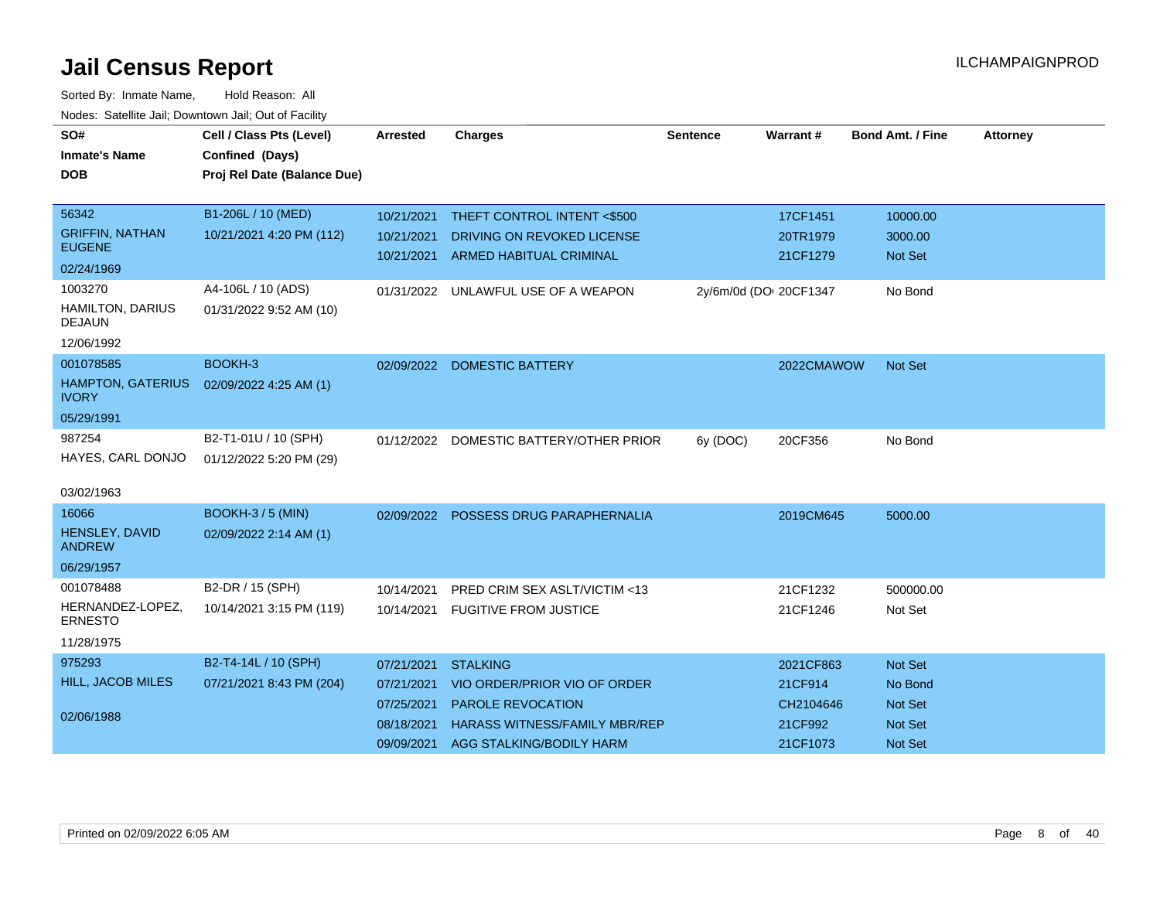| SO#<br><b>Inmate's Name</b><br><b>DOB</b> | Cell / Class Pts (Level)<br>Confined (Days)<br>Proj Rel Date (Balance Due) | <b>Arrested</b> | <b>Charges</b>                          | <b>Sentence</b>        | <b>Warrant#</b> | <b>Bond Amt. / Fine</b> | <b>Attorney</b> |
|-------------------------------------------|----------------------------------------------------------------------------|-----------------|-----------------------------------------|------------------------|-----------------|-------------------------|-----------------|
|                                           |                                                                            |                 |                                         |                        |                 |                         |                 |
| 56342                                     | B1-206L / 10 (MED)                                                         | 10/21/2021      | THEFT CONTROL INTENT <\$500             |                        | 17CF1451        | 10000.00                |                 |
| <b>GRIFFIN, NATHAN</b><br><b>EUGENE</b>   | 10/21/2021 4:20 PM (112)                                                   | 10/21/2021      | DRIVING ON REVOKED LICENSE              |                        | 20TR1979        | 3000.00                 |                 |
| 02/24/1969                                |                                                                            | 10/21/2021      | <b>ARMED HABITUAL CRIMINAL</b>          |                        | 21CF1279        | <b>Not Set</b>          |                 |
| 1003270                                   | A4-106L / 10 (ADS)                                                         | 01/31/2022      | UNLAWFUL USE OF A WEAPON                | 2y/6m/0d (DOI 20CF1347 |                 | No Bond                 |                 |
| HAMILTON, DARIUS<br><b>DEJAUN</b>         | 01/31/2022 9:52 AM (10)                                                    |                 |                                         |                        |                 |                         |                 |
| 12/06/1992                                |                                                                            |                 |                                         |                        |                 |                         |                 |
| 001078585                                 | BOOKH-3                                                                    | 02/09/2022      | <b>DOMESTIC BATTERY</b>                 |                        | 2022CMAWOW      | <b>Not Set</b>          |                 |
| <b>HAMPTON, GATERIUS</b><br><b>IVORY</b>  | 02/09/2022 4:25 AM (1)                                                     |                 |                                         |                        |                 |                         |                 |
| 05/29/1991                                |                                                                            |                 |                                         |                        |                 |                         |                 |
| 987254                                    | B2-T1-01U / 10 (SPH)                                                       |                 | 01/12/2022 DOMESTIC BATTERY/OTHER PRIOR | 6y (DOC)               | 20CF356         | No Bond                 |                 |
| HAYES, CARL DONJO                         | 01/12/2022 5:20 PM (29)                                                    |                 |                                         |                        |                 |                         |                 |
| 03/02/1963                                |                                                                            |                 |                                         |                        |                 |                         |                 |
| 16066                                     | <b>BOOKH-3 / 5 (MIN)</b>                                                   | 02/09/2022      | POSSESS DRUG PARAPHERNALIA              |                        | 2019CM645       | 5000.00                 |                 |
| HENSLEY, DAVID<br><b>ANDREW</b>           | 02/09/2022 2:14 AM (1)                                                     |                 |                                         |                        |                 |                         |                 |
| 06/29/1957                                |                                                                            |                 |                                         |                        |                 |                         |                 |
| 001078488                                 | B2-DR / 15 (SPH)                                                           | 10/14/2021      | PRED CRIM SEX ASLT/VICTIM <13           |                        | 21CF1232        | 500000.00               |                 |
| HERNANDEZ-LOPEZ,<br><b>ERNESTO</b>        | 10/14/2021 3:15 PM (119)                                                   | 10/14/2021      | <b>FUGITIVE FROM JUSTICE</b>            |                        | 21CF1246        | Not Set                 |                 |
| 11/28/1975                                |                                                                            |                 |                                         |                        |                 |                         |                 |
| 975293                                    | B2-T4-14L / 10 (SPH)                                                       | 07/21/2021      | <b>STALKING</b>                         |                        | 2021CF863       | Not Set                 |                 |
| <b>HILL, JACOB MILES</b>                  | 07/21/2021 8:43 PM (204)                                                   | 07/21/2021      | VIO ORDER/PRIOR VIO OF ORDER            |                        | 21CF914         | No Bond                 |                 |
|                                           |                                                                            | 07/25/2021      | PAROLE REVOCATION                       |                        | CH2104646       | Not Set                 |                 |
| 02/06/1988                                |                                                                            | 08/18/2021      | <b>HARASS WITNESS/FAMILY MBR/REP</b>    |                        | 21CF992         | <b>Not Set</b>          |                 |
|                                           |                                                                            | 09/09/2021      | AGG STALKING/BODILY HARM                |                        | 21CF1073        | <b>Not Set</b>          |                 |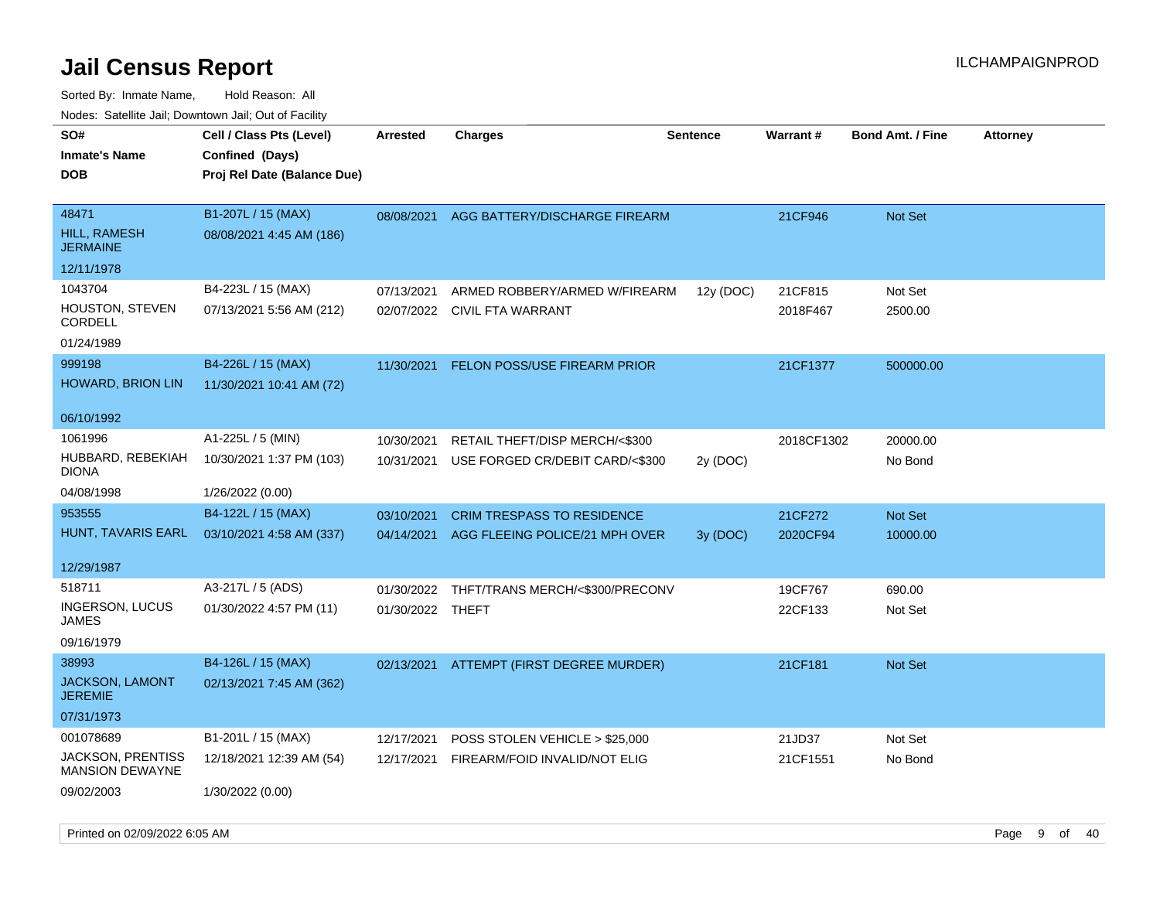| rouco. Calcillo Jali, Downtown Jali, Out of Facility |                             |                  |                                     |                 |            |                         |                 |
|------------------------------------------------------|-----------------------------|------------------|-------------------------------------|-----------------|------------|-------------------------|-----------------|
| SO#                                                  | Cell / Class Pts (Level)    | <b>Arrested</b>  | <b>Charges</b>                      | <b>Sentence</b> | Warrant#   | <b>Bond Amt. / Fine</b> | <b>Attorney</b> |
| <b>Inmate's Name</b>                                 | Confined (Days)             |                  |                                     |                 |            |                         |                 |
| <b>DOB</b>                                           | Proj Rel Date (Balance Due) |                  |                                     |                 |            |                         |                 |
|                                                      |                             |                  |                                     |                 |            |                         |                 |
| 48471                                                | B1-207L / 15 (MAX)          | 08/08/2021       | AGG BATTERY/DISCHARGE FIREARM       |                 | 21CF946    | Not Set                 |                 |
| HILL, RAMESH<br><b>JERMAINE</b>                      | 08/08/2021 4:45 AM (186)    |                  |                                     |                 |            |                         |                 |
| 12/11/1978                                           |                             |                  |                                     |                 |            |                         |                 |
| 1043704                                              | B4-223L / 15 (MAX)          | 07/13/2021       | ARMED ROBBERY/ARMED W/FIREARM       | 12y (DOC)       | 21CF815    | Not Set                 |                 |
| <b>HOUSTON, STEVEN</b><br><b>CORDELL</b>             | 07/13/2021 5:56 AM (212)    |                  | 02/07/2022 CIVIL FTA WARRANT        |                 | 2018F467   | 2500.00                 |                 |
| 01/24/1989                                           |                             |                  |                                     |                 |            |                         |                 |
| 999198                                               | B4-226L / 15 (MAX)          | 11/30/2021       | <b>FELON POSS/USE FIREARM PRIOR</b> |                 | 21CF1377   | 500000.00               |                 |
| HOWARD, BRION LIN                                    | 11/30/2021 10:41 AM (72)    |                  |                                     |                 |            |                         |                 |
|                                                      |                             |                  |                                     |                 |            |                         |                 |
| 06/10/1992                                           |                             |                  |                                     |                 |            |                         |                 |
| 1061996                                              | A1-225L / 5 (MIN)           | 10/30/2021       | RETAIL THEFT/DISP MERCH/<\$300      |                 | 2018CF1302 | 20000.00                |                 |
| HUBBARD, REBEKIAH<br>DIONA                           | 10/30/2021 1:37 PM (103)    | 10/31/2021       | USE FORGED CR/DEBIT CARD/<\$300     | 2y (DOC)        |            | No Bond                 |                 |
| 04/08/1998                                           | 1/26/2022 (0.00)            |                  |                                     |                 |            |                         |                 |
| 953555                                               | B4-122L / 15 (MAX)          | 03/10/2021       | CRIM TRESPASS TO RESIDENCE          |                 | 21CF272    | Not Set                 |                 |
| HUNT, TAVARIS EARL                                   | 03/10/2021 4:58 AM (337)    | 04/14/2021       | AGG FLEEING POLICE/21 MPH OVER      | 3y (DOC)        | 2020CF94   | 10000.00                |                 |
|                                                      |                             |                  |                                     |                 |            |                         |                 |
| 12/29/1987                                           |                             |                  |                                     |                 |            |                         |                 |
| 518711                                               | A3-217L / 5 (ADS)           | 01/30/2022       | THFT/TRANS MERCH/<\$300/PRECONV     |                 | 19CF767    | 690.00                  |                 |
| <b>INGERSON, LUCUS</b><br>JAMES                      | 01/30/2022 4:57 PM (11)     | 01/30/2022 THEFT |                                     |                 | 22CF133    | Not Set                 |                 |
| 09/16/1979                                           |                             |                  |                                     |                 |            |                         |                 |
| 38993                                                | B4-126L / 15 (MAX)          | 02/13/2021       | ATTEMPT (FIRST DEGREE MURDER)       |                 | 21CF181    | Not Set                 |                 |
| JACKSON, LAMONT<br><b>JEREMIE</b>                    | 02/13/2021 7:45 AM (362)    |                  |                                     |                 |            |                         |                 |
| 07/31/1973                                           |                             |                  |                                     |                 |            |                         |                 |
| 001078689                                            | B1-201L / 15 (MAX)          | 12/17/2021       | POSS STOLEN VEHICLE > \$25,000      |                 | 21JD37     | Not Set                 |                 |
| JACKSON, PRENTISS<br><b>MANSION DEWAYNE</b>          | 12/18/2021 12:39 AM (54)    | 12/17/2021       | FIREARM/FOID INVALID/NOT ELIG       |                 | 21CF1551   | No Bond                 |                 |
| 09/02/2003                                           | 1/30/2022 (0.00)            |                  |                                     |                 |            |                         |                 |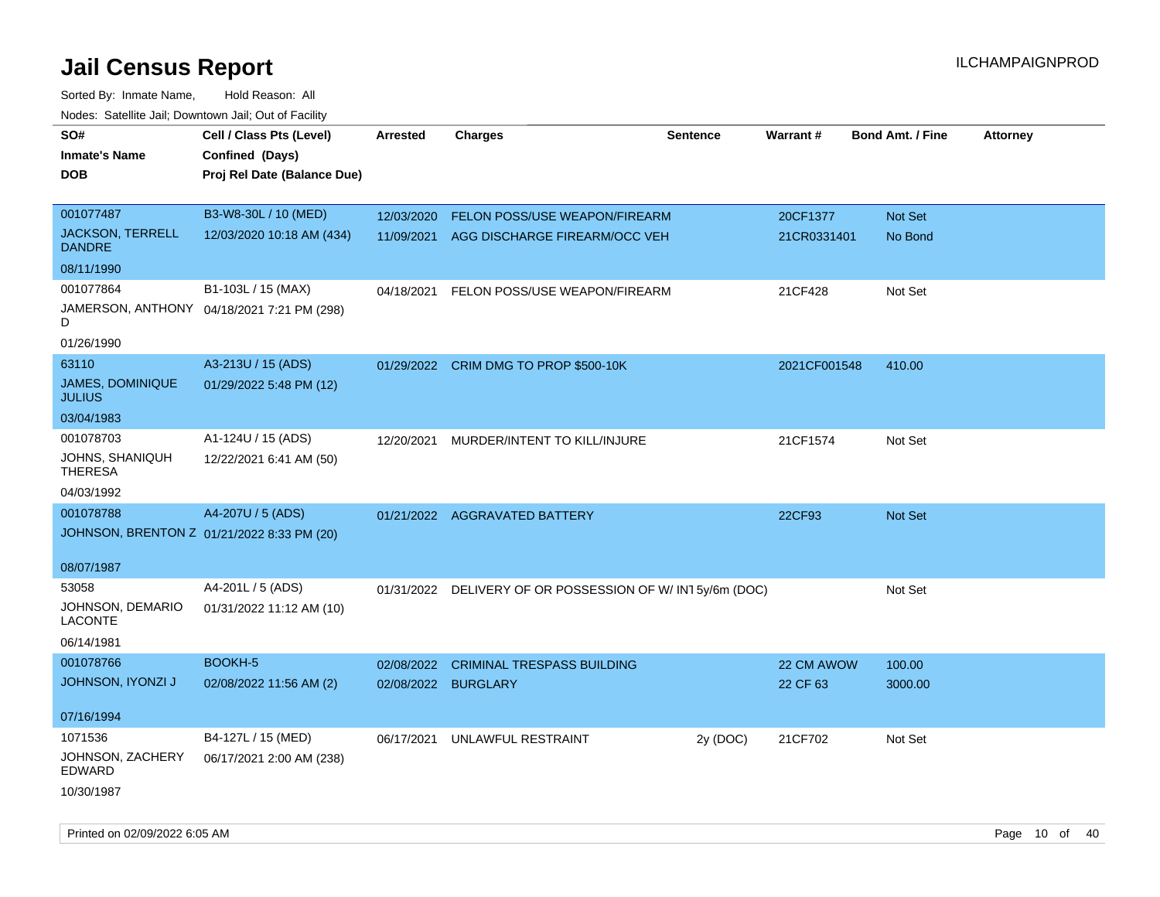| rouce. Calcinic Jan, Downtown Jan, Out or Facility |                                            |                     |                                                          |                 |              |                         |                 |
|----------------------------------------------------|--------------------------------------------|---------------------|----------------------------------------------------------|-----------------|--------------|-------------------------|-----------------|
| SO#                                                | Cell / Class Pts (Level)                   | <b>Arrested</b>     | <b>Charges</b>                                           | <b>Sentence</b> | Warrant#     | <b>Bond Amt. / Fine</b> | <b>Attorney</b> |
| <b>Inmate's Name</b>                               | Confined (Days)                            |                     |                                                          |                 |              |                         |                 |
| <b>DOB</b>                                         | Proj Rel Date (Balance Due)                |                     |                                                          |                 |              |                         |                 |
|                                                    |                                            |                     |                                                          |                 |              |                         |                 |
| 001077487                                          | B3-W8-30L / 10 (MED)                       | 12/03/2020          | FELON POSS/USE WEAPON/FIREARM                            |                 | 20CF1377     | Not Set                 |                 |
| <b>JACKSON, TERRELL</b><br><b>DANDRE</b>           | 12/03/2020 10:18 AM (434)                  | 11/09/2021          | AGG DISCHARGE FIREARM/OCC VEH                            |                 | 21CR0331401  | No Bond                 |                 |
| 08/11/1990                                         |                                            |                     |                                                          |                 |              |                         |                 |
| 001077864                                          | B1-103L / 15 (MAX)                         | 04/18/2021          | FELON POSS/USE WEAPON/FIREARM                            |                 | 21CF428      | Not Set                 |                 |
| D                                                  | JAMERSON, ANTHONY 04/18/2021 7:21 PM (298) |                     |                                                          |                 |              |                         |                 |
| 01/26/1990                                         |                                            |                     |                                                          |                 |              |                         |                 |
| 63110                                              | A3-213U / 15 (ADS)                         |                     | 01/29/2022 CRIM DMG TO PROP \$500-10K                    |                 | 2021CF001548 | 410.00                  |                 |
| JAMES, DOMINIQUE<br><b>JULIUS</b>                  | 01/29/2022 5:48 PM (12)                    |                     |                                                          |                 |              |                         |                 |
| 03/04/1983                                         |                                            |                     |                                                          |                 |              |                         |                 |
| 001078703                                          | A1-124U / 15 (ADS)                         | 12/20/2021          | MURDER/INTENT TO KILL/INJURE                             |                 | 21CF1574     | Not Set                 |                 |
| JOHNS, SHANIQUH<br><b>THERESA</b>                  | 12/22/2021 6:41 AM (50)                    |                     |                                                          |                 |              |                         |                 |
| 04/03/1992                                         |                                            |                     |                                                          |                 |              |                         |                 |
| 001078788                                          | A4-207U / 5 (ADS)                          |                     | 01/21/2022 AGGRAVATED BATTERY                            |                 | 22CF93       | Not Set                 |                 |
| JOHNSON, BRENTON Z 01/21/2022 8:33 PM (20)         |                                            |                     |                                                          |                 |              |                         |                 |
|                                                    |                                            |                     |                                                          |                 |              |                         |                 |
| 08/07/1987                                         |                                            |                     |                                                          |                 |              |                         |                 |
| 53058                                              | A4-201L / 5 (ADS)                          |                     | 01/31/2022 DELIVERY OF OR POSSESSION OF W/IN15y/6m (DOC) |                 |              | Not Set                 |                 |
| JOHNSON, DEMARIO<br>LACONTE                        | 01/31/2022 11:12 AM (10)                   |                     |                                                          |                 |              |                         |                 |
| 06/14/1981                                         |                                            |                     |                                                          |                 |              |                         |                 |
| 001078766                                          | BOOKH-5                                    | 02/08/2022          | <b>CRIMINAL TRESPASS BUILDING</b>                        |                 | 22 CM AWOW   | 100.00                  |                 |
| JOHNSON, IYONZI J                                  | 02/08/2022 11:56 AM (2)                    | 02/08/2022 BURGLARY |                                                          |                 | 22 CF 63     | 3000.00                 |                 |
|                                                    |                                            |                     |                                                          |                 |              |                         |                 |
| 07/16/1994                                         |                                            |                     |                                                          |                 |              |                         |                 |
| 1071536                                            | B4-127L / 15 (MED)                         | 06/17/2021          | UNLAWFUL RESTRAINT                                       | 2y (DOC)        | 21CF702      | Not Set                 |                 |
| JOHNSON, ZACHERY<br><b>EDWARD</b>                  | 06/17/2021 2:00 AM (238)                   |                     |                                                          |                 |              |                         |                 |
| 10/30/1987                                         |                                            |                     |                                                          |                 |              |                         |                 |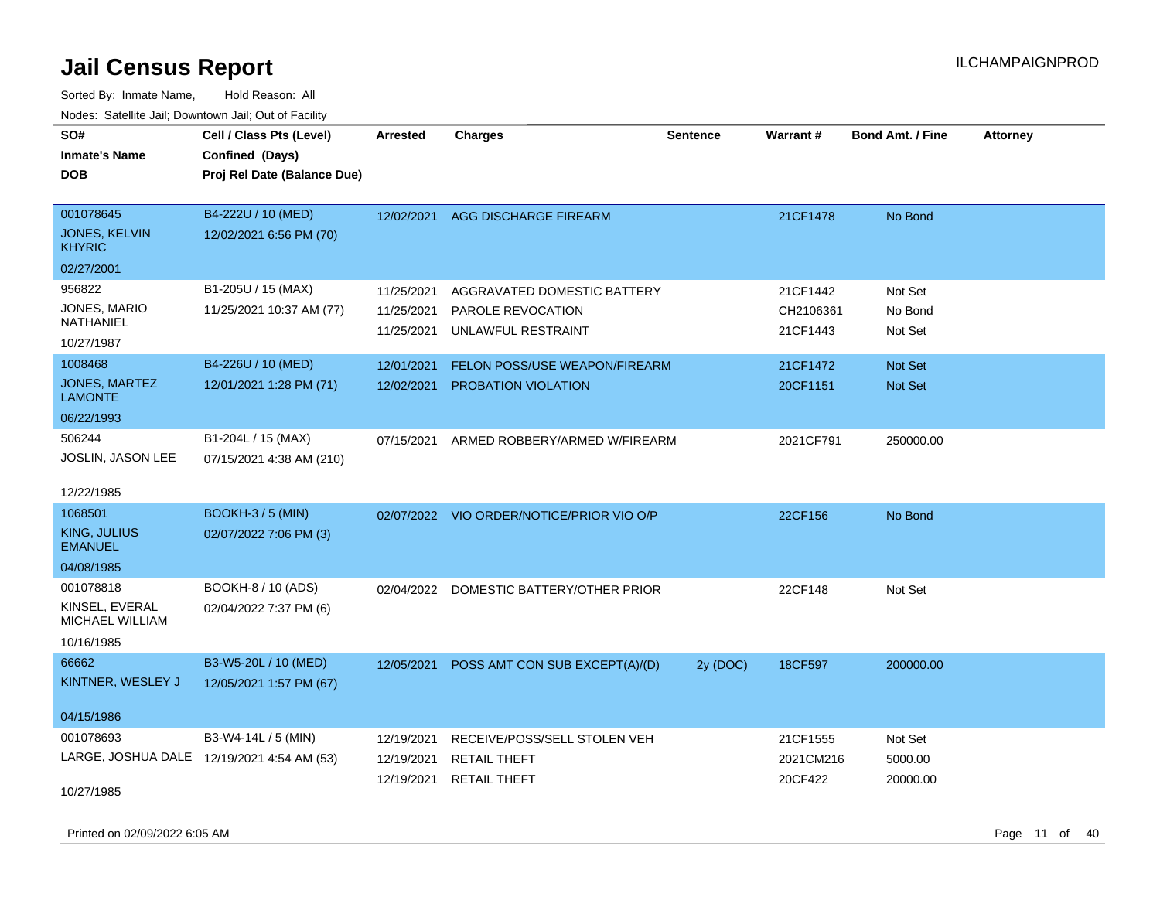| SO#                                        | Cell / Class Pts (Level)    | <b>Arrested</b> | <b>Charges</b>                            | <b>Sentence</b> | Warrant#  | <b>Bond Amt. / Fine</b> | <b>Attorney</b> |
|--------------------------------------------|-----------------------------|-----------------|-------------------------------------------|-----------------|-----------|-------------------------|-----------------|
| <b>Inmate's Name</b>                       | Confined (Days)             |                 |                                           |                 |           |                         |                 |
| <b>DOB</b>                                 | Proj Rel Date (Balance Due) |                 |                                           |                 |           |                         |                 |
|                                            |                             |                 |                                           |                 |           |                         |                 |
| 001078645                                  | B4-222U / 10 (MED)          | 12/02/2021      | AGG DISCHARGE FIREARM                     |                 | 21CF1478  | No Bond                 |                 |
| <b>JONES, KELVIN</b><br><b>KHYRIC</b>      | 12/02/2021 6:56 PM (70)     |                 |                                           |                 |           |                         |                 |
| 02/27/2001                                 |                             |                 |                                           |                 |           |                         |                 |
| 956822                                     | B1-205U / 15 (MAX)          | 11/25/2021      | AGGRAVATED DOMESTIC BATTERY               |                 | 21CF1442  | Not Set                 |                 |
| JONES, MARIO                               | 11/25/2021 10:37 AM (77)    | 11/25/2021      | PAROLE REVOCATION                         |                 | CH2106361 | No Bond                 |                 |
| <b>NATHANIEL</b>                           |                             | 11/25/2021      | UNLAWFUL RESTRAINT                        |                 | 21CF1443  | Not Set                 |                 |
| 10/27/1987                                 |                             |                 |                                           |                 |           |                         |                 |
| 1008468                                    | B4-226U / 10 (MED)          | 12/01/2021      | FELON POSS/USE WEAPON/FIREARM             |                 | 21CF1472  | Not Set                 |                 |
| <b>JONES, MARTEZ</b><br><b>LAMONTE</b>     | 12/01/2021 1:28 PM (71)     | 12/02/2021      | PROBATION VIOLATION                       |                 | 20CF1151  | Not Set                 |                 |
| 06/22/1993                                 |                             |                 |                                           |                 |           |                         |                 |
| 506244                                     | B1-204L / 15 (MAX)          | 07/15/2021      | ARMED ROBBERY/ARMED W/FIREARM             |                 | 2021CF791 | 250000.00               |                 |
| JOSLIN, JASON LEE                          | 07/15/2021 4:38 AM (210)    |                 |                                           |                 |           |                         |                 |
|                                            |                             |                 |                                           |                 |           |                         |                 |
| 12/22/1985                                 |                             |                 |                                           |                 |           |                         |                 |
| 1068501                                    | <b>BOOKH-3/5 (MIN)</b>      |                 | 02/07/2022 VIO ORDER/NOTICE/PRIOR VIO O/P |                 | 22CF156   | No Bond                 |                 |
| KING, JULIUS                               | 02/07/2022 7:06 PM (3)      |                 |                                           |                 |           |                         |                 |
| <b>EMANUEL</b>                             |                             |                 |                                           |                 |           |                         |                 |
| 04/08/1985                                 |                             |                 |                                           |                 |           |                         |                 |
| 001078818                                  | BOOKH-8 / 10 (ADS)          |                 | 02/04/2022 DOMESTIC BATTERY/OTHER PRIOR   |                 | 22CF148   | Not Set                 |                 |
| KINSEL, EVERAL<br>MICHAEL WILLIAM          | 02/04/2022 7:37 PM (6)      |                 |                                           |                 |           |                         |                 |
| 10/16/1985                                 |                             |                 |                                           |                 |           |                         |                 |
| 66662                                      | B3-W5-20L / 10 (MED)        | 12/05/2021      | POSS AMT CON SUB EXCEPT(A)/(D)            | 2y (DOC)        | 18CF597   | 200000.00               |                 |
| KINTNER, WESLEY J                          | 12/05/2021 1:57 PM (67)     |                 |                                           |                 |           |                         |                 |
|                                            |                             |                 |                                           |                 |           |                         |                 |
| 04/15/1986                                 |                             |                 |                                           |                 |           |                         |                 |
| 001078693                                  | B3-W4-14L / 5 (MIN)         | 12/19/2021      | RECEIVE/POSS/SELL STOLEN VEH              |                 | 21CF1555  | Not Set                 |                 |
| LARGE, JOSHUA DALE 12/19/2021 4:54 AM (53) |                             | 12/19/2021      | <b>RETAIL THEFT</b>                       |                 | 2021CM216 | 5000.00                 |                 |
|                                            |                             | 12/19/2021      | <b>RETAIL THEFT</b>                       |                 | 20CF422   | 20000.00                |                 |
| 10/27/1985                                 |                             |                 |                                           |                 |           |                         |                 |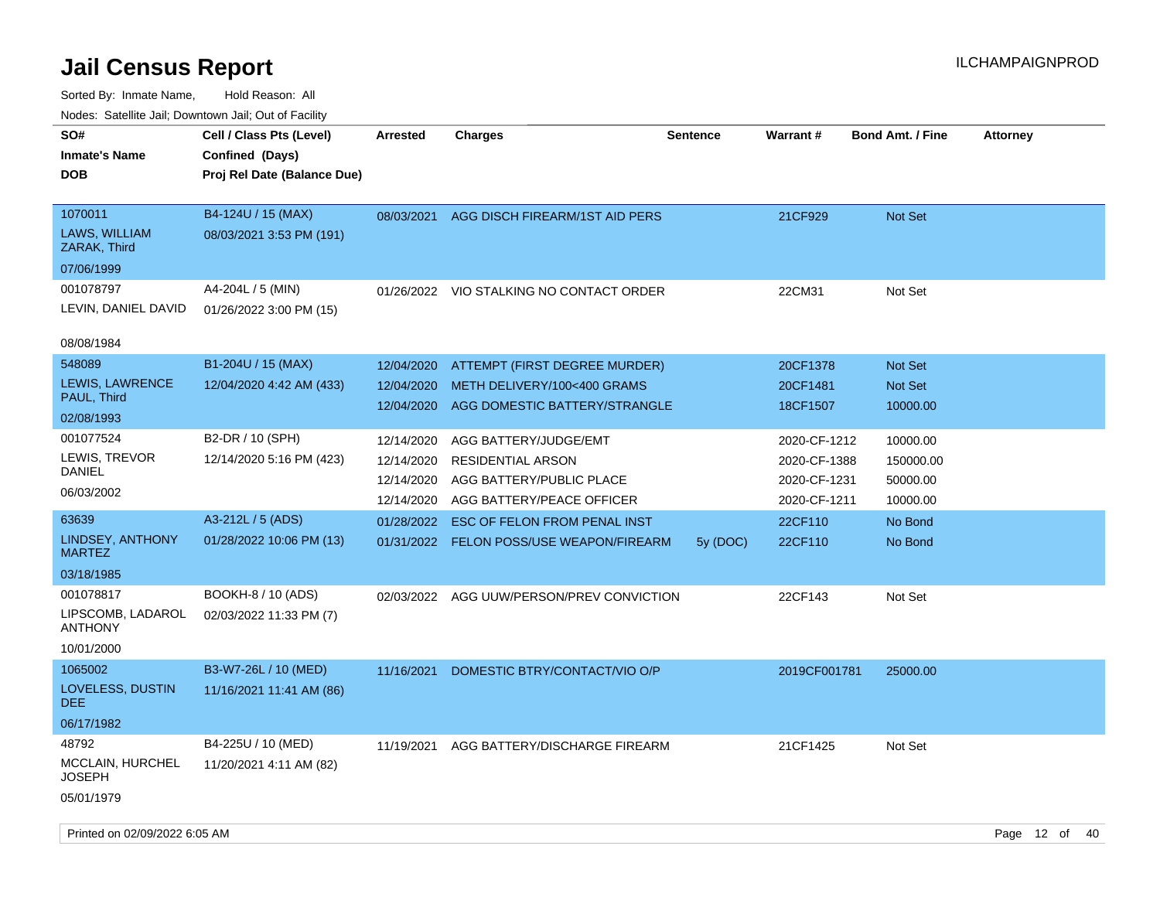| Nudes. Satellite Jali, Downtown Jali, Out of Facility<br>SO# | Cell / Class Pts (Level)    | <b>Arrested</b> | <b>Charges</b>                            | <b>Sentence</b> | <b>Warrant#</b> | <b>Bond Amt. / Fine</b> | <b>Attorney</b> |
|--------------------------------------------------------------|-----------------------------|-----------------|-------------------------------------------|-----------------|-----------------|-------------------------|-----------------|
| <b>Inmate's Name</b>                                         | Confined (Days)             |                 |                                           |                 |                 |                         |                 |
| <b>DOB</b>                                                   | Proj Rel Date (Balance Due) |                 |                                           |                 |                 |                         |                 |
|                                                              |                             |                 |                                           |                 |                 |                         |                 |
| 1070011                                                      | B4-124U / 15 (MAX)          | 08/03/2021      | AGG DISCH FIREARM/1ST AID PERS            |                 | 21CF929         | <b>Not Set</b>          |                 |
| LAWS, WILLIAM<br>ZARAK, Third                                | 08/03/2021 3:53 PM (191)    |                 |                                           |                 |                 |                         |                 |
| 07/06/1999                                                   |                             |                 |                                           |                 |                 |                         |                 |
| 001078797                                                    | A4-204L / 5 (MIN)           |                 | 01/26/2022 VIO STALKING NO CONTACT ORDER  |                 | 22CM31          | Not Set                 |                 |
| LEVIN, DANIEL DAVID                                          | 01/26/2022 3:00 PM (15)     |                 |                                           |                 |                 |                         |                 |
| 08/08/1984                                                   |                             |                 |                                           |                 |                 |                         |                 |
| 548089                                                       | B1-204U / 15 (MAX)          | 12/04/2020      | ATTEMPT (FIRST DEGREE MURDER)             |                 | 20CF1378        | <b>Not Set</b>          |                 |
| LEWIS, LAWRENCE                                              | 12/04/2020 4:42 AM (433)    | 12/04/2020      | METH DELIVERY/100<400 GRAMS               |                 | 20CF1481        | Not Set                 |                 |
| PAUL, Third                                                  |                             | 12/04/2020      | AGG DOMESTIC BATTERY/STRANGLE             |                 | 18CF1507        | 10000.00                |                 |
| 02/08/1993                                                   |                             |                 |                                           |                 |                 |                         |                 |
| 001077524                                                    | B2-DR / 10 (SPH)            | 12/14/2020      | AGG BATTERY/JUDGE/EMT                     |                 | 2020-CF-1212    | 10000.00                |                 |
| LEWIS, TREVOR                                                | 12/14/2020 5:16 PM (423)    | 12/14/2020      | <b>RESIDENTIAL ARSON</b>                  |                 | 2020-CF-1388    | 150000.00               |                 |
| DANIEL                                                       |                             | 12/14/2020      | AGG BATTERY/PUBLIC PLACE                  |                 | 2020-CF-1231    | 50000.00                |                 |
| 06/03/2002                                                   |                             | 12/14/2020      | AGG BATTERY/PEACE OFFICER                 |                 | 2020-CF-1211    | 10000.00                |                 |
| 63639                                                        | A3-212L / 5 (ADS)           | 01/28/2022      | <b>ESC OF FELON FROM PENAL INST</b>       |                 | 22CF110         | No Bond                 |                 |
| LINDSEY, ANTHONY<br><b>MARTEZ</b>                            | 01/28/2022 10:06 PM (13)    |                 | 01/31/2022 FELON POSS/USE WEAPON/FIREARM  | 5y(DOC)         | 22CF110         | No Bond                 |                 |
| 03/18/1985                                                   |                             |                 |                                           |                 |                 |                         |                 |
| 001078817                                                    | BOOKH-8 / 10 (ADS)          |                 | 02/03/2022 AGG UUW/PERSON/PREV CONVICTION |                 | 22CF143         | Not Set                 |                 |
| LIPSCOMB, LADAROL<br><b>ANTHONY</b>                          | 02/03/2022 11:33 PM (7)     |                 |                                           |                 |                 |                         |                 |
| 10/01/2000                                                   |                             |                 |                                           |                 |                 |                         |                 |
| 1065002                                                      | B3-W7-26L / 10 (MED)        | 11/16/2021      | DOMESTIC BTRY/CONTACT/VIO O/P             |                 | 2019CF001781    | 25000.00                |                 |
| LOVELESS, DUSTIN<br>DEE.                                     | 11/16/2021 11:41 AM (86)    |                 |                                           |                 |                 |                         |                 |
| 06/17/1982                                                   |                             |                 |                                           |                 |                 |                         |                 |
| 48792                                                        | B4-225U / 10 (MED)          | 11/19/2021      | AGG BATTERY/DISCHARGE FIREARM             |                 | 21CF1425        | Not Set                 |                 |
| <b>MCCLAIN, HURCHEL</b><br>JOSEPH                            | 11/20/2021 4:11 AM (82)     |                 |                                           |                 |                 |                         |                 |
| 05/01/1979                                                   |                             |                 |                                           |                 |                 |                         |                 |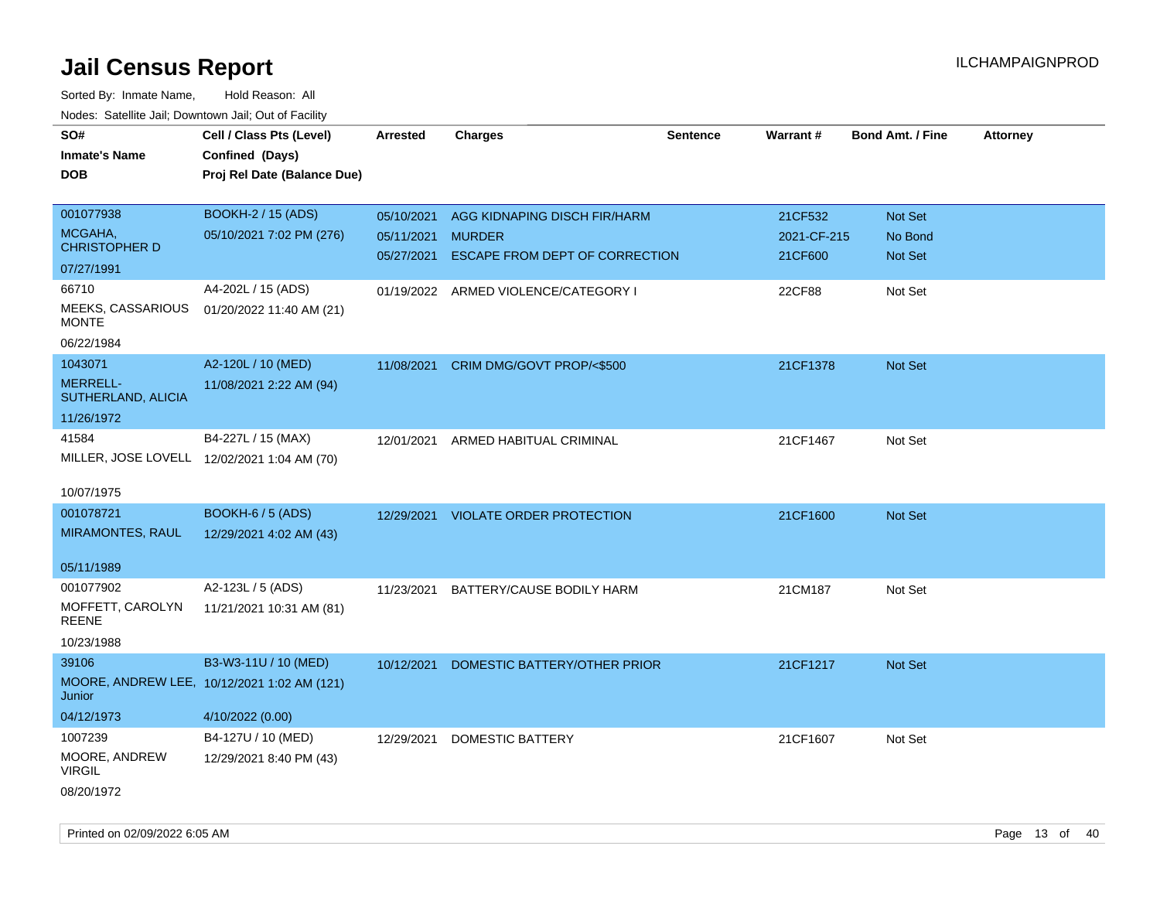| SO#<br><b>Inmate's Name</b><br><b>DOB</b>   | Cell / Class Pts (Level)<br>Confined (Days)<br>Proj Rel Date (Balance Due) | <b>Arrested</b> | <b>Charges</b>                       | <b>Sentence</b> | <b>Warrant#</b> | <b>Bond Amt. / Fine</b> | <b>Attorney</b> |
|---------------------------------------------|----------------------------------------------------------------------------|-----------------|--------------------------------------|-----------------|-----------------|-------------------------|-----------------|
| 001077938                                   | <b>BOOKH-2 / 15 (ADS)</b>                                                  | 05/10/2021      | AGG KIDNAPING DISCH FIR/HARM         |                 | 21CF532         | Not Set                 |                 |
| MCGAHA,<br><b>CHRISTOPHER D</b>             | 05/10/2021 7:02 PM (276)                                                   | 05/11/2021      | <b>MURDER</b>                        |                 | 2021-CF-215     | No Bond                 |                 |
| 07/27/1991                                  |                                                                            | 05/27/2021      | ESCAPE FROM DEPT OF CORRECTION       |                 | 21CF600         | Not Set                 |                 |
| 66710                                       | A4-202L / 15 (ADS)                                                         |                 | 01/19/2022 ARMED VIOLENCE/CATEGORY I |                 | 22CF88          | Not Set                 |                 |
| MEEKS, CASSARIOUS<br><b>MONTE</b>           | 01/20/2022 11:40 AM (21)                                                   |                 |                                      |                 |                 |                         |                 |
| 06/22/1984                                  |                                                                            |                 |                                      |                 |                 |                         |                 |
| 1043071                                     | A2-120L / 10 (MED)                                                         | 11/08/2021      | CRIM DMG/GOVT PROP/<\$500            |                 | 21CF1378        | Not Set                 |                 |
| MERRELL-<br>SUTHERLAND, ALICIA              | 11/08/2021 2:22 AM (94)                                                    |                 |                                      |                 |                 |                         |                 |
| 11/26/1972                                  |                                                                            |                 |                                      |                 |                 |                         |                 |
| 41584                                       | B4-227L / 15 (MAX)                                                         | 12/01/2021      | ARMED HABITUAL CRIMINAL              |                 | 21CF1467        | Not Set                 |                 |
| MILLER, JOSE LOVELL 12/02/2021 1:04 AM (70) |                                                                            |                 |                                      |                 |                 |                         |                 |
| 10/07/1975                                  |                                                                            |                 |                                      |                 |                 |                         |                 |
| 001078721                                   | <b>BOOKH-6 / 5 (ADS)</b>                                                   |                 | 12/29/2021 VIOLATE ORDER PROTECTION  |                 | 21CF1600        | Not Set                 |                 |
| MIRAMONTES, RAUL                            | 12/29/2021 4:02 AM (43)                                                    |                 |                                      |                 |                 |                         |                 |
| 05/11/1989                                  |                                                                            |                 |                                      |                 |                 |                         |                 |
| 001077902                                   | A2-123L / 5 (ADS)                                                          | 11/23/2021      | BATTERY/CAUSE BODILY HARM            |                 | 21CM187         | Not Set                 |                 |
| MOFFETT, CAROLYN<br><b>REENE</b>            | 11/21/2021 10:31 AM (81)                                                   |                 |                                      |                 |                 |                         |                 |
| 10/23/1988                                  |                                                                            |                 |                                      |                 |                 |                         |                 |
| 39106                                       | B3-W3-11U / 10 (MED)                                                       | 10/12/2021      | DOMESTIC BATTERY/OTHER PRIOR         |                 | 21CF1217        | Not Set                 |                 |
| Junior                                      | MOORE, ANDREW LEE, 10/12/2021 1:02 AM (121)                                |                 |                                      |                 |                 |                         |                 |
| 04/12/1973                                  | 4/10/2022 (0.00)                                                           |                 |                                      |                 |                 |                         |                 |
| 1007239                                     | B4-127U / 10 (MED)                                                         | 12/29/2021      | <b>DOMESTIC BATTERY</b>              |                 | 21CF1607        | Not Set                 |                 |
| MOORE, ANDREW<br><b>VIRGIL</b>              | 12/29/2021 8:40 PM (43)                                                    |                 |                                      |                 |                 |                         |                 |
| 08/20/1972                                  |                                                                            |                 |                                      |                 |                 |                         |                 |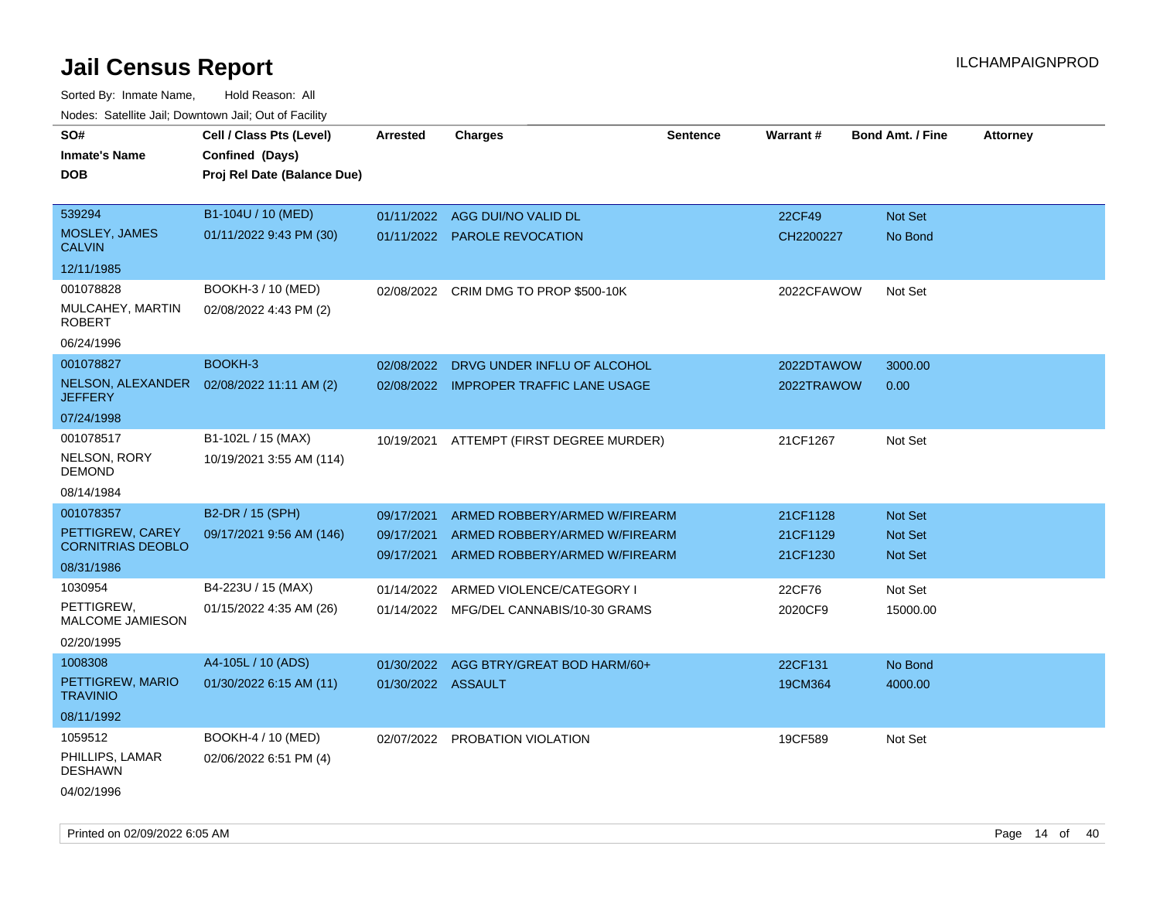| SO#<br><b>Inmate's Name</b>                  | Cell / Class Pts (Level)<br>Confined (Days) | <b>Arrested</b>    | <b>Charges</b>                                                 | <b>Sentence</b> | Warrant#   | <b>Bond Amt. / Fine</b>          | <b>Attorney</b> |
|----------------------------------------------|---------------------------------------------|--------------------|----------------------------------------------------------------|-----------------|------------|----------------------------------|-----------------|
| DOB.                                         | Proj Rel Date (Balance Due)                 |                    |                                                                |                 |            |                                  |                 |
| 539294                                       | B1-104U / 10 (MED)                          | 01/11/2022         | AGG DUI/NO VALID DL                                            |                 | 22CF49     | <b>Not Set</b>                   |                 |
| MOSLEY, JAMES<br><b>CALVIN</b>               | 01/11/2022 9:43 PM (30)                     |                    | 01/11/2022 PAROLE REVOCATION                                   |                 | CH2200227  | No Bond                          |                 |
| 12/11/1985                                   |                                             |                    |                                                                |                 |            |                                  |                 |
| 001078828                                    | BOOKH-3 / 10 (MED)                          |                    | 02/08/2022 CRIM DMG TO PROP \$500-10K                          |                 | 2022CFAWOW | Not Set                          |                 |
| MULCAHEY, MARTIN<br><b>ROBERT</b>            | 02/08/2022 4:43 PM (2)                      |                    |                                                                |                 |            |                                  |                 |
| 06/24/1996                                   |                                             |                    |                                                                |                 |            |                                  |                 |
| 001078827                                    | BOOKH-3                                     | 02/08/2022         | DRVG UNDER INFLU OF ALCOHOL                                    |                 | 2022DTAWOW | 3000.00                          |                 |
| NELSON, ALEXANDER<br><b>JEFFERY</b>          | 02/08/2022 11:11 AM (2)                     |                    | 02/08/2022 IMPROPER TRAFFIC LANE USAGE                         |                 | 2022TRAWOW | 0.00                             |                 |
| 07/24/1998                                   |                                             |                    |                                                                |                 |            |                                  |                 |
| 001078517                                    | B1-102L / 15 (MAX)                          |                    | 10/19/2021 ATTEMPT (FIRST DEGREE MURDER)                       |                 | 21CF1267   | Not Set                          |                 |
| NELSON, RORY<br><b>DEMOND</b>                | 10/19/2021 3:55 AM (114)                    |                    |                                                                |                 |            |                                  |                 |
| 08/14/1984                                   |                                             |                    |                                                                |                 |            |                                  |                 |
| 001078357                                    | B2-DR / 15 (SPH)                            | 09/17/2021         | ARMED ROBBERY/ARMED W/FIREARM                                  |                 | 21CF1128   | <b>Not Set</b>                   |                 |
| PETTIGREW, CAREY<br><b>CORNITRIAS DEOBLO</b> | 09/17/2021 9:56 AM (146)                    | 09/17/2021         | ARMED ROBBERY/ARMED W/FIREARM<br>ARMED ROBBERY/ARMED W/FIREARM |                 | 21CF1129   | <b>Not Set</b><br><b>Not Set</b> |                 |
| 08/31/1986                                   |                                             | 09/17/2021         |                                                                |                 | 21CF1230   |                                  |                 |
| 1030954                                      | B4-223U / 15 (MAX)                          | 01/14/2022         | ARMED VIOLENCE/CATEGORY I                                      |                 | 22CF76     | Not Set                          |                 |
| PETTIGREW,<br><b>MALCOME JAMIESON</b>        | 01/15/2022 4:35 AM (26)                     |                    | 01/14/2022 MFG/DEL CANNABIS/10-30 GRAMS                        |                 | 2020CF9    | 15000.00                         |                 |
| 02/20/1995                                   |                                             |                    |                                                                |                 |            |                                  |                 |
| 1008308                                      | A4-105L / 10 (ADS)                          | 01/30/2022         | AGG BTRY/GREAT BOD HARM/60+                                    |                 | 22CF131    | No Bond                          |                 |
| PETTIGREW, MARIO<br><b>TRAVINIO</b>          | 01/30/2022 6:15 AM (11)                     | 01/30/2022 ASSAULT |                                                                |                 | 19CM364    | 4000.00                          |                 |
| 08/11/1992                                   |                                             |                    |                                                                |                 |            |                                  |                 |
| 1059512                                      | BOOKH-4 / 10 (MED)                          | 02/07/2022         | PROBATION VIOLATION                                            |                 | 19CF589    | Not Set                          |                 |
| PHILLIPS, LAMAR<br><b>DESHAWN</b>            | 02/06/2022 6:51 PM (4)                      |                    |                                                                |                 |            |                                  |                 |
| 04/02/1996                                   |                                             |                    |                                                                |                 |            |                                  |                 |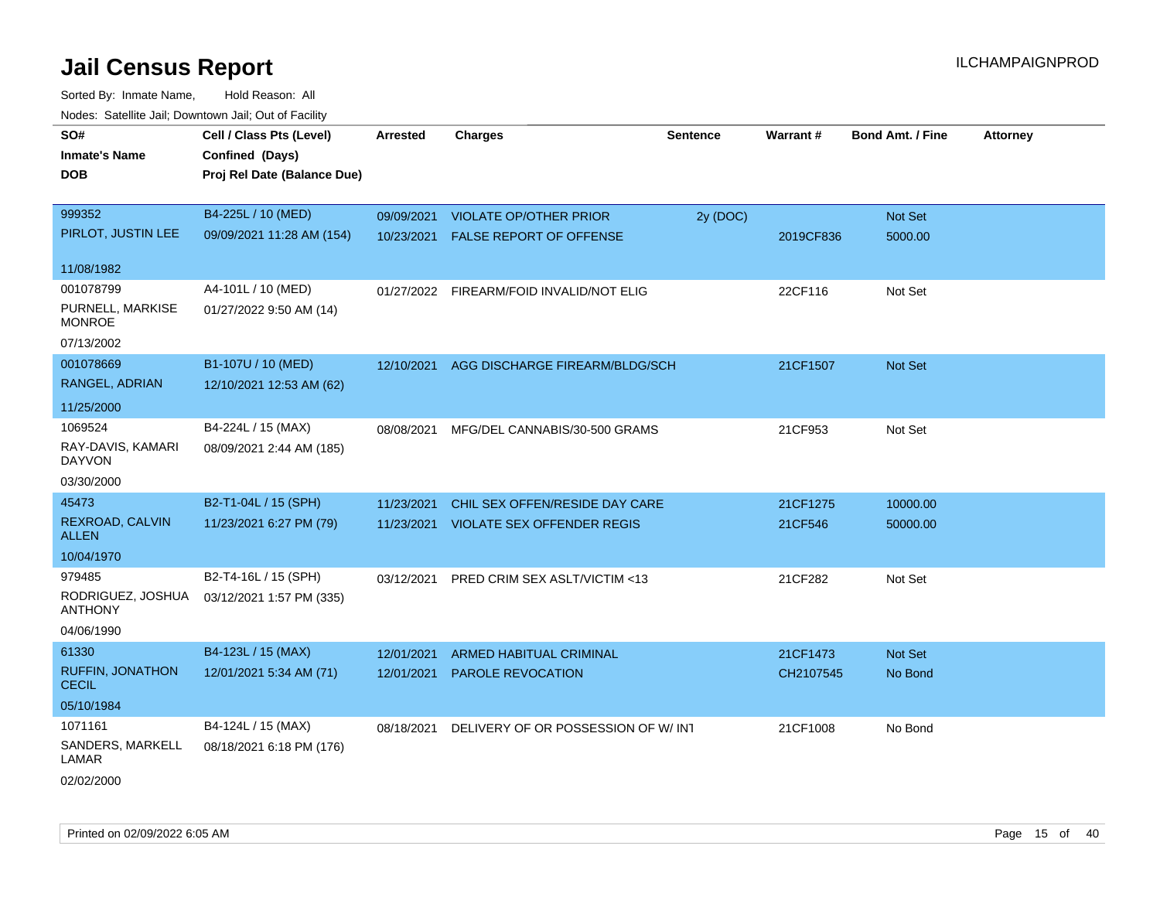| SO#<br><b>Inmate's Name</b><br><b>DOB</b>                                  | Cell / Class Pts (Level)<br>Confined (Days)<br>Proj Rel Date (Balance Due) | <b>Arrested</b>          | <b>Charges</b>                                                          | <b>Sentence</b> | Warrant#              | <b>Bond Amt. / Fine</b> | <b>Attorney</b> |
|----------------------------------------------------------------------------|----------------------------------------------------------------------------|--------------------------|-------------------------------------------------------------------------|-----------------|-----------------------|-------------------------|-----------------|
| 999352<br>PIRLOT, JUSTIN LEE                                               | B4-225L / 10 (MED)<br>09/09/2021 11:28 AM (154)                            | 10/23/2021               | 09/09/2021 VIOLATE OP/OTHER PRIOR<br><b>FALSE REPORT OF OFFENSE</b>     | 2y (DOC)        | 2019CF836             | Not Set<br>5000.00      |                 |
| 11/08/1982<br>001078799<br>PURNELL, MARKISE<br><b>MONROE</b><br>07/13/2002 | A4-101L / 10 (MED)<br>01/27/2022 9:50 AM (14)                              |                          | 01/27/2022 FIREARM/FOID INVALID/NOT ELIG                                |                 | 22CF116               | Not Set                 |                 |
| 001078669<br>RANGEL, ADRIAN<br>11/25/2000                                  | B1-107U / 10 (MED)<br>12/10/2021 12:53 AM (62)                             | 12/10/2021               | AGG DISCHARGE FIREARM/BLDG/SCH                                          |                 | 21CF1507              | Not Set                 |                 |
| 1069524<br>RAY-DAVIS, KAMARI<br><b>DAYVON</b><br>03/30/2000                | B4-224L / 15 (MAX)<br>08/09/2021 2:44 AM (185)                             | 08/08/2021               | MFG/DEL CANNABIS/30-500 GRAMS                                           |                 | 21CF953               | Not Set                 |                 |
| 45473<br>REXROAD, CALVIN<br><b>ALLEN</b><br>10/04/1970                     | B2-T1-04L / 15 (SPH)<br>11/23/2021 6:27 PM (79)                            | 11/23/2021               | CHIL SEX OFFEN/RESIDE DAY CARE<br>11/23/2021 VIOLATE SEX OFFENDER REGIS |                 | 21CF1275<br>21CF546   | 10000.00<br>50000.00    |                 |
| 979485<br>RODRIGUEZ, JOSHUA<br><b>ANTHONY</b><br>04/06/1990                | B2-T4-16L / 15 (SPH)<br>03/12/2021 1:57 PM (335)                           | 03/12/2021               | PRED CRIM SEX ASLT/VICTIM <13                                           |                 | 21CF282               | Not Set                 |                 |
| 61330<br><b>RUFFIN, JONATHON</b><br><b>CECIL</b><br>05/10/1984             | B4-123L / 15 (MAX)<br>12/01/2021 5:34 AM (71)                              | 12/01/2021<br>12/01/2021 | ARMED HABITUAL CRIMINAL<br>PAROLE REVOCATION                            |                 | 21CF1473<br>CH2107545 | Not Set<br>No Bond      |                 |
| 1071161<br>SANDERS, MARKELL<br>LAMAR<br>02/02/2000                         | B4-124L / 15 (MAX)<br>08/18/2021 6:18 PM (176)                             | 08/18/2021               | DELIVERY OF OR POSSESSION OF W/IN1                                      |                 | 21CF1008              | No Bond                 |                 |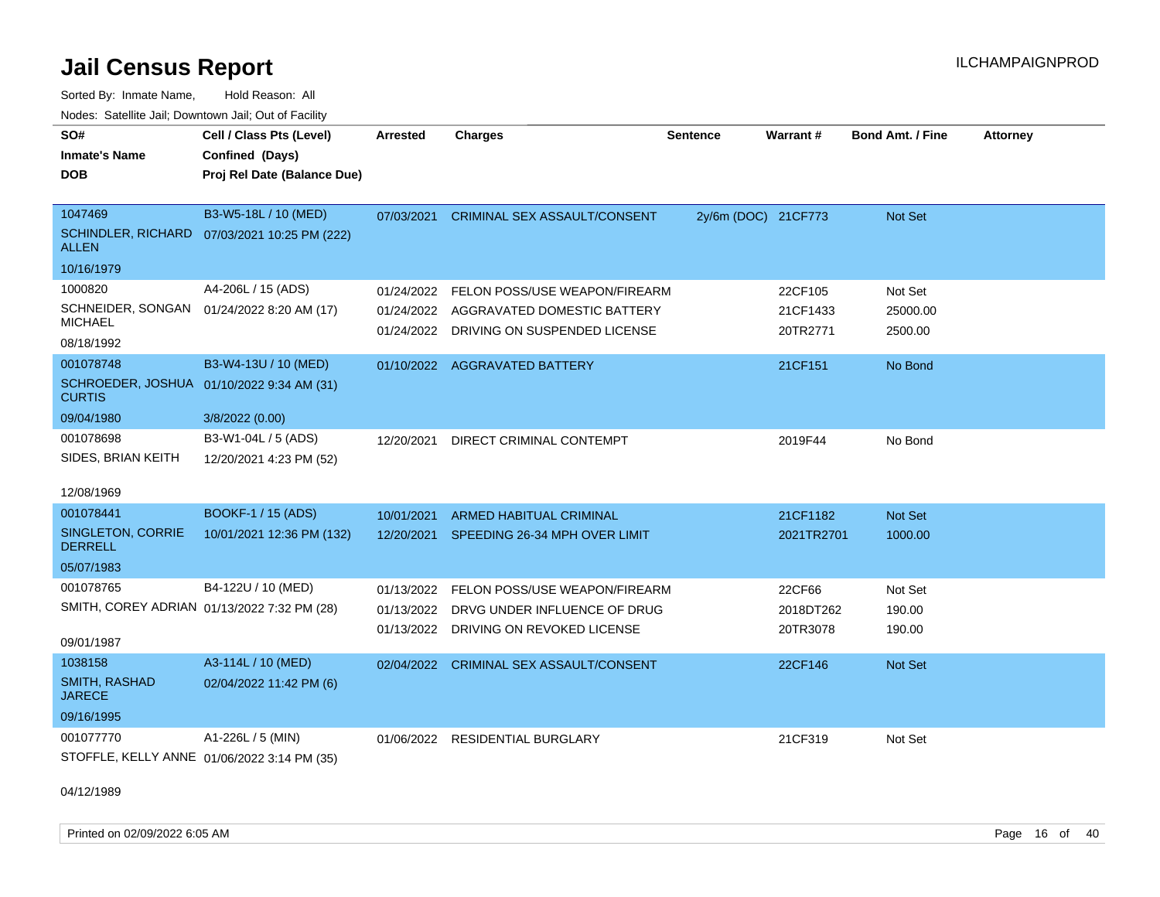Sorted By: Inmate Name, Hold Reason: All Nodes: Satellite Jail; Downtown Jail; Out of Facility

| SO#                                                        | Cell / Class Pts (Level)                     | <b>Arrested</b> | <b>Charges</b>                           | <b>Sentence</b>     | Warrant#   | Bond Amt. / Fine | <b>Attorney</b> |
|------------------------------------------------------------|----------------------------------------------|-----------------|------------------------------------------|---------------------|------------|------------------|-----------------|
| <b>Inmate's Name</b>                                       | Confined (Days)                              |                 |                                          |                     |            |                  |                 |
| <b>DOB</b>                                                 | Proj Rel Date (Balance Due)                  |                 |                                          |                     |            |                  |                 |
|                                                            |                                              |                 |                                          |                     |            |                  |                 |
| 1047469                                                    | B3-W5-18L / 10 (MED)                         | 07/03/2021      | CRIMINAL SEX ASSAULT/CONSENT             | 2y/6m (DOC) 21CF773 |            | Not Set          |                 |
| <b>ALLEN</b>                                               | SCHINDLER, RICHARD 07/03/2021 10:25 PM (222) |                 |                                          |                     |            |                  |                 |
| 10/16/1979                                                 |                                              |                 |                                          |                     |            |                  |                 |
| 1000820                                                    | A4-206L / 15 (ADS)                           | 01/24/2022      | FELON POSS/USE WEAPON/FIREARM            |                     | 22CF105    | Not Set          |                 |
| SCHNEIDER, SONGAN 01/24/2022 8:20 AM (17)                  |                                              |                 | 01/24/2022 AGGRAVATED DOMESTIC BATTERY   |                     | 21CF1433   | 25000.00         |                 |
| <b>MICHAEL</b>                                             |                                              |                 | 01/24/2022 DRIVING ON SUSPENDED LICENSE  |                     | 20TR2771   | 2500.00          |                 |
| 08/18/1992                                                 |                                              |                 |                                          |                     |            |                  |                 |
| 001078748                                                  | B3-W4-13U / 10 (MED)                         |                 | 01/10/2022 AGGRAVATED BATTERY            |                     | 21CF151    | No Bond          |                 |
| SCHROEDER, JOSHUA 01/10/2022 9:34 AM (31)<br><b>CURTIS</b> |                                              |                 |                                          |                     |            |                  |                 |
| 09/04/1980                                                 | 3/8/2022 (0.00)                              |                 |                                          |                     |            |                  |                 |
| 001078698                                                  | B3-W1-04L / 5 (ADS)                          | 12/20/2021      | DIRECT CRIMINAL CONTEMPT                 |                     | 2019F44    | No Bond          |                 |
| SIDES, BRIAN KEITH                                         | 12/20/2021 4:23 PM (52)                      |                 |                                          |                     |            |                  |                 |
| 12/08/1969                                                 |                                              |                 |                                          |                     |            |                  |                 |
| 001078441                                                  | BOOKF-1 / 15 (ADS)                           | 10/01/2021      | <b>ARMED HABITUAL CRIMINAL</b>           |                     | 21CF1182   | Not Set          |                 |
| SINGLETON, CORRIE<br><b>DERRELL</b>                        | 10/01/2021 12:36 PM (132)                    |                 | 12/20/2021 SPEEDING 26-34 MPH OVER LIMIT |                     | 2021TR2701 | 1000.00          |                 |
| 05/07/1983                                                 |                                              |                 |                                          |                     |            |                  |                 |
| 001078765                                                  | B4-122U / 10 (MED)                           | 01/13/2022      | FELON POSS/USE WEAPON/FIREARM            |                     | 22CF66     | Not Set          |                 |
| SMITH, COREY ADRIAN 01/13/2022 7:32 PM (28)                |                                              | 01/13/2022      | DRVG UNDER INFLUENCE OF DRUG             |                     | 2018DT262  | 190.00           |                 |
|                                                            |                                              | 01/13/2022      | DRIVING ON REVOKED LICENSE               |                     | 20TR3078   | 190.00           |                 |
| 09/01/1987                                                 |                                              |                 |                                          |                     |            |                  |                 |
| 1038158                                                    | A3-114L / 10 (MED)                           |                 | 02/04/2022 CRIMINAL SEX ASSAULT/CONSENT  |                     | 22CF146    | Not Set          |                 |
| <b>SMITH, RASHAD</b><br><b>JARECE</b>                      | 02/04/2022 11:42 PM (6)                      |                 |                                          |                     |            |                  |                 |
| 09/16/1995                                                 |                                              |                 |                                          |                     |            |                  |                 |
| 001077770                                                  | A1-226L / 5 (MIN)                            | 01/06/2022      | <b>RESIDENTIAL BURGLARY</b>              |                     | 21CF319    | Not Set          |                 |
| STOFFLE, KELLY ANNE 01/06/2022 3:14 PM (35)                |                                              |                 |                                          |                     |            |                  |                 |

04/12/1989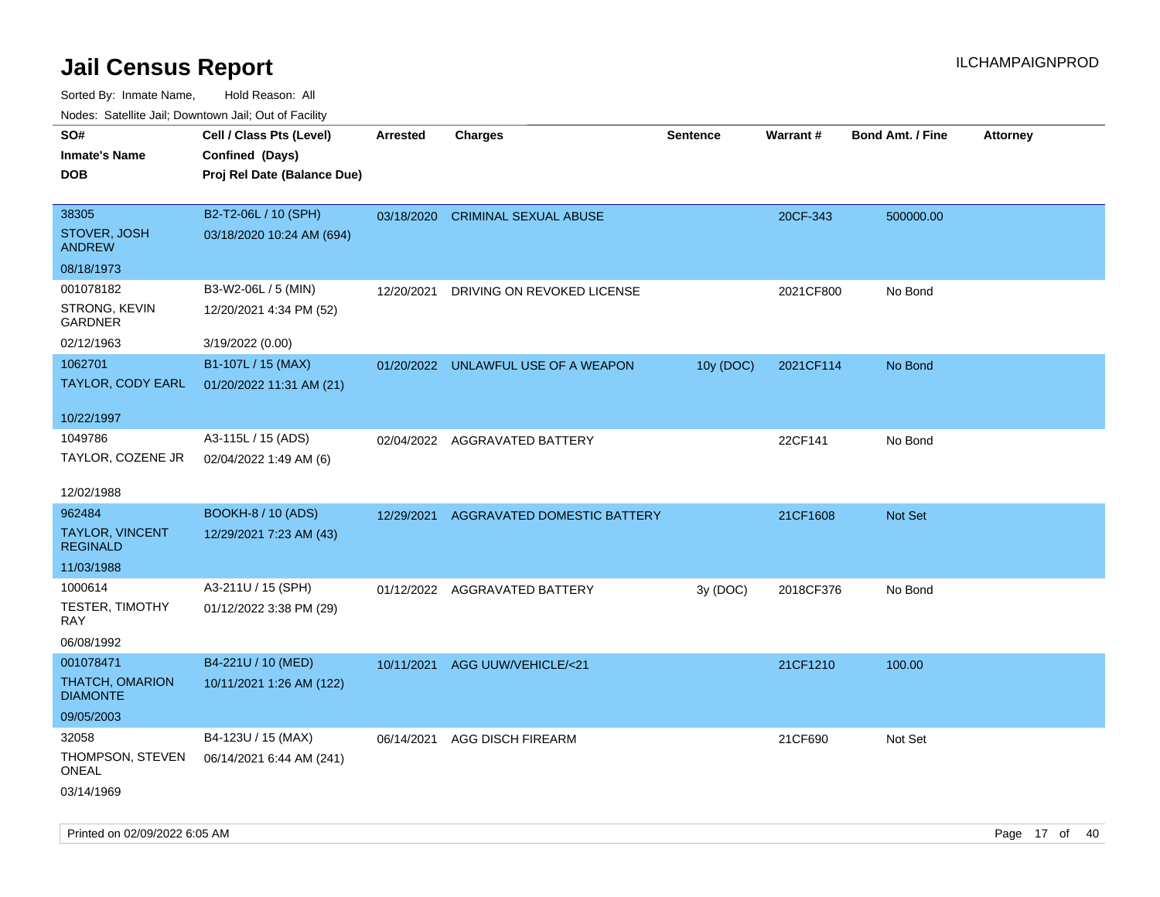Sorted By: Inmate Name, Hold Reason: All Nodes: Satellite Jail; Downtown Jail; Out of Facility

| ivouss. Satellite Jall, Downtown Jall, Out of Facility |                             |                 |                                     |                 |           |                         |                 |
|--------------------------------------------------------|-----------------------------|-----------------|-------------------------------------|-----------------|-----------|-------------------------|-----------------|
| SO#                                                    | Cell / Class Pts (Level)    | <b>Arrested</b> | <b>Charges</b>                      | <b>Sentence</b> | Warrant#  | <b>Bond Amt. / Fine</b> | <b>Attorney</b> |
| <b>Inmate's Name</b>                                   | Confined (Days)             |                 |                                     |                 |           |                         |                 |
| <b>DOB</b>                                             | Proj Rel Date (Balance Due) |                 |                                     |                 |           |                         |                 |
|                                                        |                             |                 |                                     |                 |           |                         |                 |
| 38305                                                  | B2-T2-06L / 10 (SPH)        |                 | 03/18/2020 CRIMINAL SEXUAL ABUSE    |                 | 20CF-343  | 500000.00               |                 |
| STOVER, JOSH<br><b>ANDREW</b>                          | 03/18/2020 10:24 AM (694)   |                 |                                     |                 |           |                         |                 |
| 08/18/1973                                             |                             |                 |                                     |                 |           |                         |                 |
| 001078182                                              | B3-W2-06L / 5 (MIN)         | 12/20/2021      | DRIVING ON REVOKED LICENSE          |                 | 2021CF800 | No Bond                 |                 |
| STRONG, KEVIN<br><b>GARDNER</b>                        | 12/20/2021 4:34 PM (52)     |                 |                                     |                 |           |                         |                 |
| 02/12/1963                                             | 3/19/2022 (0.00)            |                 |                                     |                 |           |                         |                 |
| 1062701                                                | B1-107L / 15 (MAX)          |                 | 01/20/2022 UNLAWFUL USE OF A WEAPON | 10y (DOC)       | 2021CF114 | No Bond                 |                 |
| <b>TAYLOR, CODY EARL</b>                               | 01/20/2022 11:31 AM (21)    |                 |                                     |                 |           |                         |                 |
|                                                        |                             |                 |                                     |                 |           |                         |                 |
| 10/22/1997                                             |                             |                 |                                     |                 |           |                         |                 |
| 1049786                                                | A3-115L / 15 (ADS)          | 02/04/2022      | AGGRAVATED BATTERY                  |                 | 22CF141   | No Bond                 |                 |
| TAYLOR, COZENE JR                                      | 02/04/2022 1:49 AM (6)      |                 |                                     |                 |           |                         |                 |
| 12/02/1988                                             |                             |                 |                                     |                 |           |                         |                 |
| 962484                                                 | <b>BOOKH-8 / 10 (ADS)</b>   | 12/29/2021      | <b>AGGRAVATED DOMESTIC BATTERY</b>  |                 | 21CF1608  | <b>Not Set</b>          |                 |
| <b>TAYLOR, VINCENT</b><br><b>REGINALD</b>              | 12/29/2021 7:23 AM (43)     |                 |                                     |                 |           |                         |                 |
| 11/03/1988                                             |                             |                 |                                     |                 |           |                         |                 |
| 1000614                                                | A3-211U / 15 (SPH)          |                 | 01/12/2022 AGGRAVATED BATTERY       | 3y (DOC)        | 2018CF376 | No Bond                 |                 |
| <b>TESTER, TIMOTHY</b><br>RAY.                         | 01/12/2022 3:38 PM (29)     |                 |                                     |                 |           |                         |                 |
| 06/08/1992                                             |                             |                 |                                     |                 |           |                         |                 |
| 001078471                                              | B4-221U / 10 (MED)          | 10/11/2021      | AGG UUW/VEHICLE/<21                 |                 | 21CF1210  | 100.00                  |                 |
| <b>THATCH, OMARION</b><br><b>DIAMONTE</b>              | 10/11/2021 1:26 AM (122)    |                 |                                     |                 |           |                         |                 |
| 09/05/2003                                             |                             |                 |                                     |                 |           |                         |                 |
| 32058                                                  | B4-123U / 15 (MAX)          | 06/14/2021      | <b>AGG DISCH FIREARM</b>            |                 | 21CF690   | Not Set                 |                 |
| THOMPSON, STEVEN<br>ONEAL                              | 06/14/2021 6:44 AM (241)    |                 |                                     |                 |           |                         |                 |
| 03/14/1969                                             |                             |                 |                                     |                 |           |                         |                 |

Printed on 02/09/2022 6:05 AM Page 17 of 40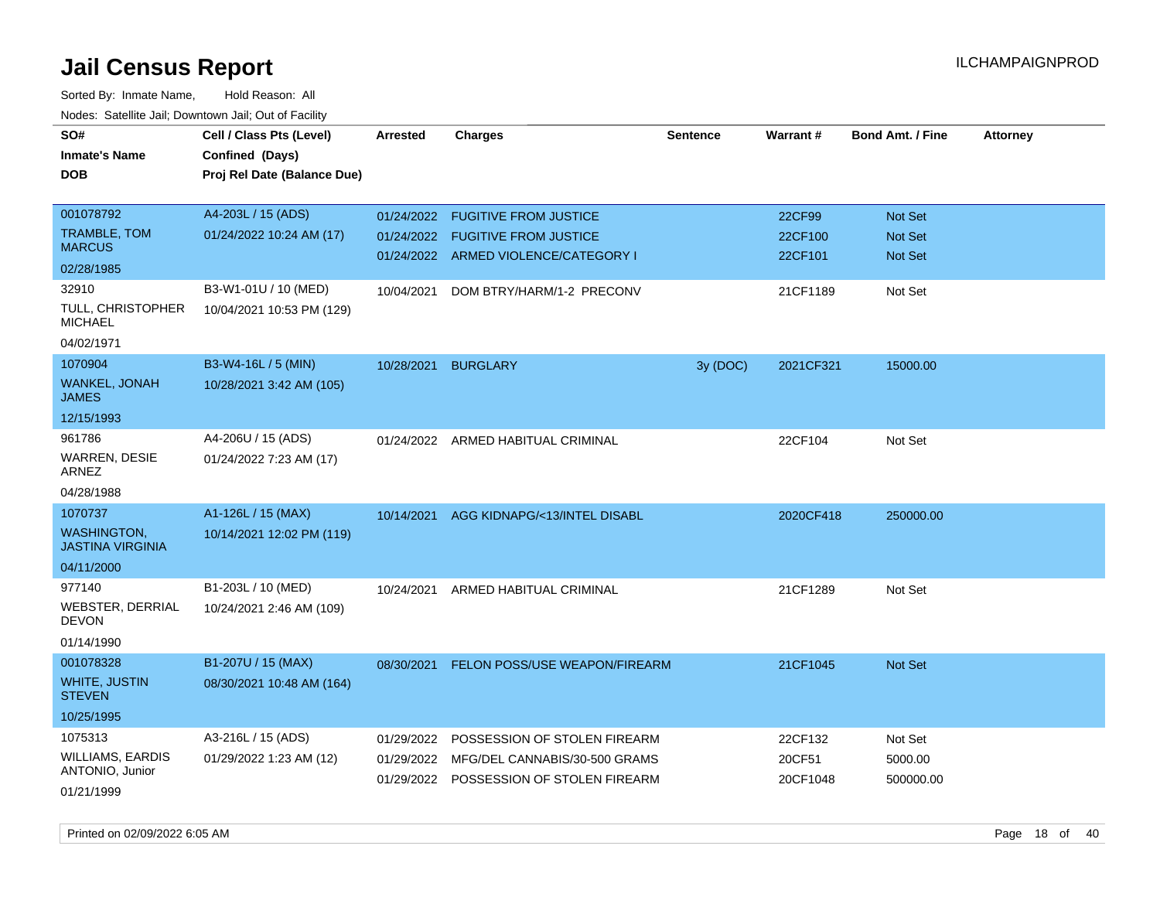| SO#                                           |                             |                 |                                          |                 |           |                         |                 |
|-----------------------------------------------|-----------------------------|-----------------|------------------------------------------|-----------------|-----------|-------------------------|-----------------|
|                                               | Cell / Class Pts (Level)    | <b>Arrested</b> | <b>Charges</b>                           | <b>Sentence</b> | Warrant#  | <b>Bond Amt. / Fine</b> | <b>Attorney</b> |
| <b>Inmate's Name</b>                          | Confined (Days)             |                 |                                          |                 |           |                         |                 |
| <b>DOB</b>                                    | Proj Rel Date (Balance Due) |                 |                                          |                 |           |                         |                 |
|                                               |                             |                 |                                          |                 |           |                         |                 |
| 001078792                                     | A4-203L / 15 (ADS)          | 01/24/2022      | <b>FUGITIVE FROM JUSTICE</b>             |                 | 22CF99    | <b>Not Set</b>          |                 |
| TRAMBLE, TOM<br><b>MARCUS</b>                 | 01/24/2022 10:24 AM (17)    | 01/24/2022      | <b>FUGITIVE FROM JUSTICE</b>             |                 | 22CF100   | Not Set                 |                 |
| 02/28/1985                                    |                             |                 | 01/24/2022 ARMED VIOLENCE/CATEGORY I     |                 | 22CF101   | <b>Not Set</b>          |                 |
| 32910                                         | B3-W1-01U / 10 (MED)        |                 | DOM BTRY/HARM/1-2 PRECONV                |                 | 21CF1189  | Not Set                 |                 |
| TULL, CHRISTOPHER                             |                             | 10/04/2021      |                                          |                 |           |                         |                 |
| <b>MICHAEL</b>                                | 10/04/2021 10:53 PM (129)   |                 |                                          |                 |           |                         |                 |
| 04/02/1971                                    |                             |                 |                                          |                 |           |                         |                 |
| 1070904                                       | B3-W4-16L / 5 (MIN)         | 10/28/2021      | <b>BURGLARY</b>                          | 3y (DOC)        | 2021CF321 | 15000.00                |                 |
| <b>WANKEL, JONAH</b><br>JAMES                 | 10/28/2021 3:42 AM (105)    |                 |                                          |                 |           |                         |                 |
| 12/15/1993                                    |                             |                 |                                          |                 |           |                         |                 |
| 961786                                        | A4-206U / 15 (ADS)          |                 | 01/24/2022 ARMED HABITUAL CRIMINAL       |                 | 22CF104   | Not Set                 |                 |
| <b>WARREN, DESIE</b><br>ARNEZ                 | 01/24/2022 7:23 AM (17)     |                 |                                          |                 |           |                         |                 |
| 04/28/1988                                    |                             |                 |                                          |                 |           |                         |                 |
| 1070737                                       | A1-126L / 15 (MAX)          | 10/14/2021      | AGG KIDNAPG/<13/INTEL DISABL             |                 | 2020CF418 | 250000.00               |                 |
| <b>WASHINGTON,</b><br><b>JASTINA VIRGINIA</b> | 10/14/2021 12:02 PM (119)   |                 |                                          |                 |           |                         |                 |
| 04/11/2000                                    |                             |                 |                                          |                 |           |                         |                 |
| 977140                                        | B1-203L / 10 (MED)          | 10/24/2021      | ARMED HABITUAL CRIMINAL                  |                 | 21CF1289  | Not Set                 |                 |
| WEBSTER, DERRIAL<br><b>DEVON</b>              | 10/24/2021 2:46 AM (109)    |                 |                                          |                 |           |                         |                 |
| 01/14/1990                                    |                             |                 |                                          |                 |           |                         |                 |
| 001078328                                     | B1-207U / 15 (MAX)          |                 | 08/30/2021 FELON POSS/USE WEAPON/FIREARM |                 | 21CF1045  | Not Set                 |                 |
| <b>WHITE, JUSTIN</b><br><b>STEVEN</b>         | 08/30/2021 10:48 AM (164)   |                 |                                          |                 |           |                         |                 |
| 10/25/1995                                    |                             |                 |                                          |                 |           |                         |                 |
| 1075313                                       | A3-216L / 15 (ADS)          | 01/29/2022      | POSSESSION OF STOLEN FIREARM             |                 | 22CF132   | Not Set                 |                 |
| <b>WILLIAMS, EARDIS</b>                       | 01/29/2022 1:23 AM (12)     | 01/29/2022      | MFG/DEL CANNABIS/30-500 GRAMS            |                 | 20CF51    | 5000.00                 |                 |
| <b>ANTONIO, Junior</b>                        |                             |                 | 01/29/2022 POSSESSION OF STOLEN FIREARM  |                 | 20CF1048  | 500000.00               |                 |
| 01/21/1999                                    |                             |                 |                                          |                 |           |                         |                 |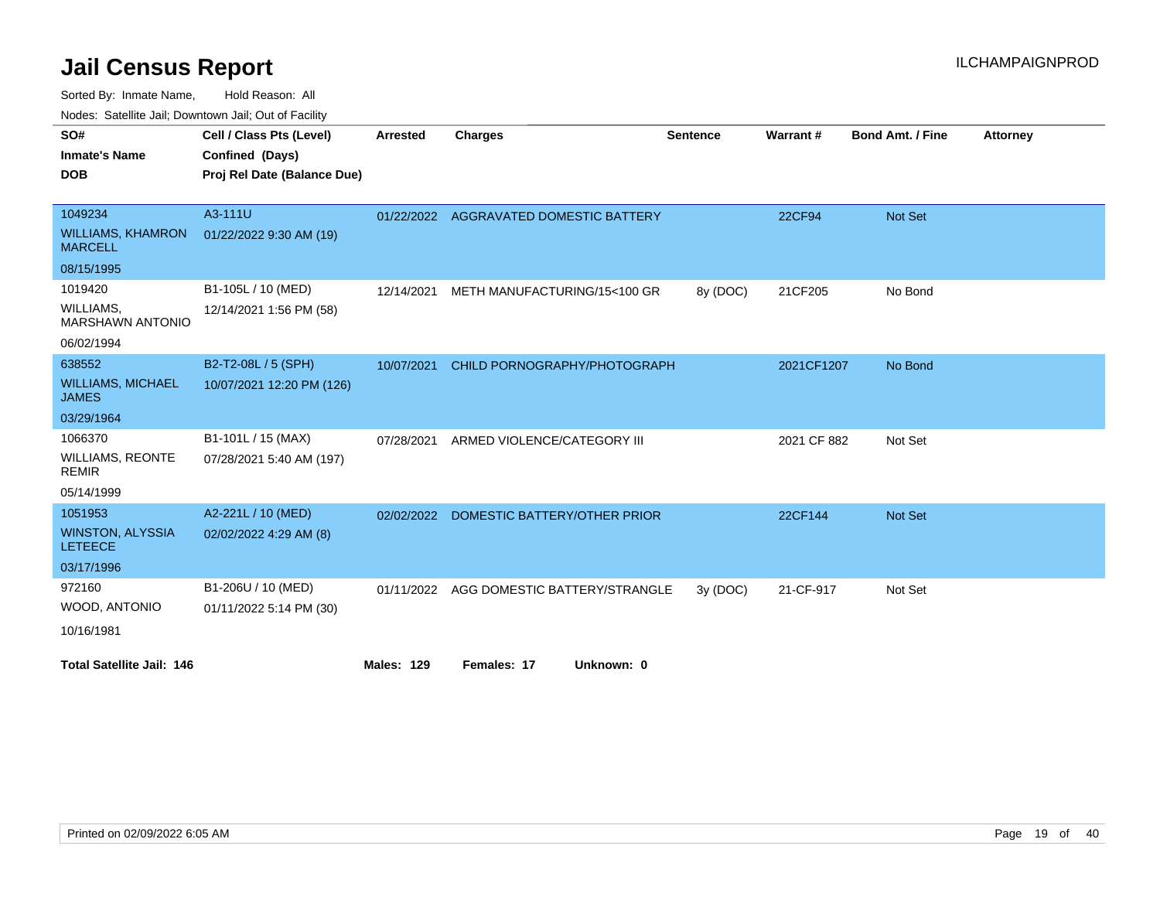Sorted By: Inmate Name, Hold Reason: All

Nodes: Satellite Jail; Downtown Jail; Out of Facility

| SO#                                        | Cell / Class Pts (Level)    | <b>Arrested</b>   | <b>Charges</b>                           | <b>Sentence</b> | Warrant#    | <b>Bond Amt. / Fine</b> | <b>Attorney</b> |
|--------------------------------------------|-----------------------------|-------------------|------------------------------------------|-----------------|-------------|-------------------------|-----------------|
| <b>Inmate's Name</b>                       | Confined (Days)             |                   |                                          |                 |             |                         |                 |
| <b>DOB</b>                                 | Proj Rel Date (Balance Due) |                   |                                          |                 |             |                         |                 |
|                                            |                             |                   |                                          |                 |             |                         |                 |
| 1049234                                    | A3-111U                     |                   | 01/22/2022 AGGRAVATED DOMESTIC BATTERY   |                 | 22CF94      | <b>Not Set</b>          |                 |
| <b>WILLIAMS, KHAMRON</b><br><b>MARCELL</b> | 01/22/2022 9:30 AM (19)     |                   |                                          |                 |             |                         |                 |
| 08/15/1995                                 |                             |                   |                                          |                 |             |                         |                 |
| 1019420                                    | B1-105L / 10 (MED)          | 12/14/2021        | METH MANUFACTURING/15<100 GR             | 8y (DOC)        | 21CF205     | No Bond                 |                 |
| WILLIAMS,<br><b>MARSHAWN ANTONIO</b>       | 12/14/2021 1:56 PM (58)     |                   |                                          |                 |             |                         |                 |
| 06/02/1994                                 |                             |                   |                                          |                 |             |                         |                 |
| 638552                                     | B2-T2-08L / 5 (SPH)         | 10/07/2021        | CHILD PORNOGRAPHY/PHOTOGRAPH             |                 | 2021CF1207  | No Bond                 |                 |
| <b>WILLIAMS, MICHAEL</b><br><b>JAMES</b>   | 10/07/2021 12:20 PM (126)   |                   |                                          |                 |             |                         |                 |
| 03/29/1964                                 |                             |                   |                                          |                 |             |                         |                 |
| 1066370                                    | B1-101L / 15 (MAX)          | 07/28/2021        | ARMED VIOLENCE/CATEGORY III              |                 | 2021 CF 882 | Not Set                 |                 |
| WILLIAMS, REONTE<br><b>REMIR</b>           | 07/28/2021 5:40 AM (197)    |                   |                                          |                 |             |                         |                 |
| 05/14/1999                                 |                             |                   |                                          |                 |             |                         |                 |
| 1051953                                    | A2-221L / 10 (MED)          | 02/02/2022        | DOMESTIC BATTERY/OTHER PRIOR             |                 | 22CF144     | Not Set                 |                 |
| <b>WINSTON, ALYSSIA</b><br><b>LETEECE</b>  | 02/02/2022 4:29 AM (8)      |                   |                                          |                 |             |                         |                 |
| 03/17/1996                                 |                             |                   |                                          |                 |             |                         |                 |
| 972160                                     | B1-206U / 10 (MED)          |                   | 01/11/2022 AGG DOMESTIC BATTERY/STRANGLE | 3y (DOC)        | 21-CF-917   | Not Set                 |                 |
| WOOD, ANTONIO                              | 01/11/2022 5:14 PM (30)     |                   |                                          |                 |             |                         |                 |
| 10/16/1981                                 |                             |                   |                                          |                 |             |                         |                 |
| <b>Total Satellite Jail: 146</b>           |                             | <b>Males: 129</b> | Females: 17<br>Unknown: 0                |                 |             |                         |                 |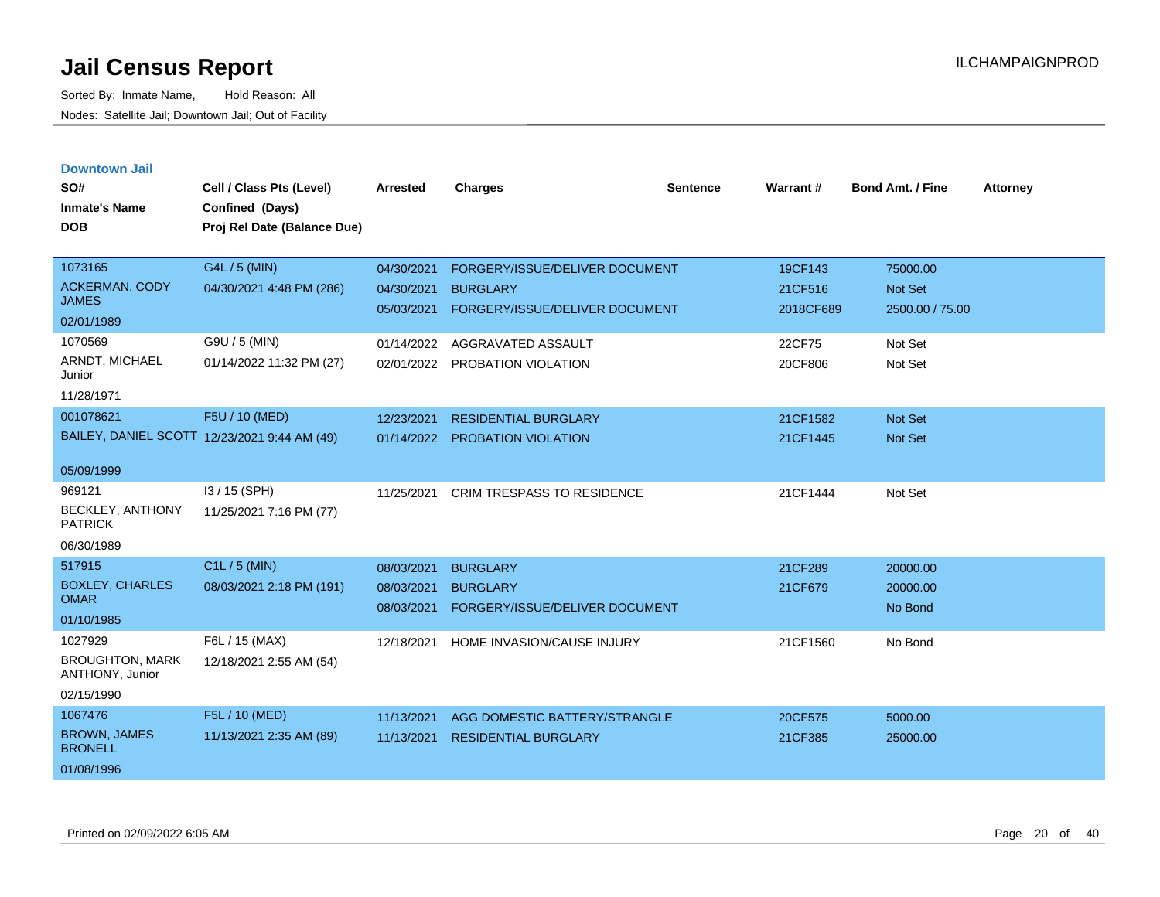| <b>Downtown Jail</b> |  |
|----------------------|--|
|                      |  |

| SO#<br><b>Inmate's Name</b>           | Cell / Class Pts (Level)<br>Confined (Days)  | <b>Arrested</b> | <b>Charges</b>                    | <b>Sentence</b> | Warrant#  | <b>Bond Amt. / Fine</b> | <b>Attorney</b> |
|---------------------------------------|----------------------------------------------|-----------------|-----------------------------------|-----------------|-----------|-------------------------|-----------------|
| <b>DOB</b>                            | Proj Rel Date (Balance Due)                  |                 |                                   |                 |           |                         |                 |
| 1073165                               | G4L / 5 (MIN)                                | 04/30/2021      | FORGERY/ISSUE/DELIVER DOCUMENT    |                 | 19CF143   | 75000.00                |                 |
| <b>ACKERMAN, CODY</b><br><b>JAMES</b> | 04/30/2021 4:48 PM (286)                     | 04/30/2021      | <b>BURGLARY</b>                   |                 | 21CF516   | Not Set                 |                 |
| 02/01/1989                            |                                              | 05/03/2021      | FORGERY/ISSUE/DELIVER DOCUMENT    |                 | 2018CF689 | 2500.00 / 75.00         |                 |
| 1070569                               | G9U / 5 (MIN)                                | 01/14/2022      | AGGRAVATED ASSAULT                |                 | 22CF75    | Not Set                 |                 |
| ARNDT, MICHAEL                        | 01/14/2022 11:32 PM (27)                     | 02/01/2022      | PROBATION VIOLATION               |                 | 20CF806   | Not Set                 |                 |
| Junior<br>11/28/1971                  |                                              |                 |                                   |                 |           |                         |                 |
| 001078621                             | F5U / 10 (MED)                               | 12/23/2021      | <b>RESIDENTIAL BURGLARY</b>       |                 | 21CF1582  | Not Set                 |                 |
|                                       | BAILEY, DANIEL SCOTT 12/23/2021 9:44 AM (49) | 01/14/2022      | <b>PROBATION VIOLATION</b>        |                 | 21CF1445  | Not Set                 |                 |
|                                       |                                              |                 |                                   |                 |           |                         |                 |
| 05/09/1999                            |                                              |                 |                                   |                 |           |                         |                 |
| 969121                                | I3 / 15 (SPH)                                | 11/25/2021      | <b>CRIM TRESPASS TO RESIDENCE</b> |                 | 21CF1444  | Not Set                 |                 |
| BECKLEY, ANTHONY<br><b>PATRICK</b>    | 11/25/2021 7:16 PM (77)                      |                 |                                   |                 |           |                         |                 |
| 06/30/1989                            |                                              |                 |                                   |                 |           |                         |                 |
| 517915                                | C1L / 5 (MIN)                                | 08/03/2021      | <b>BURGLARY</b>                   |                 | 21CF289   | 20000.00                |                 |
| <b>BOXLEY, CHARLES</b>                | 08/03/2021 2:18 PM (191)                     | 08/03/2021      | <b>BURGLARY</b>                   |                 | 21CF679   | 20000.00                |                 |
| <b>OMAR</b><br>01/10/1985             |                                              | 08/03/2021      | FORGERY/ISSUE/DELIVER DOCUMENT    |                 |           | No Bond                 |                 |
| 1027929                               | F6L / 15 (MAX)                               | 12/18/2021      | HOME INVASION/CAUSE INJURY        |                 | 21CF1560  | No Bond                 |                 |
| <b>BROUGHTON, MARK</b>                | 12/18/2021 2:55 AM (54)                      |                 |                                   |                 |           |                         |                 |
| ANTHONY, Junior                       |                                              |                 |                                   |                 |           |                         |                 |
| 02/15/1990                            |                                              |                 |                                   |                 |           |                         |                 |
| 1067476                               | F5L / 10 (MED)                               | 11/13/2021      | AGG DOMESTIC BATTERY/STRANGLE     |                 | 20CF575   | 5000.00                 |                 |
| <b>BROWN, JAMES</b><br><b>BRONELL</b> | 11/13/2021 2:35 AM (89)                      | 11/13/2021      | <b>RESIDENTIAL BURGLARY</b>       |                 | 21CF385   | 25000.00                |                 |
| 01/08/1996                            |                                              |                 |                                   |                 |           |                         |                 |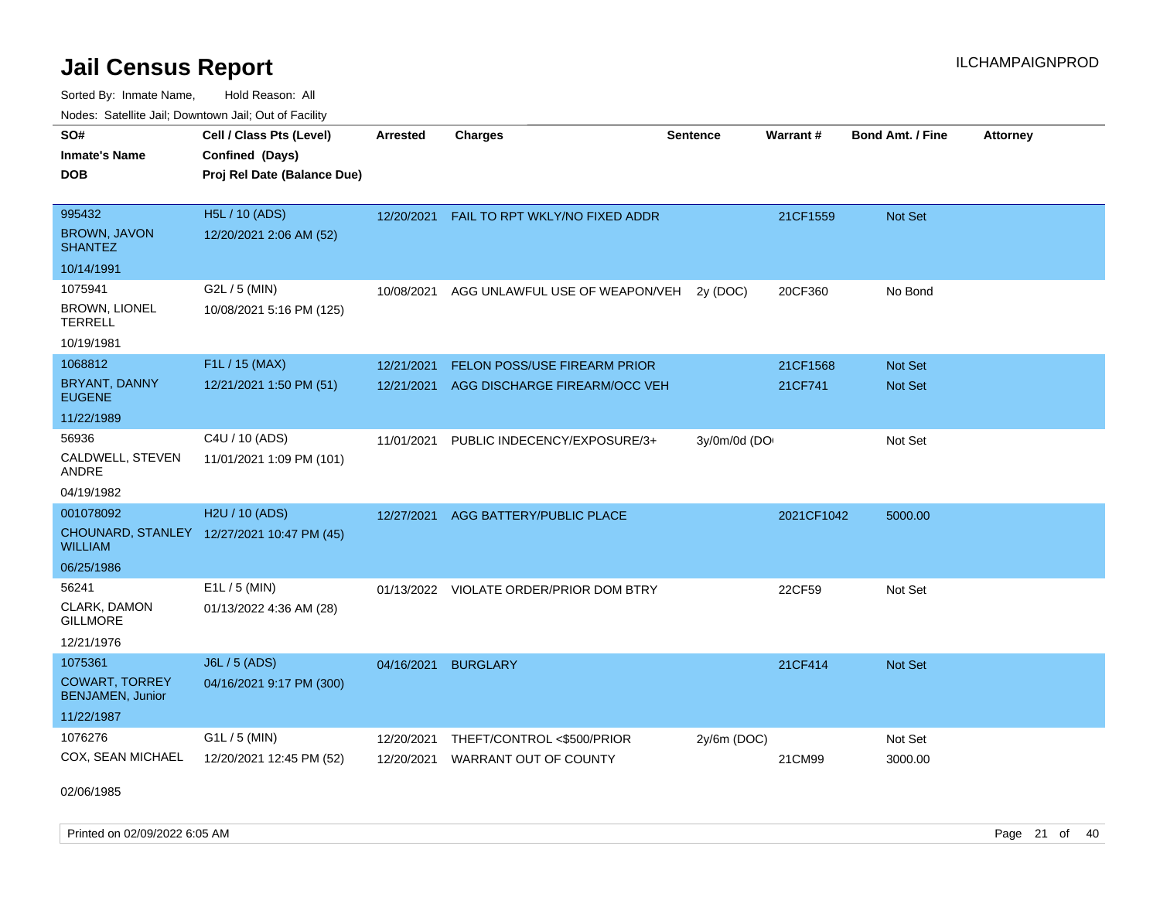Sorted By: Inmate Name, Hold Reason: All Nodes: Satellite Jail; Downtown Jail; Out of Facility

| SO#                                       | Cell / Class Pts (Level)                   | <b>Arrested</b> | <b>Charges</b>                          | <b>Sentence</b> | Warrant#   | <b>Bond Amt. / Fine</b> | <b>Attorney</b> |
|-------------------------------------------|--------------------------------------------|-----------------|-----------------------------------------|-----------------|------------|-------------------------|-----------------|
| <b>Inmate's Name</b>                      | Confined (Days)                            |                 |                                         |                 |            |                         |                 |
| <b>DOB</b>                                | Proj Rel Date (Balance Due)                |                 |                                         |                 |            |                         |                 |
|                                           |                                            |                 |                                         |                 |            |                         |                 |
| 995432                                    | H5L / 10 (ADS)                             | 12/20/2021      | FAIL TO RPT WKLY/NO FIXED ADDR          |                 | 21CF1559   | Not Set                 |                 |
| <b>BROWN, JAVON</b><br><b>SHANTEZ</b>     | 12/20/2021 2:06 AM (52)                    |                 |                                         |                 |            |                         |                 |
| 10/14/1991                                |                                            |                 |                                         |                 |            |                         |                 |
| 1075941                                   | G2L / 5 (MIN)                              | 10/08/2021      | AGG UNLAWFUL USE OF WEAPON/VEH          | 2y (DOC)        | 20CF360    | No Bond                 |                 |
| <b>BROWN, LIONEL</b><br><b>TERRELL</b>    | 10/08/2021 5:16 PM (125)                   |                 |                                         |                 |            |                         |                 |
| 10/19/1981                                |                                            |                 |                                         |                 |            |                         |                 |
| 1068812                                   | F1L / 15 (MAX)                             | 12/21/2021      | FELON POSS/USE FIREARM PRIOR            |                 | 21CF1568   | Not Set                 |                 |
| BRYANT, DANNY<br><b>EUGENE</b>            | 12/21/2021 1:50 PM (51)                    | 12/21/2021      | AGG DISCHARGE FIREARM/OCC VEH           |                 | 21CF741    | Not Set                 |                 |
| 11/22/1989                                |                                            |                 |                                         |                 |            |                         |                 |
| 56936                                     | C4U / 10 (ADS)                             | 11/01/2021      | PUBLIC INDECENCY/EXPOSURE/3+            | 3y/0m/0d (DO    |            | Not Set                 |                 |
| CALDWELL, STEVEN<br>ANDRE                 | 11/01/2021 1:09 PM (101)                   |                 |                                         |                 |            |                         |                 |
| 04/19/1982                                |                                            |                 |                                         |                 |            |                         |                 |
| 001078092                                 | H2U / 10 (ADS)                             | 12/27/2021      | AGG BATTERY/PUBLIC PLACE                |                 | 2021CF1042 | 5000.00                 |                 |
| <b>WILLIAM</b>                            | CHOUNARD, STANLEY 12/27/2021 10:47 PM (45) |                 |                                         |                 |            |                         |                 |
| 06/25/1986                                |                                            |                 |                                         |                 |            |                         |                 |
| 56241                                     | $E1L / 5$ (MIN)                            |                 | 01/13/2022 VIOLATE ORDER/PRIOR DOM BTRY |                 | 22CF59     | Not Set                 |                 |
| CLARK, DAMON<br><b>GILLMORE</b>           | 01/13/2022 4:36 AM (28)                    |                 |                                         |                 |            |                         |                 |
| 12/21/1976                                |                                            |                 |                                         |                 |            |                         |                 |
| 1075361                                   | J6L / 5 (ADS)                              | 04/16/2021      | <b>BURGLARY</b>                         |                 | 21CF414    | Not Set                 |                 |
| <b>COWART, TORREY</b><br>BENJAMEN, Junior | 04/16/2021 9:17 PM (300)                   |                 |                                         |                 |            |                         |                 |
| 11/22/1987                                |                                            |                 |                                         |                 |            |                         |                 |
| 1076276                                   | G1L / 5 (MIN)                              | 12/20/2021      | THEFT/CONTROL <\$500/PRIOR              | 2y/6m (DOC)     |            | Not Set                 |                 |
| COX, SEAN MICHAEL                         | 12/20/2021 12:45 PM (52)                   | 12/20/2021      | <b>WARRANT OUT OF COUNTY</b>            |                 | 21CM99     | 3000.00                 |                 |

02/06/1985

Printed on 02/09/2022 6:05 AM Page 21 of 40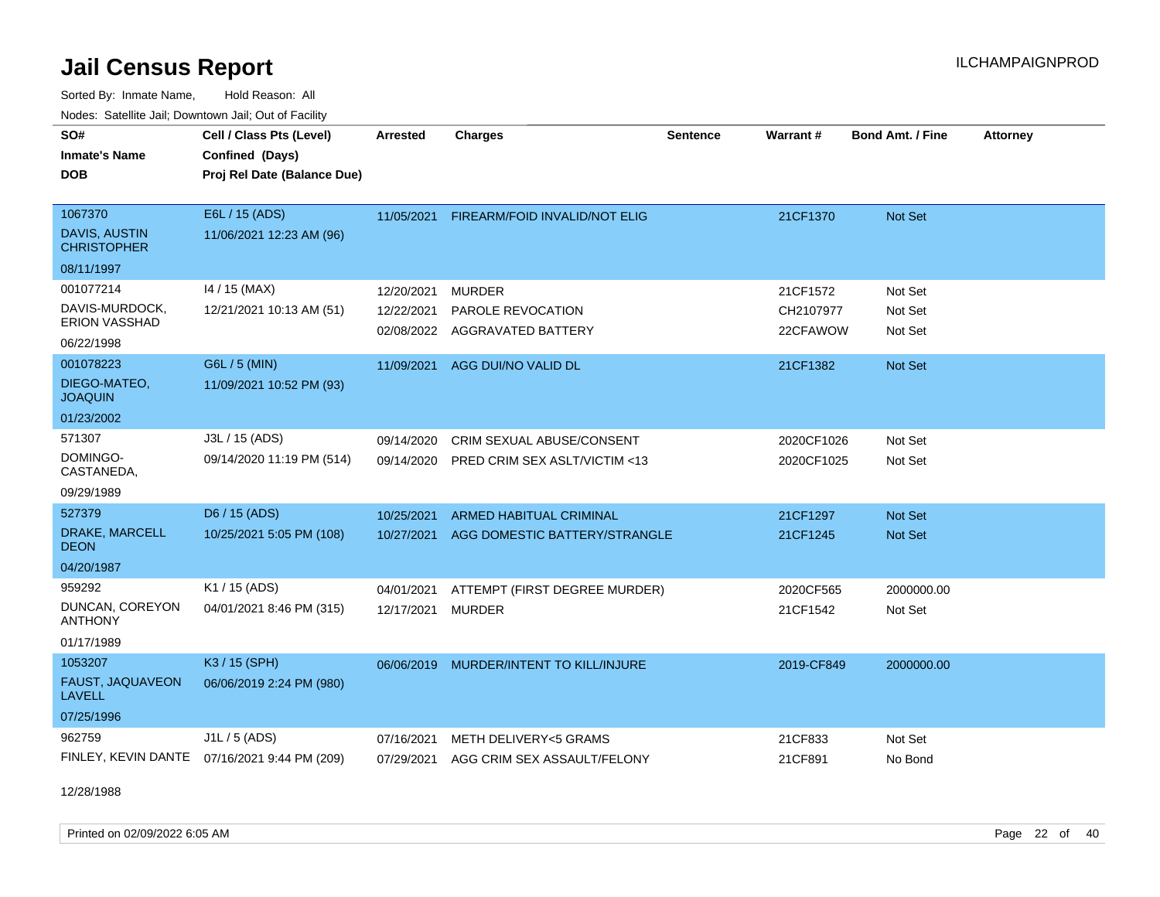Sorted By: Inmate Name, Hold Reason: All Nodes: Satellite Jail; Downtown Jail; Out of Facility

| SO#                                 | Cell / Class Pts (Level)                     | <b>Arrested</b> | <b>Charges</b>                         | <b>Sentence</b> | <b>Warrant#</b> | <b>Bond Amt. / Fine</b> | <b>Attorney</b> |
|-------------------------------------|----------------------------------------------|-----------------|----------------------------------------|-----------------|-----------------|-------------------------|-----------------|
| <b>Inmate's Name</b>                | Confined (Days)                              |                 |                                        |                 |                 |                         |                 |
| <b>DOB</b>                          | Proj Rel Date (Balance Due)                  |                 |                                        |                 |                 |                         |                 |
|                                     |                                              |                 |                                        |                 |                 |                         |                 |
| 1067370                             | E6L / 15 (ADS)                               | 11/05/2021      | FIREARM/FOID INVALID/NOT ELIG          |                 | 21CF1370        | Not Set                 |                 |
| DAVIS, AUSTIN<br><b>CHRISTOPHER</b> | 11/06/2021 12:23 AM (96)                     |                 |                                        |                 |                 |                         |                 |
| 08/11/1997                          |                                              |                 |                                        |                 |                 |                         |                 |
| 001077214                           | 14 / 15 (MAX)                                | 12/20/2021      | <b>MURDER</b>                          |                 | 21CF1572        | Not Set                 |                 |
| DAVIS-MURDOCK,                      | 12/21/2021 10:13 AM (51)                     | 12/22/2021      | PAROLE REVOCATION                      |                 | CH2107977       | Not Set                 |                 |
| <b>ERION VASSHAD</b>                |                                              | 02/08/2022      | AGGRAVATED BATTERY                     |                 | 22CFAWOW        | Not Set                 |                 |
| 06/22/1998                          |                                              |                 |                                        |                 |                 |                         |                 |
| 001078223                           | G6L / 5 (MIN)                                | 11/09/2021      | AGG DUI/NO VALID DL                    |                 | 21CF1382        | Not Set                 |                 |
| DIEGO-MATEO,<br><b>JOAQUIN</b>      | 11/09/2021 10:52 PM (93)                     |                 |                                        |                 |                 |                         |                 |
| 01/23/2002                          |                                              |                 |                                        |                 |                 |                         |                 |
| 571307                              | J3L / 15 (ADS)                               | 09/14/2020      | <b>CRIM SEXUAL ABUSE/CONSENT</b>       |                 | 2020CF1026      | Not Set                 |                 |
| DOMINGO-<br>CASTANEDA,              | 09/14/2020 11:19 PM (514)                    | 09/14/2020      | PRED CRIM SEX ASLT/VICTIM <13          |                 | 2020CF1025      | Not Set                 |                 |
| 09/29/1989                          |                                              |                 |                                        |                 |                 |                         |                 |
| 527379                              | D6 / 15 (ADS)                                | 10/25/2021      | <b>ARMED HABITUAL CRIMINAL</b>         |                 | 21CF1297        | <b>Not Set</b>          |                 |
| DRAKE, MARCELL<br><b>DEON</b>       | 10/25/2021 5:05 PM (108)                     | 10/27/2021      | AGG DOMESTIC BATTERY/STRANGLE          |                 | 21CF1245        | Not Set                 |                 |
| 04/20/1987                          |                                              |                 |                                        |                 |                 |                         |                 |
| 959292                              | K1 / 15 (ADS)                                | 04/01/2021      | ATTEMPT (FIRST DEGREE MURDER)          |                 | 2020CF565       | 2000000.00              |                 |
| DUNCAN, COREYON<br><b>ANTHONY</b>   | 04/01/2021 8:46 PM (315)                     | 12/17/2021      | <b>MURDER</b>                          |                 | 21CF1542        | Not Set                 |                 |
| 01/17/1989                          |                                              |                 |                                        |                 |                 |                         |                 |
| 1053207                             | K3 / 15 (SPH)                                | 06/06/2019      | MURDER/INTENT TO KILL/INJURE           |                 | 2019-CF849      | 2000000.00              |                 |
| FAUST, JAQUAVEON<br><b>LAVELL</b>   | 06/06/2019 2:24 PM (980)                     |                 |                                        |                 |                 |                         |                 |
| 07/25/1996                          |                                              |                 |                                        |                 |                 |                         |                 |
| 962759                              | J1L / 5 (ADS)                                | 07/16/2021      | METH DELIVERY<5 GRAMS                  |                 | 21CF833         | Not Set                 |                 |
|                                     | FINLEY, KEVIN DANTE 07/16/2021 9:44 PM (209) |                 | 07/29/2021 AGG CRIM SEX ASSAULT/FELONY |                 | 21CF891         | No Bond                 |                 |

12/28/1988

Printed on 02/09/2022 6:05 AM Page 22 of 40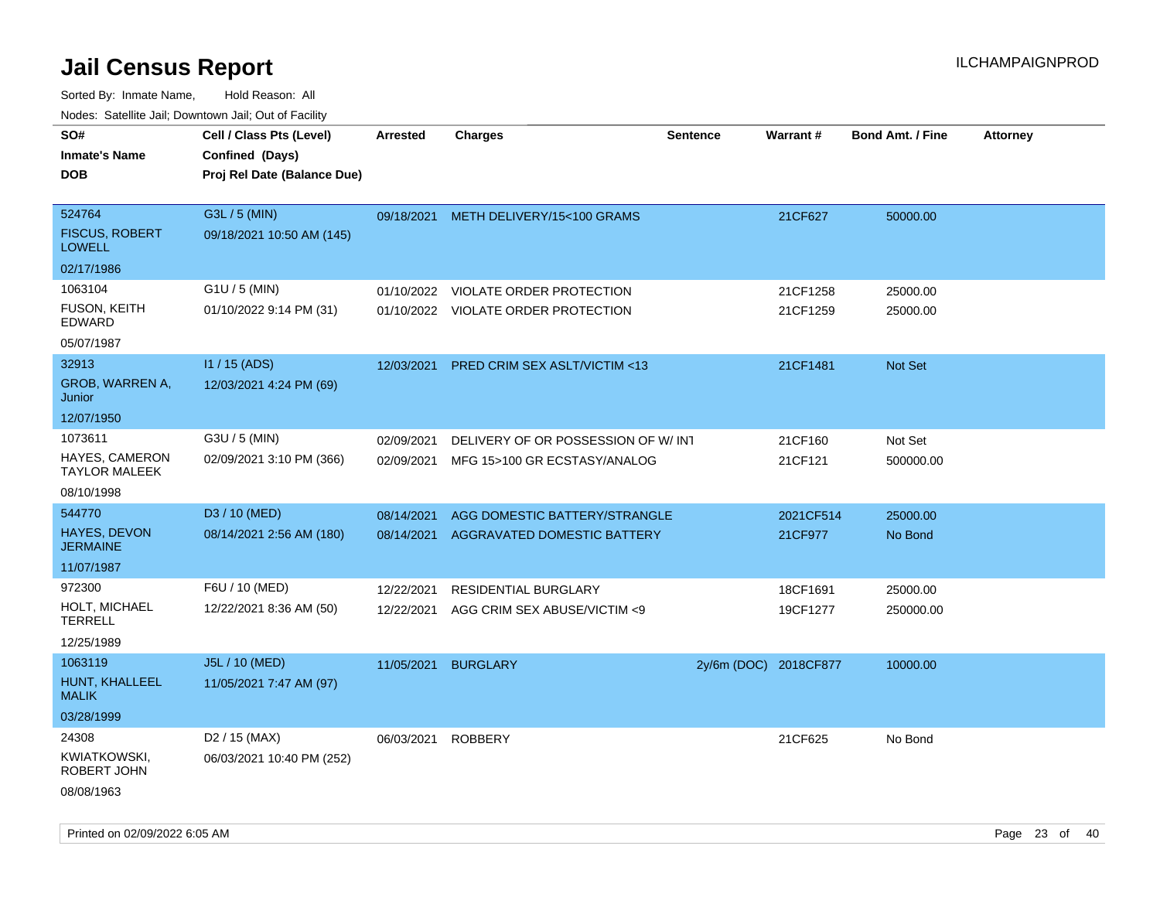| rouco. Calcinic Jan, Downtown Jan, Out of Facility |                                                                            |                 |                                         |                       |                 |                         |                 |
|----------------------------------------------------|----------------------------------------------------------------------------|-----------------|-----------------------------------------|-----------------------|-----------------|-------------------------|-----------------|
| SO#<br>Inmate's Name<br><b>DOB</b>                 | Cell / Class Pts (Level)<br>Confined (Days)<br>Proj Rel Date (Balance Due) | <b>Arrested</b> | <b>Charges</b>                          | <b>Sentence</b>       | <b>Warrant#</b> | <b>Bond Amt. / Fine</b> | <b>Attorney</b> |
| 524764<br><b>FISCUS, ROBERT</b><br><b>LOWELL</b>   | G3L / 5 (MIN)<br>09/18/2021 10:50 AM (145)                                 |                 | 09/18/2021 METH DELIVERY/15<100 GRAMS   |                       | 21CF627         | 50000.00                |                 |
| 02/17/1986                                         |                                                                            |                 |                                         |                       |                 |                         |                 |
| 1063104                                            | $G1U / 5$ (MIN)                                                            | 01/10/2022      | <b>VIOLATE ORDER PROTECTION</b>         |                       | 21CF1258        | 25000.00                |                 |
| FUSON, KEITH<br>EDWARD                             | 01/10/2022 9:14 PM (31)                                                    |                 | 01/10/2022 VIOLATE ORDER PROTECTION     |                       | 21CF1259        | 25000.00                |                 |
| 05/07/1987                                         |                                                                            |                 |                                         |                       |                 |                         |                 |
| 32913                                              | I1 / 15 (ADS)                                                              | 12/03/2021      | <b>PRED CRIM SEX ASLT/VICTIM &lt;13</b> |                       | 21CF1481        | Not Set                 |                 |
| GROB, WARREN A,<br>Junior                          | 12/03/2021 4:24 PM (69)                                                    |                 |                                         |                       |                 |                         |                 |
| 12/07/1950                                         |                                                                            |                 |                                         |                       |                 |                         |                 |
| 1073611                                            | G3U / 5 (MIN)                                                              | 02/09/2021      | DELIVERY OF OR POSSESSION OF W/INT      |                       | 21CF160         | Not Set                 |                 |
| HAYES, CAMERON<br>TAYLOR MALEEK                    | 02/09/2021 3:10 PM (366)                                                   | 02/09/2021      | MFG 15>100 GR ECSTASY/ANALOG            |                       | 21CF121         | 500000.00               |                 |
| 08/10/1998                                         |                                                                            |                 |                                         |                       |                 |                         |                 |
| 544770                                             | D3 / 10 (MED)                                                              | 08/14/2021      | AGG DOMESTIC BATTERY/STRANGLE           |                       | 2021CF514       | 25000.00                |                 |
| <b>HAYES, DEVON</b><br>JERMAINE                    | 08/14/2021 2:56 AM (180)                                                   | 08/14/2021      | AGGRAVATED DOMESTIC BATTERY             |                       | 21CF977         | No Bond                 |                 |
| 11/07/1987                                         |                                                                            |                 |                                         |                       |                 |                         |                 |
| 972300                                             | F6U / 10 (MED)                                                             | 12/22/2021      | RESIDENTIAL BURGLARY                    |                       | 18CF1691        | 25000.00                |                 |
| HOLT, MICHAEL<br>TERRELL                           | 12/22/2021 8:36 AM (50)                                                    | 12/22/2021      | AGG CRIM SEX ABUSE/VICTIM <9            |                       | 19CF1277        | 250000.00               |                 |
| 12/25/1989                                         |                                                                            |                 |                                         |                       |                 |                         |                 |
| 1063119                                            | J5L / 10 (MED)                                                             | 11/05/2021      | <b>BURGLARY</b>                         | 2y/6m (DOC) 2018CF877 |                 | 10000.00                |                 |
| HUNT, KHALLEEL<br>MALIK                            | 11/05/2021 7:47 AM (97)                                                    |                 |                                         |                       |                 |                         |                 |
| 03/28/1999                                         |                                                                            |                 |                                         |                       |                 |                         |                 |
| 24308                                              | D <sub>2</sub> / 15 (MAX)                                                  | 06/03/2021      | <b>ROBBERY</b>                          |                       | 21CF625         | No Bond                 |                 |
| KWIATKOWSKI,<br>ROBERT JOHN                        | 06/03/2021 10:40 PM (252)                                                  |                 |                                         |                       |                 |                         |                 |
| 08/08/1963                                         |                                                                            |                 |                                         |                       |                 |                         |                 |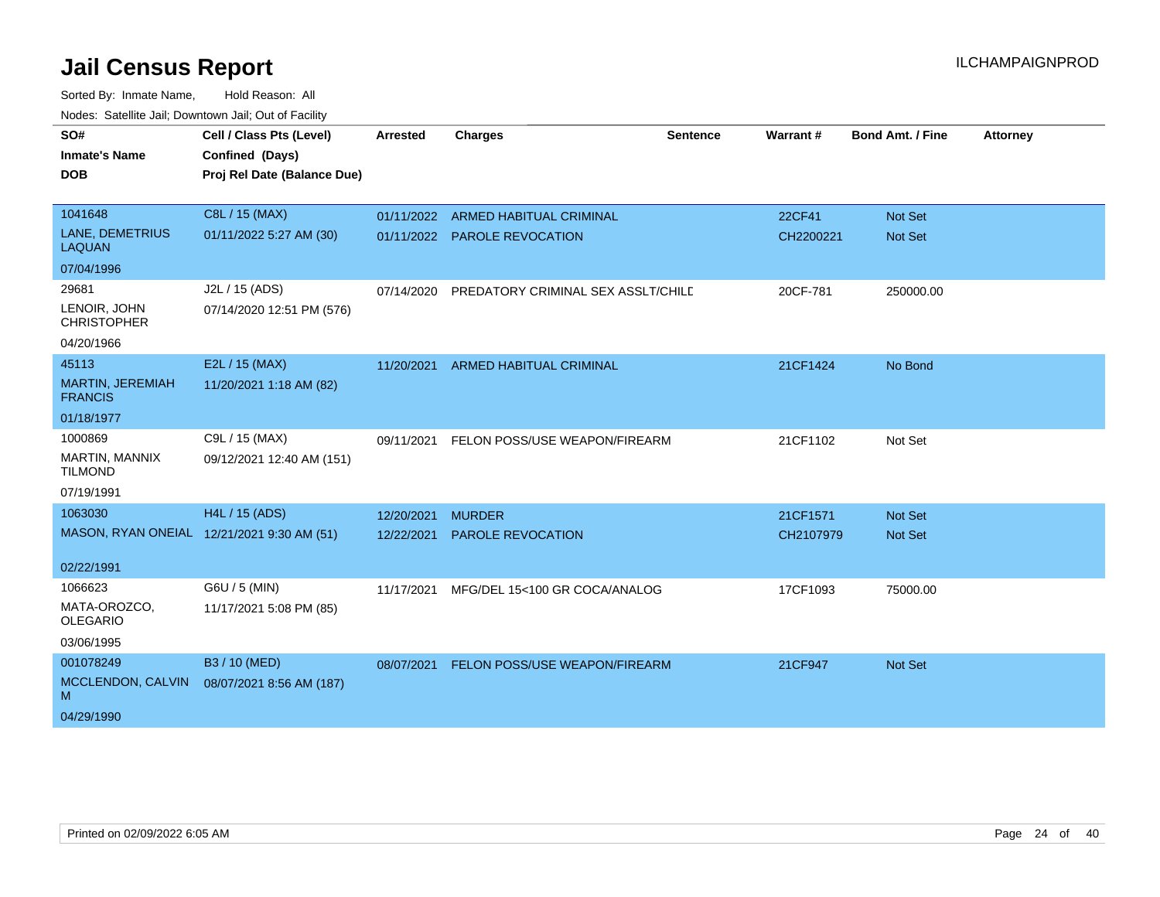| SO#                                       | Cell / Class Pts (Level)                   | <b>Arrested</b> | <b>Charges</b>                     | <b>Sentence</b> | Warrant#      | <b>Bond Amt. / Fine</b> | <b>Attorney</b> |
|-------------------------------------------|--------------------------------------------|-----------------|------------------------------------|-----------------|---------------|-------------------------|-----------------|
| <b>Inmate's Name</b>                      | Confined (Days)                            |                 |                                    |                 |               |                         |                 |
| <b>DOB</b>                                | Proj Rel Date (Balance Due)                |                 |                                    |                 |               |                         |                 |
|                                           |                                            |                 |                                    |                 |               |                         |                 |
| 1041648                                   | C8L / 15 (MAX)                             | 01/11/2022      | ARMED HABITUAL CRIMINAL            |                 | <b>22CF41</b> | <b>Not Set</b>          |                 |
| LANE, DEMETRIUS<br><b>LAQUAN</b>          | 01/11/2022 5:27 AM (30)                    | 01/11/2022      | PAROLE REVOCATION                  |                 | CH2200221     | Not Set                 |                 |
| 07/04/1996                                |                                            |                 |                                    |                 |               |                         |                 |
| 29681                                     | J2L / 15 (ADS)                             | 07/14/2020      | PREDATORY CRIMINAL SEX ASSLT/CHILD |                 | 20CF-781      | 250000.00               |                 |
| LENOIR, JOHN<br><b>CHRISTOPHER</b>        | 07/14/2020 12:51 PM (576)                  |                 |                                    |                 |               |                         |                 |
| 04/20/1966                                |                                            |                 |                                    |                 |               |                         |                 |
| 45113                                     | E2L / 15 (MAX)                             | 11/20/2021      | <b>ARMED HABITUAL CRIMINAL</b>     |                 | 21CF1424      | No Bond                 |                 |
| <b>MARTIN, JEREMIAH</b><br><b>FRANCIS</b> | 11/20/2021 1:18 AM (82)                    |                 |                                    |                 |               |                         |                 |
| 01/18/1977                                |                                            |                 |                                    |                 |               |                         |                 |
| 1000869                                   | C9L / 15 (MAX)                             | 09/11/2021      | FELON POSS/USE WEAPON/FIREARM      |                 | 21CF1102      | Not Set                 |                 |
| MARTIN, MANNIX<br><b>TILMOND</b>          | 09/12/2021 12:40 AM (151)                  |                 |                                    |                 |               |                         |                 |
| 07/19/1991                                |                                            |                 |                                    |                 |               |                         |                 |
| 1063030                                   | H4L / 15 (ADS)                             | 12/20/2021      | <b>MURDER</b>                      |                 | 21CF1571      | <b>Not Set</b>          |                 |
|                                           | MASON, RYAN ONEIAL 12/21/2021 9:30 AM (51) | 12/22/2021      | <b>PAROLE REVOCATION</b>           |                 | CH2107979     | <b>Not Set</b>          |                 |
| 02/22/1991                                |                                            |                 |                                    |                 |               |                         |                 |
| 1066623                                   | G6U / 5 (MIN)                              | 11/17/2021      | MFG/DEL 15<100 GR COCA/ANALOG      |                 | 17CF1093      | 75000.00                |                 |
| MATA-OROZCO,<br><b>OLEGARIO</b>           | 11/17/2021 5:08 PM (85)                    |                 |                                    |                 |               |                         |                 |
| 03/06/1995                                |                                            |                 |                                    |                 |               |                         |                 |
| 001078249                                 | B3 / 10 (MED)                              | 08/07/2021      | FELON POSS/USE WEAPON/FIREARM      |                 | 21CF947       | <b>Not Set</b>          |                 |
| MCCLENDON, CALVIN<br>м                    | 08/07/2021 8:56 AM (187)                   |                 |                                    |                 |               |                         |                 |
| 04/29/1990                                |                                            |                 |                                    |                 |               |                         |                 |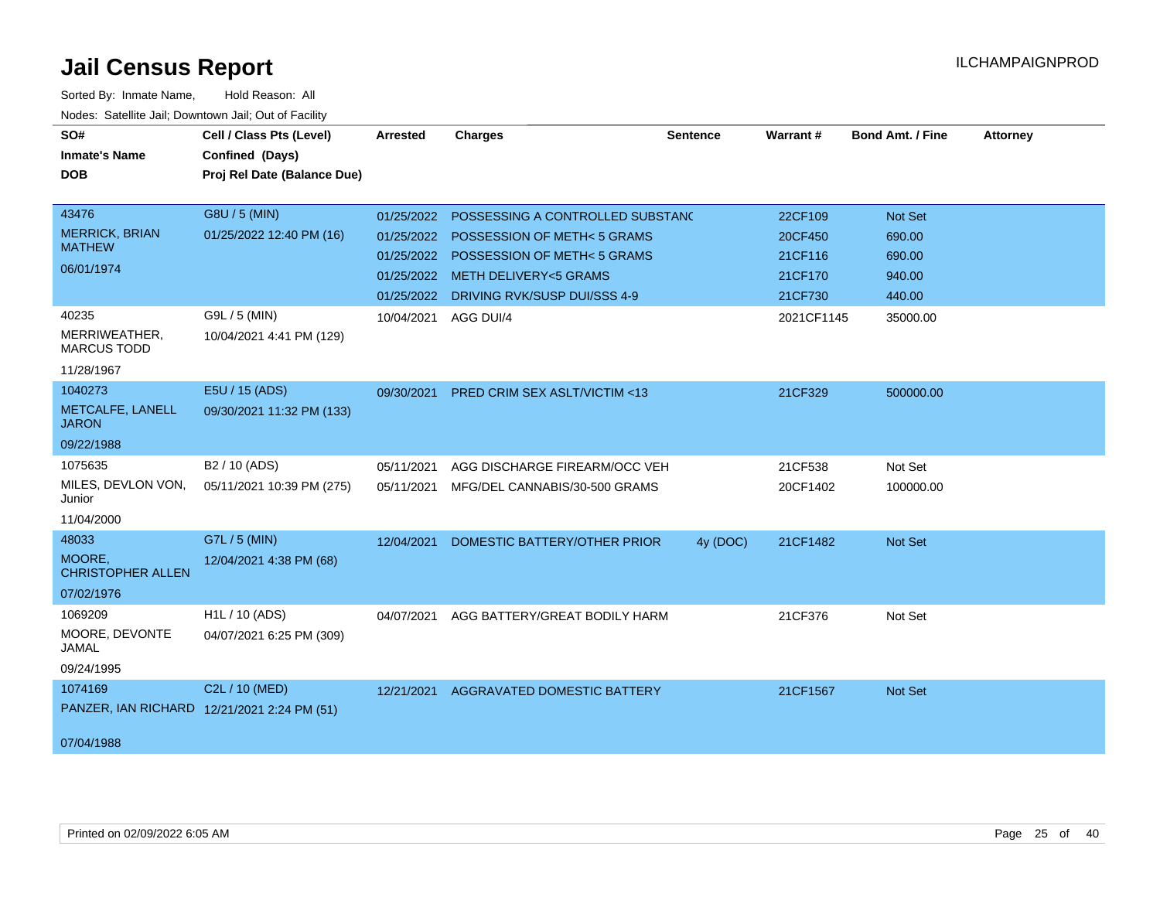| SO#                                    | Cell / Class Pts (Level)                    | <b>Arrested</b>      | <b>Charges</b>                          | <b>Sentence</b> | Warrant#   | <b>Bond Amt. / Fine</b> | <b>Attorney</b> |
|----------------------------------------|---------------------------------------------|----------------------|-----------------------------------------|-----------------|------------|-------------------------|-----------------|
| <b>Inmate's Name</b>                   | Confined (Days)                             |                      |                                         |                 |            |                         |                 |
| <b>DOB</b>                             | Proj Rel Date (Balance Due)                 |                      |                                         |                 |            |                         |                 |
|                                        |                                             |                      |                                         |                 |            |                         |                 |
| 43476                                  | G8U / 5 (MIN)                               | 01/25/2022           | POSSESSING A CONTROLLED SUBSTANC        |                 | 22CF109    | <b>Not Set</b>          |                 |
| <b>MERRICK, BRIAN</b><br><b>MATHEW</b> | 01/25/2022 12:40 PM (16)                    | 01/25/2022           | POSSESSION OF METH< 5 GRAMS             |                 | 20CF450    | 690.00                  |                 |
| 06/01/1974                             |                                             |                      | 01/25/2022 POSSESSION OF METH< 5 GRAMS  |                 | 21CF116    | 690.00                  |                 |
|                                        |                                             | 01/25/2022           | <b>METH DELIVERY&lt;5 GRAMS</b>         |                 | 21CF170    | 940.00                  |                 |
|                                        |                                             |                      | 01/25/2022 DRIVING RVK/SUSP DUI/SSS 4-9 |                 | 21CF730    | 440.00                  |                 |
| 40235                                  | G9L / 5 (MIN)                               | 10/04/2021 AGG DUI/4 |                                         |                 | 2021CF1145 | 35000.00                |                 |
| MERRIWEATHER,<br><b>MARCUS TODD</b>    | 10/04/2021 4:41 PM (129)                    |                      |                                         |                 |            |                         |                 |
| 11/28/1967                             |                                             |                      |                                         |                 |            |                         |                 |
| 1040273                                | E5U / 15 (ADS)                              | 09/30/2021           | <b>PRED CRIM SEX ASLT/VICTIM &lt;13</b> |                 | 21CF329    | 500000.00               |                 |
| METCALFE, LANELL<br><b>JARON</b>       | 09/30/2021 11:32 PM (133)                   |                      |                                         |                 |            |                         |                 |
| 09/22/1988                             |                                             |                      |                                         |                 |            |                         |                 |
| 1075635                                | B <sub>2</sub> / 10 (ADS)                   | 05/11/2021           | AGG DISCHARGE FIREARM/OCC VEH           |                 | 21CF538    | Not Set                 |                 |
| MILES, DEVLON VON,<br>Junior           | 05/11/2021 10:39 PM (275)                   | 05/11/2021           | MFG/DEL CANNABIS/30-500 GRAMS           |                 | 20CF1402   | 100000.00               |                 |
| 11/04/2000                             |                                             |                      |                                         |                 |            |                         |                 |
| 48033                                  | G7L / 5 (MIN)                               | 12/04/2021           | DOMESTIC BATTERY/OTHER PRIOR            | 4y (DOC)        | 21CF1482   | Not Set                 |                 |
| MOORE,<br><b>CHRISTOPHER ALLEN</b>     | 12/04/2021 4:38 PM (68)                     |                      |                                         |                 |            |                         |                 |
| 07/02/1976                             |                                             |                      |                                         |                 |            |                         |                 |
| 1069209                                | H1L / 10 (ADS)                              | 04/07/2021           | AGG BATTERY/GREAT BODILY HARM           |                 | 21CF376    | Not Set                 |                 |
| MOORE, DEVONTE<br><b>JAMAL</b>         | 04/07/2021 6:25 PM (309)                    |                      |                                         |                 |            |                         |                 |
| 09/24/1995                             |                                             |                      |                                         |                 |            |                         |                 |
| 1074169                                | C2L / 10 (MED)                              | 12/21/2021           | AGGRAVATED DOMESTIC BATTERY             |                 | 21CF1567   | <b>Not Set</b>          |                 |
|                                        | PANZER, IAN RICHARD 12/21/2021 2:24 PM (51) |                      |                                         |                 |            |                         |                 |
| 07/04/1988                             |                                             |                      |                                         |                 |            |                         |                 |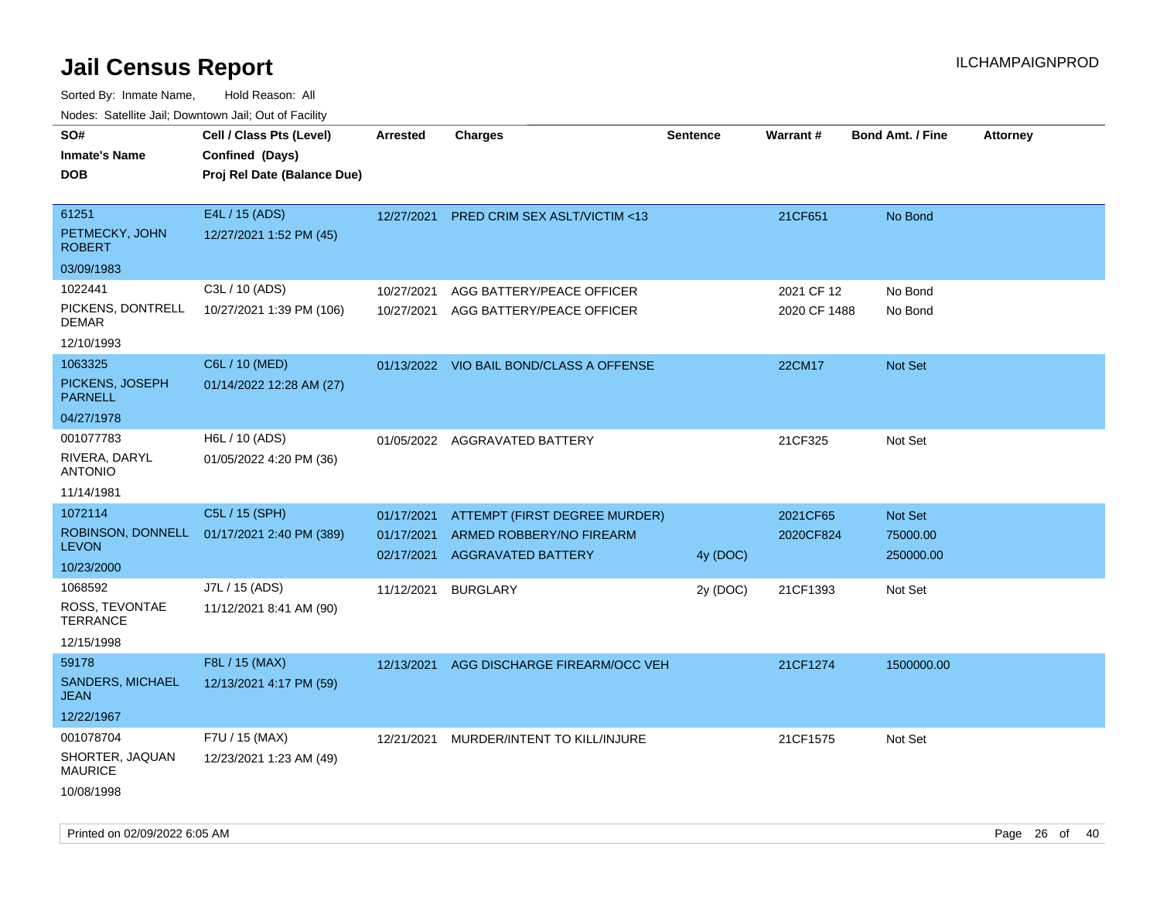| ivouss. Satellite Jali, Downtown Jali, Out of Facility |                                            |                          |                                                       |                 |                 |                         |                 |
|--------------------------------------------------------|--------------------------------------------|--------------------------|-------------------------------------------------------|-----------------|-----------------|-------------------------|-----------------|
| SO#                                                    | Cell / Class Pts (Level)                   | <b>Arrested</b>          | <b>Charges</b>                                        | <b>Sentence</b> | <b>Warrant#</b> | <b>Bond Amt. / Fine</b> | <b>Attorney</b> |
| Inmate's Name                                          | Confined (Days)                            |                          |                                                       |                 |                 |                         |                 |
| DOB                                                    | Proj Rel Date (Balance Due)                |                          |                                                       |                 |                 |                         |                 |
| 61251                                                  | E4L / 15 (ADS)                             | 12/27/2021               | <b>PRED CRIM SEX ASLT/VICTIM &lt;13</b>               |                 | 21CF651         | No Bond                 |                 |
| PETMECKY, JOHN<br>ROBERT                               | 12/27/2021 1:52 PM (45)                    |                          |                                                       |                 |                 |                         |                 |
| 03/09/1983                                             |                                            |                          |                                                       |                 |                 |                         |                 |
| 1022441                                                | C3L / 10 (ADS)                             | 10/27/2021               | AGG BATTERY/PEACE OFFICER                             |                 | 2021 CF 12      | No Bond                 |                 |
| PICKENS, DONTRELL<br>DEMAR                             | 10/27/2021 1:39 PM (106)                   | 10/27/2021               | AGG BATTERY/PEACE OFFICER                             |                 | 2020 CF 1488    | No Bond                 |                 |
| 12/10/1993                                             |                                            |                          |                                                       |                 |                 |                         |                 |
| 1063325                                                | C6L / 10 (MED)                             |                          | 01/13/2022 VIO BAIL BOND/CLASS A OFFENSE              |                 | 22CM17          | Not Set                 |                 |
| PICKENS, JOSEPH<br><b>PARNELL</b>                      | 01/14/2022 12:28 AM (27)                   |                          |                                                       |                 |                 |                         |                 |
| 04/27/1978                                             |                                            |                          |                                                       |                 |                 |                         |                 |
| 001077783                                              | H6L / 10 (ADS)                             |                          | 01/05/2022 AGGRAVATED BATTERY                         |                 | 21CF325         | Not Set                 |                 |
| RIVERA, DARYL<br>ANTONIO                               | 01/05/2022 4:20 PM (36)                    |                          |                                                       |                 |                 |                         |                 |
| 11/14/1981                                             |                                            |                          |                                                       |                 |                 |                         |                 |
| 1072114                                                | C5L / 15 (SPH)                             | 01/17/2021               | ATTEMPT (FIRST DEGREE MURDER)                         |                 | 2021CF65        | Not Set                 |                 |
| <b>LEVON</b>                                           | ROBINSON, DONNELL 01/17/2021 2:40 PM (389) | 01/17/2021<br>02/17/2021 | ARMED ROBBERY/NO FIREARM<br><b>AGGRAVATED BATTERY</b> | 4y (DOC)        | 2020CF824       | 75000.00<br>250000.00   |                 |
| 10/23/2000                                             |                                            |                          |                                                       |                 |                 |                         |                 |
| 1068592                                                | J7L / 15 (ADS)                             | 11/12/2021               | <b>BURGLARY</b>                                       | 2y (DOC)        | 21CF1393        | Not Set                 |                 |
| ROSS, TEVONTAE<br>TERRANCE                             | 11/12/2021 8:41 AM (90)                    |                          |                                                       |                 |                 |                         |                 |
| 12/15/1998                                             |                                            |                          |                                                       |                 |                 |                         |                 |
| 59178                                                  | F8L / 15 (MAX)                             | 12/13/2021               | AGG DISCHARGE FIREARM/OCC VEH                         |                 | 21CF1274        | 1500000.00              |                 |
| <b>SANDERS, MICHAEL</b><br>JEAN                        | 12/13/2021 4:17 PM (59)                    |                          |                                                       |                 |                 |                         |                 |
| 12/22/1967                                             |                                            |                          |                                                       |                 |                 |                         |                 |
| 001078704                                              | F7U / 15 (MAX)                             | 12/21/2021               | MURDER/INTENT TO KILL/INJURE                          |                 | 21CF1575        | Not Set                 |                 |
| SHORTER, JAQUAN<br><b>MAURICE</b>                      | 12/23/2021 1:23 AM (49)                    |                          |                                                       |                 |                 |                         |                 |
| 10/08/1998                                             |                                            |                          |                                                       |                 |                 |                         |                 |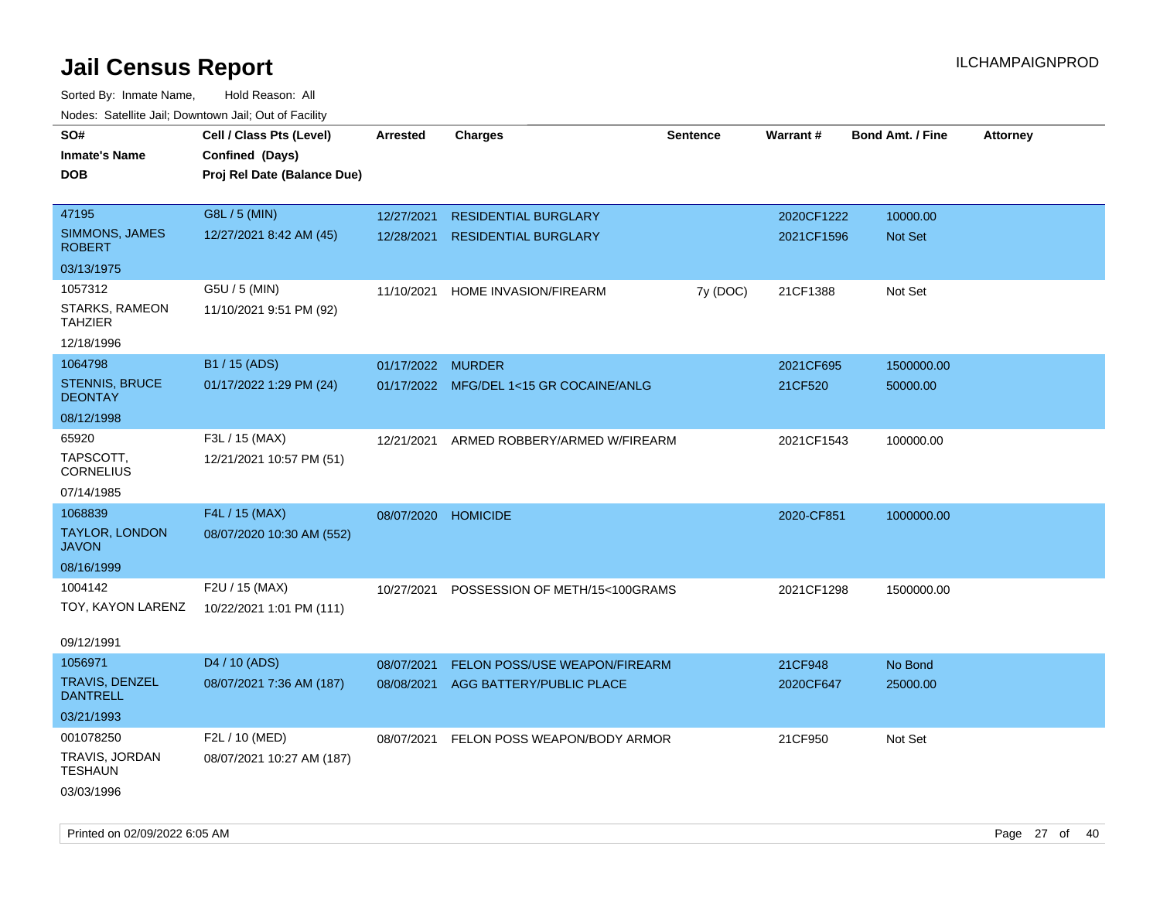| rougs. Calcing Jan, Downtown Jan, Out of Facility |                             |                     |                                         |          |            |                         |                 |
|---------------------------------------------------|-----------------------------|---------------------|-----------------------------------------|----------|------------|-------------------------|-----------------|
| SO#                                               | Cell / Class Pts (Level)    | <b>Arrested</b>     | <b>Charges</b>                          | Sentence | Warrant#   | <b>Bond Amt. / Fine</b> | <b>Attorney</b> |
| <b>Inmate's Name</b>                              | Confined (Days)             |                     |                                         |          |            |                         |                 |
| <b>DOB</b>                                        | Proj Rel Date (Balance Due) |                     |                                         |          |            |                         |                 |
|                                                   |                             |                     |                                         |          |            |                         |                 |
| 47195                                             | G8L / 5 (MIN)               | 12/27/2021          | <b>RESIDENTIAL BURGLARY</b>             |          | 2020CF1222 | 10000.00                |                 |
| SIMMONS, JAMES<br><b>ROBERT</b>                   | 12/27/2021 8:42 AM (45)     | 12/28/2021          | <b>RESIDENTIAL BURGLARY</b>             |          | 2021CF1596 | <b>Not Set</b>          |                 |
| 03/13/1975                                        |                             |                     |                                         |          |            |                         |                 |
| 1057312                                           | G5U / 5 (MIN)               | 11/10/2021          | HOME INVASION/FIREARM                   | 7y (DOC) | 21CF1388   | Not Set                 |                 |
| STARKS, RAMEON<br><b>TAHZIER</b>                  | 11/10/2021 9:51 PM (92)     |                     |                                         |          |            |                         |                 |
| 12/18/1996                                        |                             |                     |                                         |          |            |                         |                 |
| 1064798                                           | B1 / 15 (ADS)               | 01/17/2022 MURDER   |                                         |          | 2021CF695  | 1500000.00              |                 |
| <b>STENNIS, BRUCE</b><br><b>DEONTAY</b>           | 01/17/2022 1:29 PM (24)     |                     | 01/17/2022 MFG/DEL 1<15 GR COCAINE/ANLG |          | 21CF520    | 50000.00                |                 |
| 08/12/1998                                        |                             |                     |                                         |          |            |                         |                 |
| 65920                                             | F3L / 15 (MAX)              | 12/21/2021          | ARMED ROBBERY/ARMED W/FIREARM           |          | 2021CF1543 | 100000.00               |                 |
| TAPSCOTT.<br><b>CORNELIUS</b>                     | 12/21/2021 10:57 PM (51)    |                     |                                         |          |            |                         |                 |
| 07/14/1985                                        |                             |                     |                                         |          |            |                         |                 |
| 1068839                                           | F4L / 15 (MAX)              | 08/07/2020 HOMICIDE |                                         |          | 2020-CF851 | 1000000.00              |                 |
| TAYLOR, LONDON<br><b>JAVON</b>                    | 08/07/2020 10:30 AM (552)   |                     |                                         |          |            |                         |                 |
| 08/16/1999                                        |                             |                     |                                         |          |            |                         |                 |
| 1004142                                           | F2U / 15 (MAX)              | 10/27/2021          | POSSESSION OF METH/15<100GRAMS          |          | 2021CF1298 | 1500000.00              |                 |
| TOY, KAYON LARENZ                                 | 10/22/2021 1:01 PM (111)    |                     |                                         |          |            |                         |                 |
| 09/12/1991                                        |                             |                     |                                         |          |            |                         |                 |
| 1056971                                           | D <sub>4</sub> / 10 (ADS)   | 08/07/2021          | <b>FELON POSS/USE WEAPON/FIREARM</b>    |          | 21CF948    | No Bond                 |                 |
| <b>TRAVIS, DENZEL</b><br><b>DANTRELL</b>          | 08/07/2021 7:36 AM (187)    | 08/08/2021          | AGG BATTERY/PUBLIC PLACE                |          | 2020CF647  | 25000.00                |                 |
| 03/21/1993                                        |                             |                     |                                         |          |            |                         |                 |
| 001078250                                         | F2L / 10 (MED)              | 08/07/2021          | FELON POSS WEAPON/BODY ARMOR            |          | 21CF950    | Not Set                 |                 |
| <b>TRAVIS, JORDAN</b><br>TESHAUN                  | 08/07/2021 10:27 AM (187)   |                     |                                         |          |            |                         |                 |
| 03/03/1996                                        |                             |                     |                                         |          |            |                         |                 |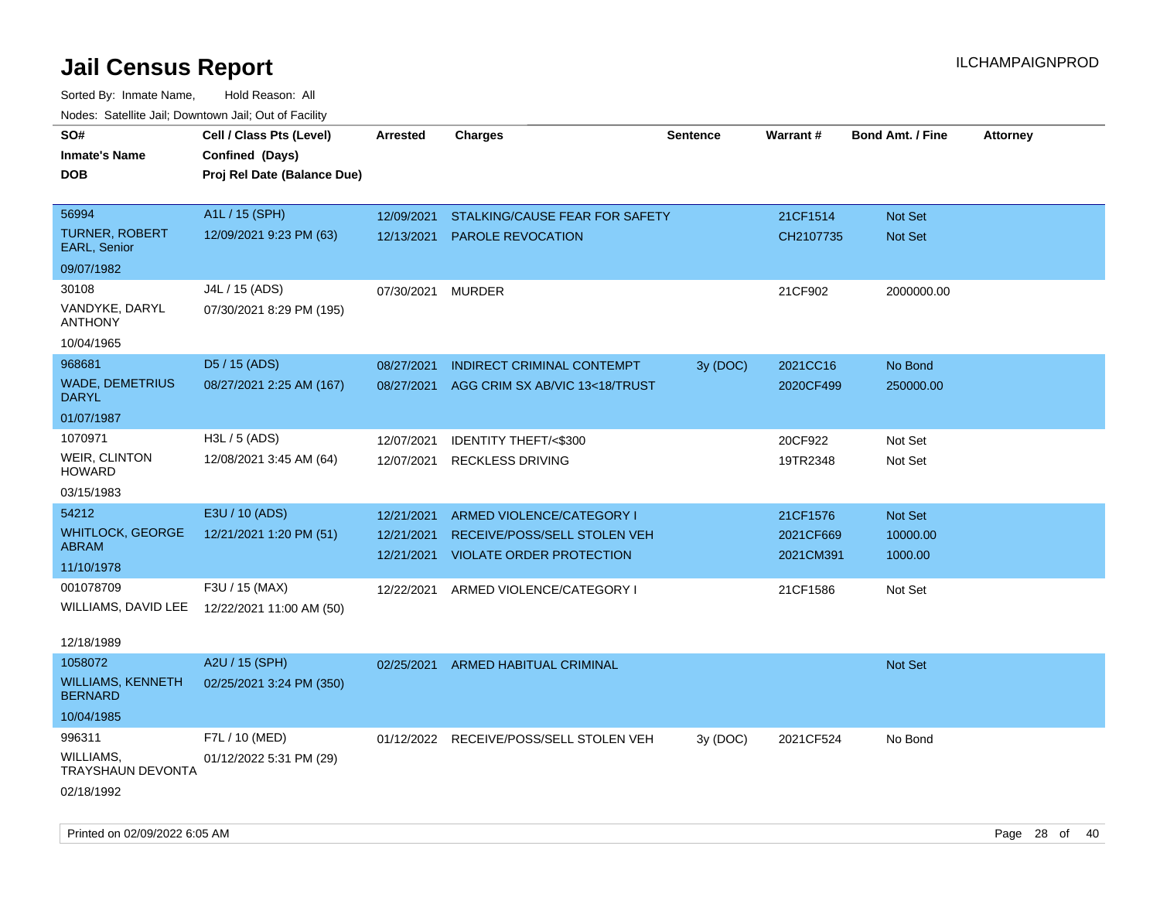| roaco. Catolino dall, Downtown dall, Out of Fability |                             |                 |                                         |                 |           |                         |                 |
|------------------------------------------------------|-----------------------------|-----------------|-----------------------------------------|-----------------|-----------|-------------------------|-----------------|
| SO#                                                  | Cell / Class Pts (Level)    | <b>Arrested</b> | <b>Charges</b>                          | <b>Sentence</b> | Warrant#  | <b>Bond Amt. / Fine</b> | <b>Attorney</b> |
| <b>Inmate's Name</b>                                 | Confined (Days)             |                 |                                         |                 |           |                         |                 |
| <b>DOB</b>                                           | Proj Rel Date (Balance Due) |                 |                                         |                 |           |                         |                 |
|                                                      |                             |                 |                                         |                 |           |                         |                 |
| 56994                                                | A1L / 15 (SPH)              | 12/09/2021      | STALKING/CAUSE FEAR FOR SAFETY          |                 | 21CF1514  | <b>Not Set</b>          |                 |
| <b>TURNER, ROBERT</b><br><b>EARL, Senior</b>         | 12/09/2021 9:23 PM (63)     | 12/13/2021      | PAROLE REVOCATION                       |                 | CH2107735 | <b>Not Set</b>          |                 |
| 09/07/1982                                           |                             |                 |                                         |                 |           |                         |                 |
| 30108                                                | J4L / 15 (ADS)              | 07/30/2021      | <b>MURDER</b>                           |                 | 21CF902   | 2000000.00              |                 |
| VANDYKE, DARYL<br><b>ANTHONY</b>                     | 07/30/2021 8:29 PM (195)    |                 |                                         |                 |           |                         |                 |
| 10/04/1965                                           |                             |                 |                                         |                 |           |                         |                 |
| 968681                                               | D5 / 15 (ADS)               | 08/27/2021      | INDIRECT CRIMINAL CONTEMPT              | 3y (DOC)        | 2021CC16  | No Bond                 |                 |
| <b>WADE, DEMETRIUS</b><br><b>DARYL</b>               | 08/27/2021 2:25 AM (167)    | 08/27/2021      | AGG CRIM SX AB/VIC 13<18/TRUST          |                 | 2020CF499 | 250000.00               |                 |
| 01/07/1987                                           |                             |                 |                                         |                 |           |                         |                 |
| 1070971                                              | $H3L / 5$ (ADS)             | 12/07/2021      | IDENTITY THEFT/<\$300                   |                 | 20CF922   | Not Set                 |                 |
| <b>WEIR, CLINTON</b><br><b>HOWARD</b>                | 12/08/2021 3:45 AM (64)     | 12/07/2021      | <b>RECKLESS DRIVING</b>                 |                 | 19TR2348  | Not Set                 |                 |
| 03/15/1983                                           |                             |                 |                                         |                 |           |                         |                 |
| 54212                                                | E3U / 10 (ADS)              | 12/21/2021      | ARMED VIOLENCE/CATEGORY I               |                 | 21CF1576  | <b>Not Set</b>          |                 |
| <b>WHITLOCK, GEORGE</b>                              | 12/21/2021 1:20 PM (51)     | 12/21/2021      | RECEIVE/POSS/SELL STOLEN VEH            |                 | 2021CF669 | 10000.00                |                 |
| ABRAM                                                |                             | 12/21/2021      | <b>VIOLATE ORDER PROTECTION</b>         |                 | 2021CM391 | 1000.00                 |                 |
| 11/10/1978                                           |                             |                 |                                         |                 |           |                         |                 |
| 001078709                                            | F3U / 15 (MAX)              |                 | 12/22/2021 ARMED VIOLENCE/CATEGORY I    |                 | 21CF1586  | Not Set                 |                 |
| WILLIAMS, DAVID LEE                                  | 12/22/2021 11:00 AM (50)    |                 |                                         |                 |           |                         |                 |
| 12/18/1989                                           |                             |                 |                                         |                 |           |                         |                 |
| 1058072                                              | A2U / 15 (SPH)              | 02/25/2021      | ARMED HABITUAL CRIMINAL                 |                 |           | <b>Not Set</b>          |                 |
| <b>WILLIAMS, KENNETH</b><br><b>BERNARD</b>           | 02/25/2021 3:24 PM (350)    |                 |                                         |                 |           |                         |                 |
| 10/04/1985                                           |                             |                 |                                         |                 |           |                         |                 |
| 996311                                               | F7L / 10 (MED)              |                 | 01/12/2022 RECEIVE/POSS/SELL STOLEN VEH | 3y (DOC)        | 2021CF524 | No Bond                 |                 |
| WILLIAMS,<br>TRAYSHAUN DEVONTA                       | 01/12/2022 5:31 PM (29)     |                 |                                         |                 |           |                         |                 |
| 02/18/1992                                           |                             |                 |                                         |                 |           |                         |                 |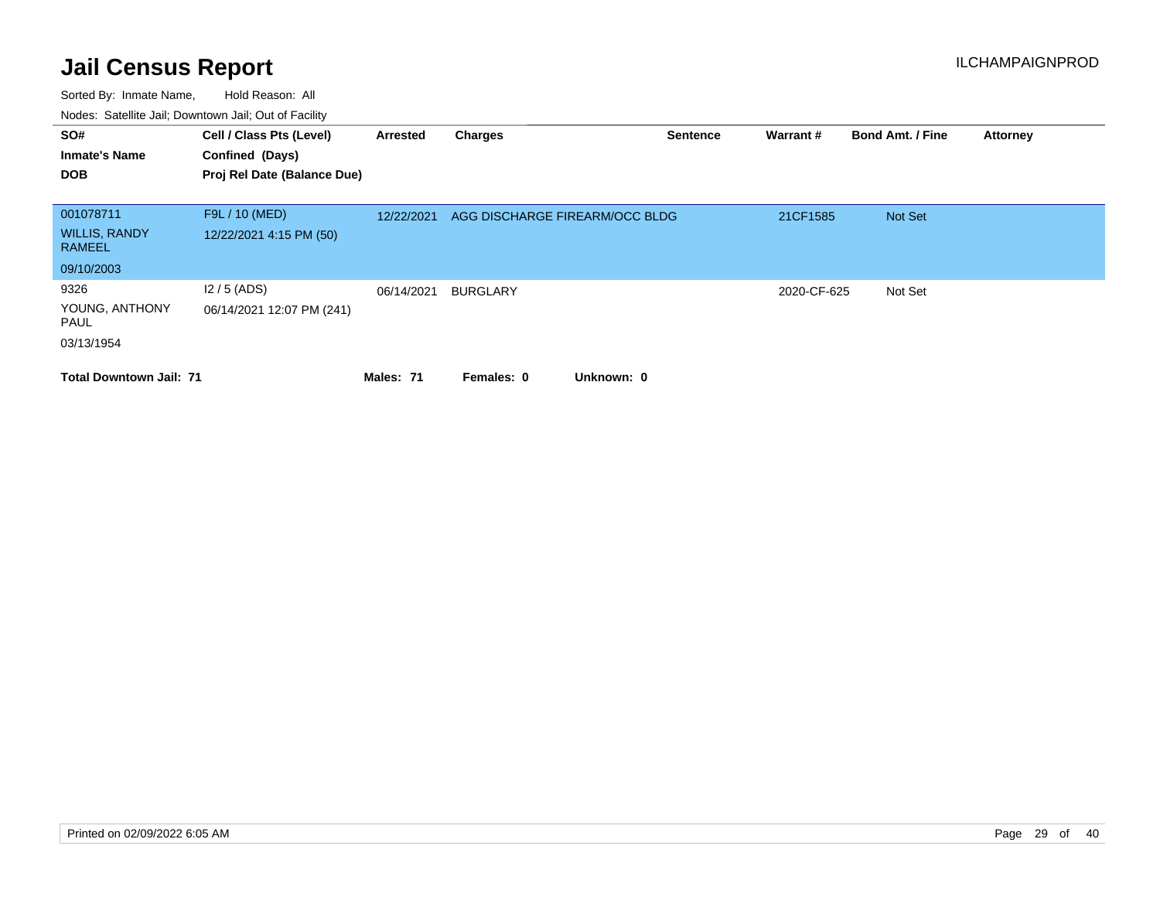| SO#<br><b>Inmate's Name</b><br><b>DOB</b> | Cell / Class Pts (Level)<br>Confined (Days)<br>Proj Rel Date (Balance Due) | Arrested   | <b>Charges</b>                 | <b>Sentence</b> | Warrant#    | <b>Bond Amt. / Fine</b> | <b>Attorney</b> |
|-------------------------------------------|----------------------------------------------------------------------------|------------|--------------------------------|-----------------|-------------|-------------------------|-----------------|
| 001078711                                 | F9L / 10 (MED)                                                             | 12/22/2021 | AGG DISCHARGE FIREARM/OCC BLDG |                 | 21CF1585    | Not Set                 |                 |
| <b>WILLIS, RANDY</b><br>RAMEEL            | 12/22/2021 4:15 PM (50)                                                    |            |                                |                 |             |                         |                 |
| 09/10/2003                                |                                                                            |            |                                |                 |             |                         |                 |
| 9326                                      | $12/5$ (ADS)                                                               | 06/14/2021 | <b>BURGLARY</b>                |                 | 2020-CF-625 | Not Set                 |                 |
| YOUNG, ANTHONY<br>PAUL                    | 06/14/2021 12:07 PM (241)                                                  |            |                                |                 |             |                         |                 |
| 03/13/1954                                |                                                                            |            |                                |                 |             |                         |                 |
| <b>Total Downtown Jail: 71</b>            |                                                                            | Males: 71  | Unknown: 0<br>Females: 0       |                 |             |                         |                 |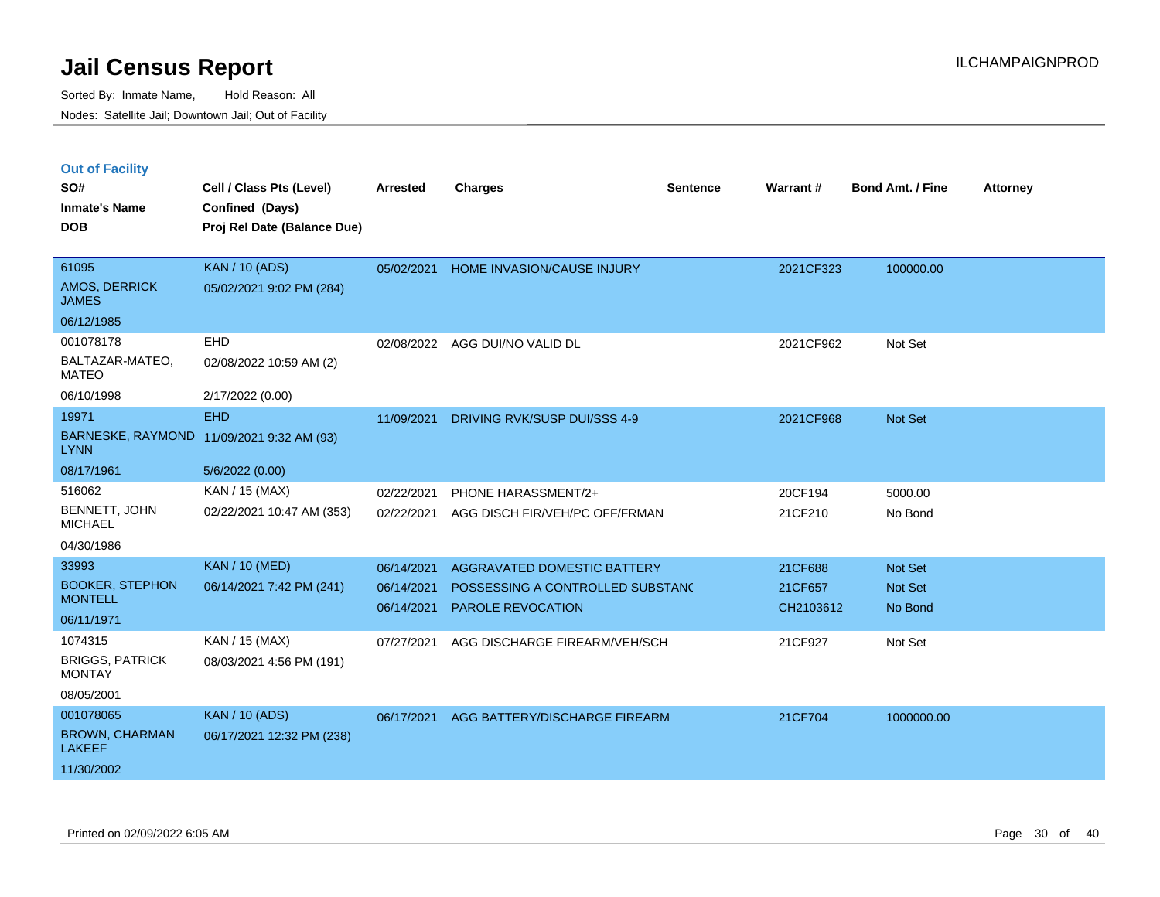|  | <b>Out of Facility</b> |
|--|------------------------|
|  |                        |

| SO#<br><b>Inmate's Name</b><br><b>DOB</b>                                | Cell / Class Pts (Level)<br>Confined (Days)<br>Proj Rel Date (Balance Due) | <b>Arrested</b>                        | <b>Charges</b>                                                                                     | <b>Sentence</b> | Warrant#                        | <b>Bond Amt. / Fine</b>       | <b>Attorney</b> |
|--------------------------------------------------------------------------|----------------------------------------------------------------------------|----------------------------------------|----------------------------------------------------------------------------------------------------|-----------------|---------------------------------|-------------------------------|-----------------|
| 61095<br><b>AMOS, DERRICK</b><br><b>JAMES</b>                            | <b>KAN / 10 (ADS)</b><br>05/02/2021 9:02 PM (284)                          | 05/02/2021                             | HOME INVASION/CAUSE INJURY                                                                         |                 | 2021CF323                       | 100000.00                     |                 |
| 06/12/1985<br>001078178<br>BALTAZAR-MATEO,<br><b>MATEO</b><br>06/10/1998 | EHD<br>02/08/2022 10:59 AM (2)<br>2/17/2022 (0.00)                         | 02/08/2022                             | AGG DUI/NO VALID DL                                                                                |                 | 2021CF962                       | Not Set                       |                 |
| 19971<br><b>LYNN</b><br>08/17/1961                                       | <b>EHD</b><br>BARNESKE, RAYMOND 11/09/2021 9:32 AM (93)<br>5/6/2022 (0.00) | 11/09/2021                             | DRIVING RVK/SUSP DUI/SSS 4-9                                                                       |                 | 2021CF968                       | <b>Not Set</b>                |                 |
| 516062<br>BENNETT, JOHN<br><b>MICHAEL</b><br>04/30/1986                  | KAN / 15 (MAX)<br>02/22/2021 10:47 AM (353)                                | 02/22/2021<br>02/22/2021               | PHONE HARASSMENT/2+<br>AGG DISCH FIR/VEH/PC OFF/FRMAN                                              |                 | 20CF194<br>21CF210              | 5000.00<br>No Bond            |                 |
| 33993<br><b>BOOKER, STEPHON</b><br><b>MONTELL</b><br>06/11/1971          | <b>KAN / 10 (MED)</b><br>06/14/2021 7:42 PM (241)                          | 06/14/2021<br>06/14/2021<br>06/14/2021 | <b>AGGRAVATED DOMESTIC BATTERY</b><br>POSSESSING A CONTROLLED SUBSTAND<br><b>PAROLE REVOCATION</b> |                 | 21CF688<br>21CF657<br>CH2103612 | Not Set<br>Not Set<br>No Bond |                 |
| 1074315<br><b>BRIGGS, PATRICK</b><br><b>MONTAY</b><br>08/05/2001         | KAN / 15 (MAX)<br>08/03/2021 4:56 PM (191)                                 | 07/27/2021                             | AGG DISCHARGE FIREARM/VEH/SCH                                                                      |                 | 21CF927                         | Not Set                       |                 |
| 001078065<br><b>BROWN, CHARMAN</b><br><b>LAKEEF</b><br>11/30/2002        | <b>KAN / 10 (ADS)</b><br>06/17/2021 12:32 PM (238)                         | 06/17/2021                             | AGG BATTERY/DISCHARGE FIREARM                                                                      |                 | 21CF704                         | 1000000.00                    |                 |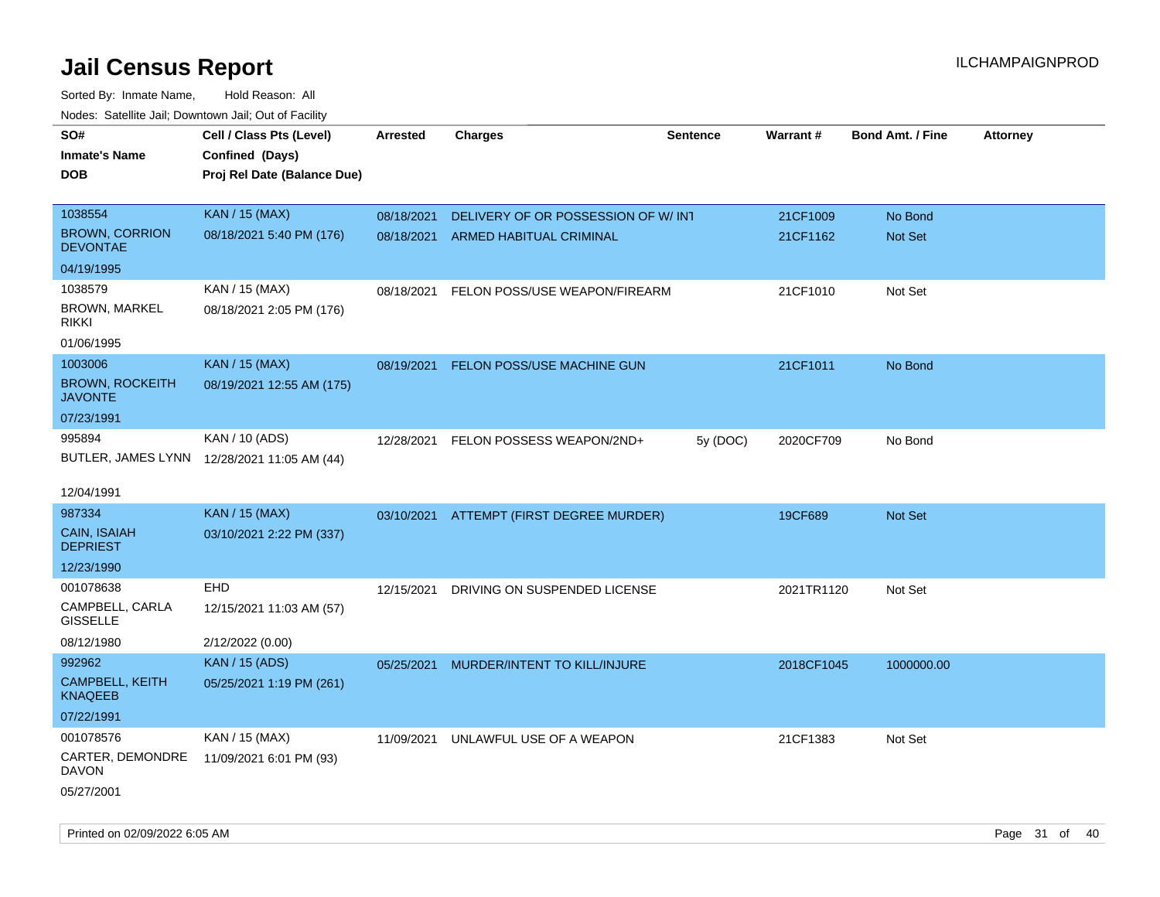Sorted By: Inmate Name, Hold Reason: All Nodes: Satellite Jail; Downtown Jail; Out of Facility

| roaco. Oatomto dan, Downtown dan, Oat or Fability |                                             |                 |                                     |                 |            |                         |                 |
|---------------------------------------------------|---------------------------------------------|-----------------|-------------------------------------|-----------------|------------|-------------------------|-----------------|
| SO#                                               | Cell / Class Pts (Level)                    | <b>Arrested</b> | <b>Charges</b>                      | <b>Sentence</b> | Warrant#   | <b>Bond Amt. / Fine</b> | <b>Attorney</b> |
| <b>Inmate's Name</b>                              | Confined (Days)                             |                 |                                     |                 |            |                         |                 |
| <b>DOB</b>                                        | Proj Rel Date (Balance Due)                 |                 |                                     |                 |            |                         |                 |
|                                                   |                                             |                 |                                     |                 |            |                         |                 |
| 1038554                                           | <b>KAN / 15 (MAX)</b>                       | 08/18/2021      | DELIVERY OF OR POSSESSION OF W/ INT |                 | 21CF1009   | No Bond                 |                 |
| <b>BROWN, CORRION</b><br><b>DEVONTAE</b>          | 08/18/2021 5:40 PM (176)                    | 08/18/2021      | ARMED HABITUAL CRIMINAL             |                 | 21CF1162   | Not Set                 |                 |
| 04/19/1995                                        |                                             |                 |                                     |                 |            |                         |                 |
| 1038579                                           | KAN / 15 (MAX)                              | 08/18/2021      | FELON POSS/USE WEAPON/FIREARM       |                 | 21CF1010   | Not Set                 |                 |
| <b>BROWN, MARKEL</b><br><b>RIKKI</b>              | 08/18/2021 2:05 PM (176)                    |                 |                                     |                 |            |                         |                 |
| 01/06/1995                                        |                                             |                 |                                     |                 |            |                         |                 |
| 1003006                                           | <b>KAN / 15 (MAX)</b>                       | 08/19/2021      | FELON POSS/USE MACHINE GUN          |                 | 21CF1011   | No Bond                 |                 |
| <b>BROWN, ROCKEITH</b><br><b>JAVONTE</b>          | 08/19/2021 12:55 AM (175)                   |                 |                                     |                 |            |                         |                 |
| 07/23/1991                                        |                                             |                 |                                     |                 |            |                         |                 |
| 995894                                            | KAN / 10 (ADS)                              | 12/28/2021      | FELON POSSESS WEAPON/2ND+           | 5y (DOC)        | 2020CF709  | No Bond                 |                 |
|                                                   | BUTLER, JAMES LYNN 12/28/2021 11:05 AM (44) |                 |                                     |                 |            |                         |                 |
|                                                   |                                             |                 |                                     |                 |            |                         |                 |
| 12/04/1991                                        |                                             |                 |                                     |                 |            |                         |                 |
| 987334                                            | KAN / 15 (MAX)                              | 03/10/2021      | ATTEMPT (FIRST DEGREE MURDER)       |                 | 19CF689    | Not Set                 |                 |
| CAIN, ISAIAH<br><b>DEPRIEST</b>                   | 03/10/2021 2:22 PM (337)                    |                 |                                     |                 |            |                         |                 |
| 12/23/1990                                        |                                             |                 |                                     |                 |            |                         |                 |
| 001078638                                         | EHD                                         | 12/15/2021      | DRIVING ON SUSPENDED LICENSE        |                 | 2021TR1120 | Not Set                 |                 |
| CAMPBELL, CARLA<br><b>GISSELLE</b>                | 12/15/2021 11:03 AM (57)                    |                 |                                     |                 |            |                         |                 |
| 08/12/1980                                        | 2/12/2022 (0.00)                            |                 |                                     |                 |            |                         |                 |
| 992962                                            | <b>KAN / 15 (ADS)</b>                       | 05/25/2021      | MURDER/INTENT TO KILL/INJURE        |                 | 2018CF1045 | 1000000.00              |                 |
| CAMPBELL, KEITH<br><b>KNAQEEB</b>                 | 05/25/2021 1:19 PM (261)                    |                 |                                     |                 |            |                         |                 |
| 07/22/1991                                        |                                             |                 |                                     |                 |            |                         |                 |
| 001078576                                         | KAN / 15 (MAX)                              | 11/09/2021      | UNLAWFUL USE OF A WEAPON            |                 | 21CF1383   | Not Set                 |                 |
| CARTER, DEMONDRE<br><b>DAVON</b>                  | 11/09/2021 6:01 PM (93)                     |                 |                                     |                 |            |                         |                 |
| 05/27/2001                                        |                                             |                 |                                     |                 |            |                         |                 |

Printed on 02/09/2022 6:05 AM Page 31 of 40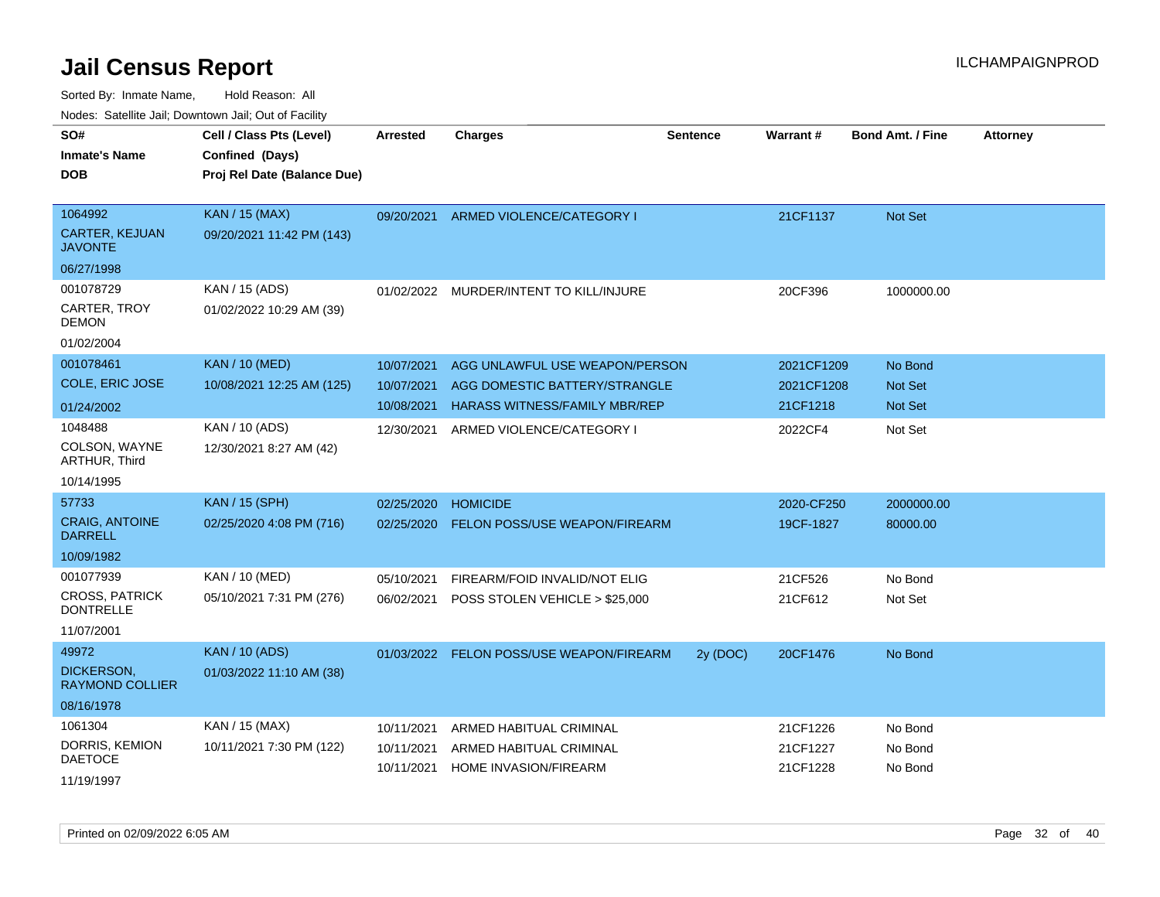| SO#<br><b>Inmate's Name</b>                 | Cell / Class Pts (Level)<br>Confined (Days) | <b>Arrested</b> | <b>Charges</b>                 | <b>Sentence</b> | Warrant#   | <b>Bond Amt. / Fine</b> | <b>Attorney</b> |
|---------------------------------------------|---------------------------------------------|-----------------|--------------------------------|-----------------|------------|-------------------------|-----------------|
| <b>DOB</b>                                  | Proj Rel Date (Balance Due)                 |                 |                                |                 |            |                         |                 |
| 1064992                                     | <b>KAN / 15 (MAX)</b>                       | 09/20/2021      | ARMED VIOLENCE/CATEGORY I      |                 | 21CF1137   | <b>Not Set</b>          |                 |
| <b>CARTER, KEJUAN</b><br>JAVONTE            | 09/20/2021 11:42 PM (143)                   |                 |                                |                 |            |                         |                 |
| 06/27/1998                                  |                                             |                 |                                |                 |            |                         |                 |
| 001078729                                   | KAN / 15 (ADS)                              | 01/02/2022      | MURDER/INTENT TO KILL/INJURE   |                 | 20CF396    | 1000000.00              |                 |
| CARTER, TROY<br>DEMON                       | 01/02/2022 10:29 AM (39)                    |                 |                                |                 |            |                         |                 |
| 01/02/2004                                  |                                             |                 |                                |                 |            |                         |                 |
| 001078461                                   | <b>KAN / 10 (MED)</b>                       | 10/07/2021      | AGG UNLAWFUL USE WEAPON/PERSON |                 | 2021CF1209 | No Bond                 |                 |
| COLE, ERIC JOSE                             | 10/08/2021 12:25 AM (125)                   | 10/07/2021      | AGG DOMESTIC BATTERY/STRANGLE  |                 | 2021CF1208 | <b>Not Set</b>          |                 |
| 01/24/2002                                  |                                             | 10/08/2021      | HARASS WITNESS/FAMILY MBR/REP  |                 | 21CF1218   | <b>Not Set</b>          |                 |
| 1048488                                     | KAN / 10 (ADS)                              | 12/30/2021      | ARMED VIOLENCE/CATEGORY I      |                 | 2022CF4    | Not Set                 |                 |
| COLSON, WAYNE<br><b>ARTHUR, Third</b>       | 12/30/2021 8:27 AM (42)                     |                 |                                |                 |            |                         |                 |
| 10/14/1995                                  |                                             |                 |                                |                 |            |                         |                 |
| 57733                                       | KAN / 15 (SPH)                              | 02/25/2020      | <b>HOMICIDE</b>                |                 | 2020-CF250 | 2000000.00              |                 |
| <b>CRAIG, ANTOINE</b><br>DARRELL            | 02/25/2020 4:08 PM (716)                    | 02/25/2020      | FELON POSS/USE WEAPON/FIREARM  |                 | 19CF-1827  | 80000.00                |                 |
| 10/09/1982                                  |                                             |                 |                                |                 |            |                         |                 |
| 001077939                                   | KAN / 10 (MED)                              | 05/10/2021      | FIREARM/FOID INVALID/NOT ELIG  |                 | 21CF526    | No Bond                 |                 |
| <b>CROSS, PATRICK</b><br><b>DONTRELLE</b>   | 05/10/2021 7:31 PM (276)                    | 06/02/2021      | POSS STOLEN VEHICLE > \$25,000 |                 | 21CF612    | Not Set                 |                 |
| 11/07/2001                                  |                                             |                 |                                |                 |            |                         |                 |
| 49972                                       | <b>KAN / 10 (ADS)</b>                       | 01/03/2022      | FELON POSS/USE WEAPON/FIREARM  | 2y (DOC)        | 20CF1476   | No Bond                 |                 |
| <b>DICKERSON,</b><br><b>RAYMOND COLLIER</b> | 01/03/2022 11:10 AM (38)                    |                 |                                |                 |            |                         |                 |
| 08/16/1978                                  |                                             |                 |                                |                 |            |                         |                 |
| 1061304                                     | KAN / 15 (MAX)                              | 10/11/2021      | ARMED HABITUAL CRIMINAL        |                 | 21CF1226   | No Bond                 |                 |
| DORRIS, KEMION<br>DAETOCE                   | 10/11/2021 7:30 PM (122)                    | 10/11/2021      | ARMED HABITUAL CRIMINAL        |                 | 21CF1227   | No Bond                 |                 |
| 11/19/1997                                  |                                             | 10/11/2021      | <b>HOME INVASION/FIREARM</b>   |                 | 21CF1228   | No Bond                 |                 |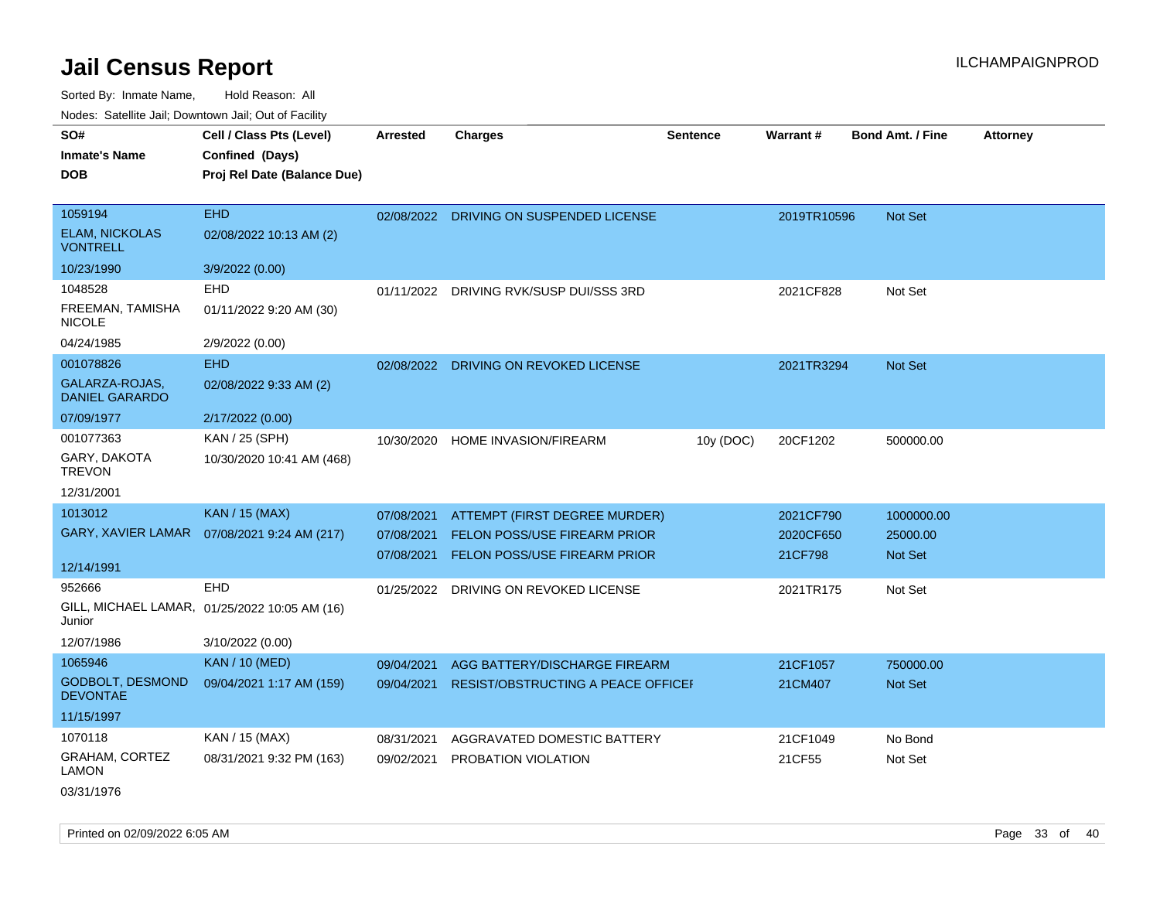Sorted By: Inmate Name, Hold Reason: All

|  |  | Nodes: Satellite Jail; Downtown Jail; Out of Facility |
|--|--|-------------------------------------------------------|
|--|--|-------------------------------------------------------|

| SO#<br><b>Inmate's Name</b>              | Cell / Class Pts (Level)<br>Confined (Days)   | <b>Arrested</b> | Charges                                   | Sentence  | <b>Warrant#</b> | <b>Bond Amt. / Fine</b> | <b>Attorney</b> |
|------------------------------------------|-----------------------------------------------|-----------------|-------------------------------------------|-----------|-----------------|-------------------------|-----------------|
| <b>DOB</b>                               | Proj Rel Date (Balance Due)                   |                 |                                           |           |                 |                         |                 |
| 1059194                                  | <b>EHD</b>                                    | 02/08/2022      | DRIVING ON SUSPENDED LICENSE              |           | 2019TR10596     | Not Set                 |                 |
| <b>ELAM, NICKOLAS</b><br><b>VONTRELL</b> | 02/08/2022 10:13 AM (2)                       |                 |                                           |           |                 |                         |                 |
| 10/23/1990                               | 3/9/2022 (0.00)                               |                 |                                           |           |                 |                         |                 |
| 1048528                                  | <b>EHD</b>                                    | 01/11/2022      | DRIVING RVK/SUSP DUI/SSS 3RD              |           | 2021CF828       | Not Set                 |                 |
| FREEMAN, TAMISHA<br><b>NICOLE</b>        | 01/11/2022 9:20 AM (30)                       |                 |                                           |           |                 |                         |                 |
| 04/24/1985                               | 2/9/2022 (0.00)                               |                 |                                           |           |                 |                         |                 |
| 001078826                                | <b>EHD</b>                                    | 02/08/2022      | DRIVING ON REVOKED LICENSE                |           | 2021TR3294      | Not Set                 |                 |
| GALARZA-ROJAS,<br><b>DANIEL GARARDO</b>  | 02/08/2022 9:33 AM (2)                        |                 |                                           |           |                 |                         |                 |
| 07/09/1977                               | 2/17/2022 (0.00)                              |                 |                                           |           |                 |                         |                 |
| 001077363                                | KAN / 25 (SPH)                                | 10/30/2020      | HOME INVASION/FIREARM                     | 10y (DOC) | 20CF1202        | 500000.00               |                 |
| GARY, DAKOTA<br><b>TREVON</b>            | 10/30/2020 10:41 AM (468)                     |                 |                                           |           |                 |                         |                 |
| 12/31/2001                               |                                               |                 |                                           |           |                 |                         |                 |
| 1013012                                  | <b>KAN / 15 (MAX)</b>                         | 07/08/2021      | ATTEMPT (FIRST DEGREE MURDER)             |           | 2021CF790       | 1000000.00              |                 |
| GARY, XAVIER LAMAR                       | 07/08/2021 9:24 AM (217)                      | 07/08/2021      | <b>FELON POSS/USE FIREARM PRIOR</b>       |           | 2020CF650       | 25000.00                |                 |
|                                          |                                               | 07/08/2021      | <b>FELON POSS/USE FIREARM PRIOR</b>       |           | 21CF798         | <b>Not Set</b>          |                 |
| 12/14/1991                               |                                               |                 |                                           |           |                 |                         |                 |
| 952666                                   | EHD                                           | 01/25/2022      | DRIVING ON REVOKED LICENSE                |           | 2021TR175       | Not Set                 |                 |
| Junior                                   | GILL, MICHAEL LAMAR, 01/25/2022 10:05 AM (16) |                 |                                           |           |                 |                         |                 |
| 12/07/1986                               | 3/10/2022 (0.00)                              |                 |                                           |           |                 |                         |                 |
| 1065946                                  | <b>KAN / 10 (MED)</b>                         | 09/04/2021      | AGG BATTERY/DISCHARGE FIREARM             |           | 21CF1057        | 750000.00               |                 |
| GODBOLT, DESMOND<br><b>DEVONTAE</b>      | 09/04/2021 1:17 AM (159)                      | 09/04/2021      | <b>RESIST/OBSTRUCTING A PEACE OFFICEF</b> |           | 21CM407         | Not Set                 |                 |
| 11/15/1997                               |                                               |                 |                                           |           |                 |                         |                 |
| 1070118                                  | KAN / 15 (MAX)                                | 08/31/2021      | AGGRAVATED DOMESTIC BATTERY               |           | 21CF1049        | No Bond                 |                 |
| GRAHAM, CORTEZ<br>LAMON                  | 08/31/2021 9:32 PM (163)                      | 09/02/2021      | PROBATION VIOLATION                       |           | 21CF55          | Not Set                 |                 |
| 03/31/1976                               |                                               |                 |                                           |           |                 |                         |                 |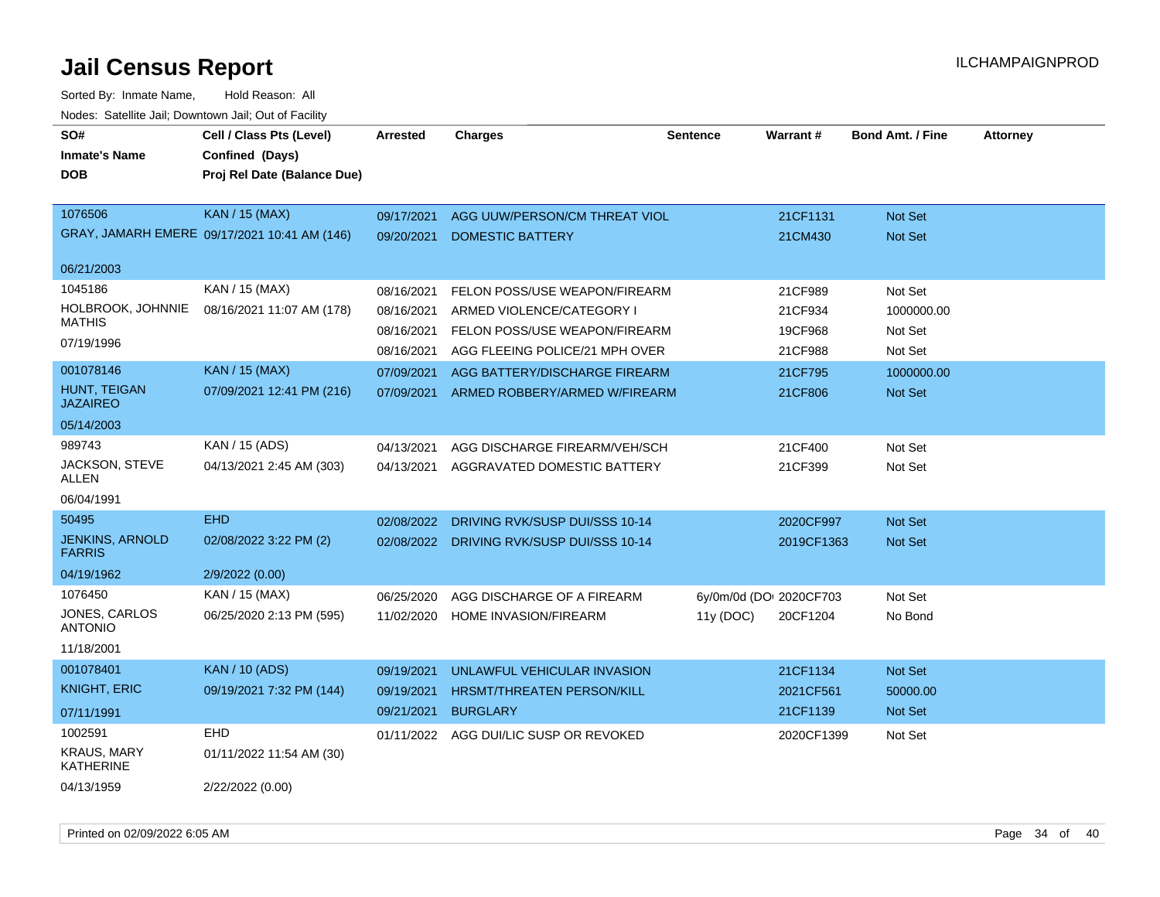| SO#<br><b>Inmate's Name</b><br><b>DOB</b> | Cell / Class Pts (Level)<br>Confined (Days)<br>Proj Rel Date (Balance Due) | <b>Arrested</b>          | <b>Charges</b>                                           | <b>Sentence</b>         | <b>Warrant#</b>     | <b>Bond Amt. / Fine</b>   | <b>Attorney</b> |
|-------------------------------------------|----------------------------------------------------------------------------|--------------------------|----------------------------------------------------------|-------------------------|---------------------|---------------------------|-----------------|
| 1076506                                   | KAN / 15 (MAX)<br>GRAY, JAMARH EMERE 09/17/2021 10:41 AM (146)             | 09/17/2021<br>09/20/2021 | AGG UUW/PERSON/CM THREAT VIOL<br><b>DOMESTIC BATTERY</b> |                         | 21CF1131<br>21CM430 | <b>Not Set</b><br>Not Set |                 |
| 06/21/2003                                |                                                                            |                          |                                                          |                         |                     |                           |                 |
| 1045186                                   | KAN / 15 (MAX)                                                             | 08/16/2021               | FELON POSS/USE WEAPON/FIREARM                            |                         | 21CF989             | Not Set                   |                 |
| HOLBROOK, JOHNNIE                         | 08/16/2021 11:07 AM (178)                                                  | 08/16/2021               | ARMED VIOLENCE/CATEGORY I                                |                         | 21CF934             | 1000000.00                |                 |
| <b>MATHIS</b>                             |                                                                            | 08/16/2021               | FELON POSS/USE WEAPON/FIREARM                            |                         | 19CF968             | Not Set                   |                 |
| 07/19/1996                                |                                                                            | 08/16/2021               | AGG FLEEING POLICE/21 MPH OVER                           |                         | 21CF988             | Not Set                   |                 |
| 001078146                                 | <b>KAN / 15 (MAX)</b>                                                      | 07/09/2021               | AGG BATTERY/DISCHARGE FIREARM                            |                         | 21CF795             | 1000000.00                |                 |
| HUNT, TEIGAN<br><b>JAZAIREO</b>           | 07/09/2021 12:41 PM (216)                                                  | 07/09/2021               | ARMED ROBBERY/ARMED W/FIREARM                            |                         | 21CF806             | Not Set                   |                 |
| 05/14/2003                                |                                                                            |                          |                                                          |                         |                     |                           |                 |
| 989743                                    | KAN / 15 (ADS)                                                             | 04/13/2021               | AGG DISCHARGE FIREARM/VEH/SCH                            |                         | 21CF400             | Not Set                   |                 |
| JACKSON, STEVE<br>ALLEN                   | 04/13/2021 2:45 AM (303)                                                   | 04/13/2021               | AGGRAVATED DOMESTIC BATTERY                              |                         | 21CF399             | Not Set                   |                 |
| 06/04/1991                                |                                                                            |                          |                                                          |                         |                     |                           |                 |
| 50495                                     | <b>EHD</b>                                                                 | 02/08/2022               | DRIVING RVK/SUSP DUI/SSS 10-14                           |                         | 2020CF997           | <b>Not Set</b>            |                 |
| <b>JENKINS, ARNOLD</b><br><b>FARRIS</b>   | 02/08/2022 3:22 PM (2)                                                     |                          | 02/08/2022 DRIVING RVK/SUSP DUI/SSS 10-14                |                         | 2019CF1363          | <b>Not Set</b>            |                 |
| 04/19/1962                                | 2/9/2022 (0.00)                                                            |                          |                                                          |                         |                     |                           |                 |
| 1076450                                   | KAN / 15 (MAX)                                                             | 06/25/2020               | AGG DISCHARGE OF A FIREARM                               | 6y/0m/0d (DOI 2020CF703 |                     | Not Set                   |                 |
| JONES, CARLOS<br><b>ANTONIO</b>           | 06/25/2020 2:13 PM (595)                                                   | 11/02/2020               | HOME INVASION/FIREARM                                    | 11y (DOC)               | 20CF1204            | No Bond                   |                 |
| 11/18/2001                                |                                                                            |                          |                                                          |                         |                     |                           |                 |
| 001078401                                 | <b>KAN / 10 (ADS)</b>                                                      | 09/19/2021               | UNLAWFUL VEHICULAR INVASION                              |                         | 21CF1134            | Not Set                   |                 |
| <b>KNIGHT, ERIC</b>                       | 09/19/2021 7:32 PM (144)                                                   | 09/19/2021               | <b>HRSMT/THREATEN PERSON/KILL</b>                        |                         | 2021CF561           | 50000.00                  |                 |
| 07/11/1991                                |                                                                            | 09/21/2021               | <b>BURGLARY</b>                                          |                         | 21CF1139            | Not Set                   |                 |
| 1002591                                   | <b>EHD</b>                                                                 | 01/11/2022               | AGG DUI/LIC SUSP OR REVOKED                              |                         | 2020CF1399          | Not Set                   |                 |
| <b>KRAUS, MARY</b><br><b>KATHERINE</b>    | 01/11/2022 11:54 AM (30)                                                   |                          |                                                          |                         |                     |                           |                 |
| 04/13/1959                                | 2/22/2022 (0.00)                                                           |                          |                                                          |                         |                     |                           |                 |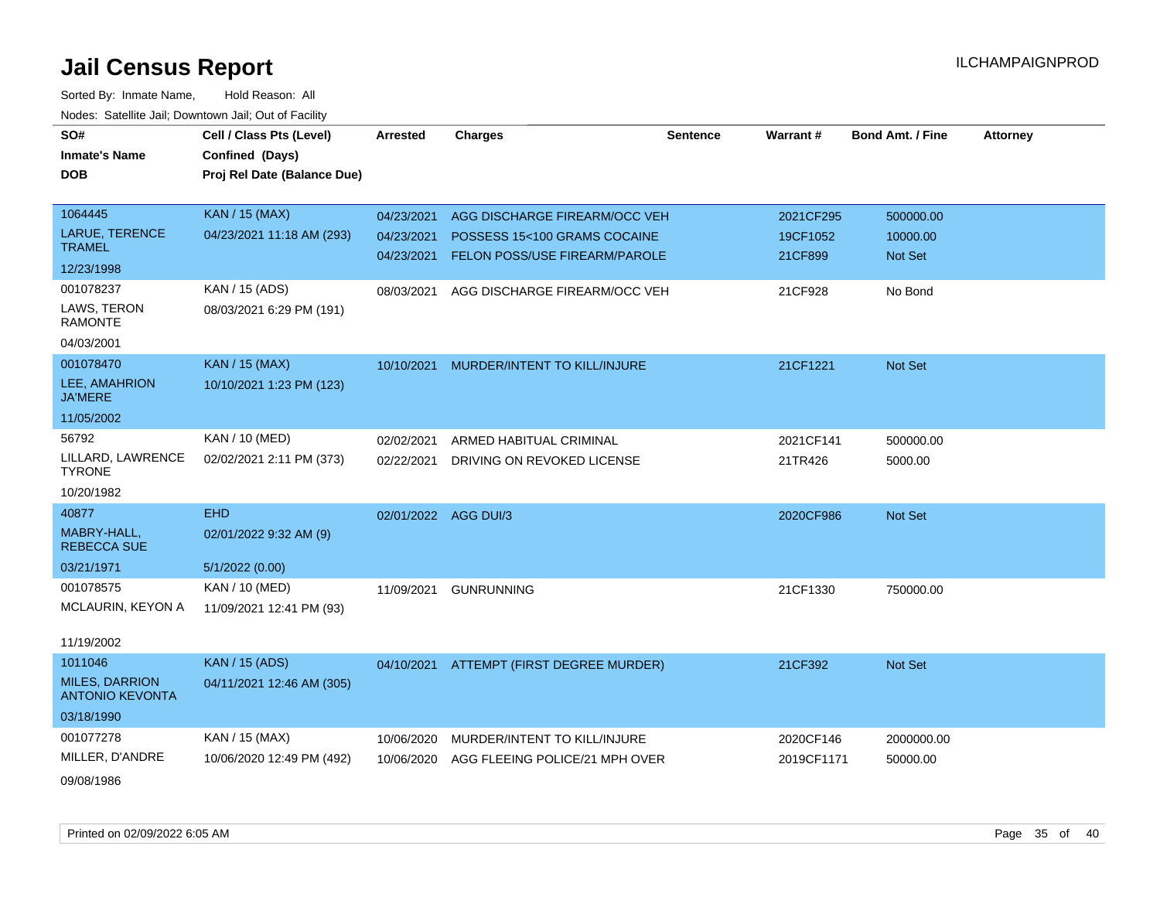| SO#                                             | Cell / Class Pts (Level)    | <b>Arrested</b>      | <b>Charges</b>                           | <b>Sentence</b> | Warrant#   | <b>Bond Amt. / Fine</b> | <b>Attorney</b> |
|-------------------------------------------------|-----------------------------|----------------------|------------------------------------------|-----------------|------------|-------------------------|-----------------|
| <b>Inmate's Name</b>                            | Confined (Days)             |                      |                                          |                 |            |                         |                 |
| <b>DOB</b>                                      | Proj Rel Date (Balance Due) |                      |                                          |                 |            |                         |                 |
|                                                 |                             |                      |                                          |                 |            |                         |                 |
| 1064445                                         | <b>KAN / 15 (MAX)</b>       | 04/23/2021           | AGG DISCHARGE FIREARM/OCC VEH            |                 | 2021CF295  | 500000.00               |                 |
| LARUE, TERENCE                                  | 04/23/2021 11:18 AM (293)   | 04/23/2021           | POSSESS 15<100 GRAMS COCAINE             |                 | 19CF1052   | 10000.00                |                 |
| <b>TRAMEL</b>                                   |                             | 04/23/2021           | FELON POSS/USE FIREARM/PAROLE            |                 | 21CF899    | Not Set                 |                 |
| 12/23/1998                                      |                             |                      |                                          |                 |            |                         |                 |
| 001078237                                       | KAN / 15 (ADS)              | 08/03/2021           | AGG DISCHARGE FIREARM/OCC VEH            |                 | 21CF928    | No Bond                 |                 |
| LAWS, TERON<br><b>RAMONTE</b>                   | 08/03/2021 6:29 PM (191)    |                      |                                          |                 |            |                         |                 |
| 04/03/2001                                      |                             |                      |                                          |                 |            |                         |                 |
| 001078470                                       | <b>KAN / 15 (MAX)</b>       | 10/10/2021           | MURDER/INTENT TO KILL/INJURE             |                 | 21CF1221   | Not Set                 |                 |
| LEE, AMAHRION<br><b>JA'MERE</b>                 | 10/10/2021 1:23 PM (123)    |                      |                                          |                 |            |                         |                 |
| 11/05/2002                                      |                             |                      |                                          |                 |            |                         |                 |
| 56792                                           | KAN / 10 (MED)              | 02/02/2021           | ARMED HABITUAL CRIMINAL                  |                 | 2021CF141  | 500000.00               |                 |
| LILLARD, LAWRENCE<br><b>TYRONE</b>              | 02/02/2021 2:11 PM (373)    | 02/22/2021           | DRIVING ON REVOKED LICENSE               |                 | 21TR426    | 5000.00                 |                 |
| 10/20/1982                                      |                             |                      |                                          |                 |            |                         |                 |
| 40877                                           | <b>EHD</b>                  | 02/01/2022 AGG DUI/3 |                                          |                 | 2020CF986  | Not Set                 |                 |
| MABRY-HALL,<br><b>REBECCA SUE</b>               | 02/01/2022 9:32 AM (9)      |                      |                                          |                 |            |                         |                 |
| 03/21/1971                                      | 5/1/2022(0.00)              |                      |                                          |                 |            |                         |                 |
| 001078575                                       | KAN / 10 (MED)              | 11/09/2021           | <b>GUNRUNNING</b>                        |                 | 21CF1330   | 750000.00               |                 |
| MCLAURIN, KEYON A                               | 11/09/2021 12:41 PM (93)    |                      |                                          |                 |            |                         |                 |
|                                                 |                             |                      |                                          |                 |            |                         |                 |
| 11/19/2002                                      |                             |                      |                                          |                 |            |                         |                 |
| 1011046                                         | <b>KAN</b> / 15 (ADS)       |                      | 04/10/2021 ATTEMPT (FIRST DEGREE MURDER) |                 | 21CF392    | Not Set                 |                 |
| <b>MILES, DARRION</b><br><b>ANTONIO KEVONTA</b> | 04/11/2021 12:46 AM (305)   |                      |                                          |                 |            |                         |                 |
| 03/18/1990                                      |                             |                      |                                          |                 |            |                         |                 |
| 001077278                                       | KAN / 15 (MAX)              | 10/06/2020           | MURDER/INTENT TO KILL/INJURE             |                 | 2020CF146  | 2000000.00              |                 |
| MILLER, D'ANDRE                                 | 10/06/2020 12:49 PM (492)   | 10/06/2020           | AGG FLEEING POLICE/21 MPH OVER           |                 | 2019CF1171 | 50000.00                |                 |
| 09/08/1986                                      |                             |                      |                                          |                 |            |                         |                 |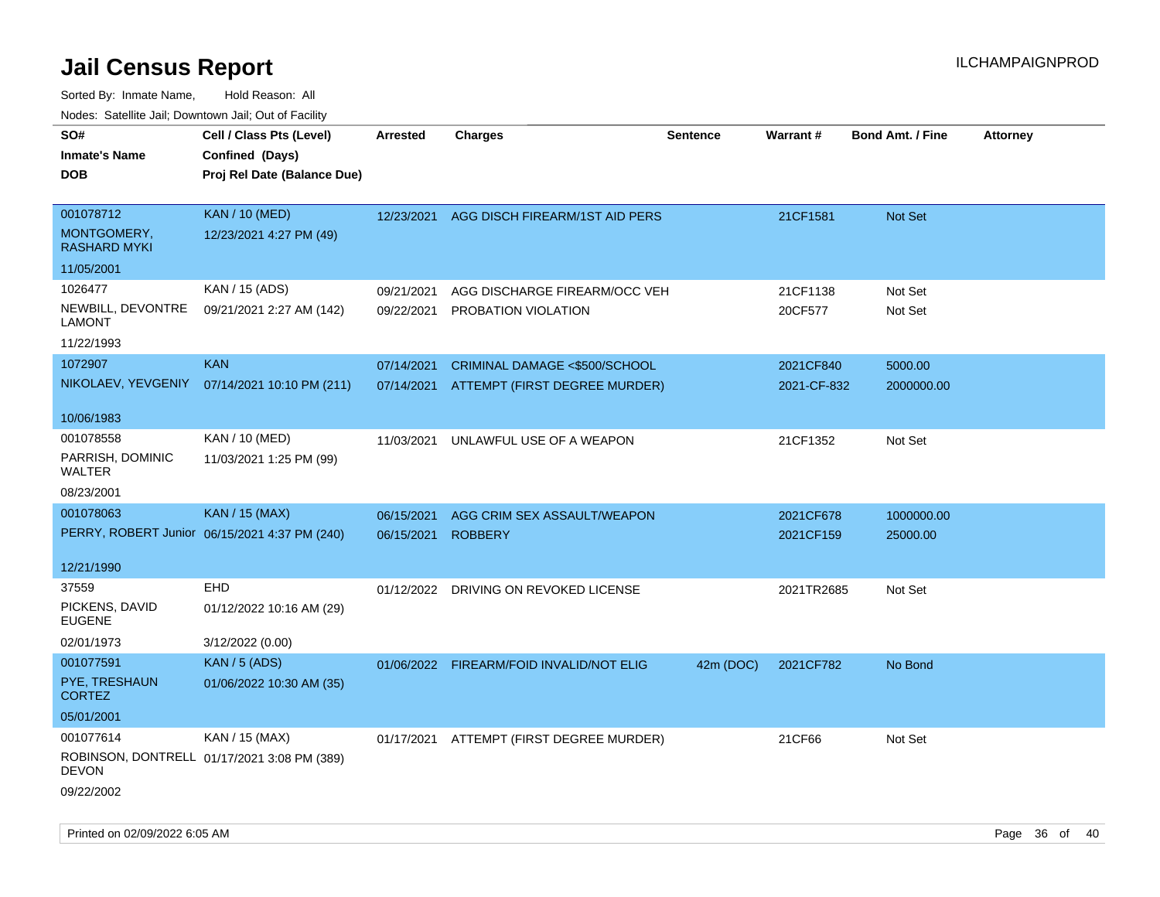| Proj Rel Date (Balance Due)<br><b>DOB</b>                                                                                                                                                                             |  |
|-----------------------------------------------------------------------------------------------------------------------------------------------------------------------------------------------------------------------|--|
| 001078712<br><b>KAN / 10 (MED)</b><br>12/23/2021<br>AGG DISCH FIREARM/1ST AID PERS<br>21CF1581<br>Not Set<br>MONTGOMERY,<br>12/23/2021 4:27 PM (49)<br><b>RASHARD MYKI</b>                                            |  |
| 11/05/2001                                                                                                                                                                                                            |  |
| 1026477<br>KAN / 15 (ADS)<br>AGG DISCHARGE FIREARM/OCC VEH<br>21CF1138<br>Not Set<br>09/21/2021<br>NEWBILL, DEVONTRE<br>09/21/2021 2:27 AM (142)<br>PROBATION VIOLATION<br>20CF577<br>Not Set<br>09/22/2021<br>LAMONT |  |
| 11/22/1993<br><b>KAN</b>                                                                                                                                                                                              |  |
| 1072907<br>07/14/2021<br>CRIMINAL DAMAGE <\$500/SCHOOL<br>2021CF840<br>5000.00<br>NIKOLAEV, YEVGENIY 07/14/2021 10:10 PM (211)<br>07/14/2021<br>ATTEMPT (FIRST DEGREE MURDER)<br>2000000.00<br>2021-CF-832            |  |
| 10/06/1983                                                                                                                                                                                                            |  |
| 001078558<br>KAN / 10 (MED)<br>21CF1352<br>Not Set<br>11/03/2021<br>UNLAWFUL USE OF A WEAPON<br>PARRISH, DOMINIC<br>11/03/2021 1:25 PM (99)<br><b>WALTER</b>                                                          |  |
| 08/23/2001                                                                                                                                                                                                            |  |
| 001078063<br><b>KAN / 15 (MAX)</b><br>AGG CRIM SEX ASSAULT/WEAPON<br>2021CF678<br>1000000.00<br>06/15/2021                                                                                                            |  |
| PERRY, ROBERT Junior 06/15/2021 4:37 PM (240)<br>06/15/2021<br><b>ROBBERY</b><br>2021CF159<br>25000.00                                                                                                                |  |
| 12/21/1990                                                                                                                                                                                                            |  |
| 37559<br><b>EHD</b><br>Not Set<br>01/12/2022 DRIVING ON REVOKED LICENSE<br>2021TR2685<br>PICKENS, DAVID<br>01/12/2022 10:16 AM (29)<br><b>EUGENE</b><br>02/01/1973<br>3/12/2022 (0.00)                                |  |
| 001077591<br><b>KAN / 5 (ADS)</b><br>01/06/2022 FIREARM/FOID INVALID/NOT ELIG<br>42m (DOC)<br>2021CF782<br>No Bond                                                                                                    |  |
| PYE, TRESHAUN<br>01/06/2022 10:30 AM (35)<br><b>CORTEZ</b>                                                                                                                                                            |  |
| 05/01/2001                                                                                                                                                                                                            |  |
| 001077614<br>KAN / 15 (MAX)<br>Not Set<br>01/17/2021 ATTEMPT (FIRST DEGREE MURDER)<br>21CF66<br>ROBINSON, DONTRELL 01/17/2021 3:08 PM (389)<br>DEVON<br>09/22/2002                                                    |  |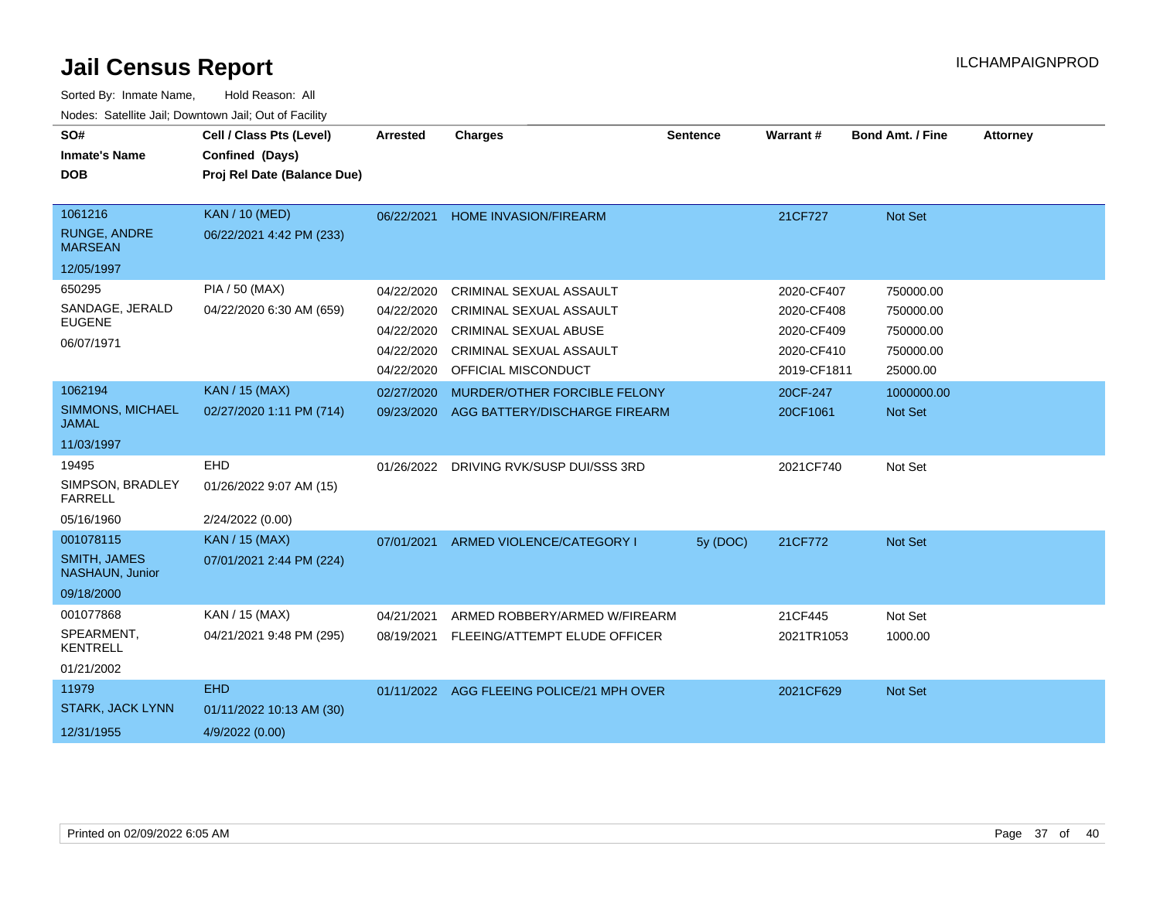| SO#<br><b>Inmate's Name</b><br><b>DOB</b>                         | Cell / Class Pts (Level)<br>Confined (Days)<br>Proj Rel Date (Balance Due) | <b>Arrested</b>                                                    | <b>Charges</b>                                                                                                                                     | <b>Sentence</b> | <b>Warrant#</b>                                                     | <b>Bond Amt. / Fine</b>                                      | <b>Attorney</b> |
|-------------------------------------------------------------------|----------------------------------------------------------------------------|--------------------------------------------------------------------|----------------------------------------------------------------------------------------------------------------------------------------------------|-----------------|---------------------------------------------------------------------|--------------------------------------------------------------|-----------------|
| 1061216<br>RUNGE, ANDRE<br><b>MARSEAN</b><br>12/05/1997           | <b>KAN / 10 (MED)</b><br>06/22/2021 4:42 PM (233)                          | 06/22/2021                                                         | <b>HOME INVASION/FIREARM</b>                                                                                                                       |                 | 21CF727                                                             | Not Set                                                      |                 |
| 650295<br>SANDAGE, JERALD<br><b>EUGENE</b><br>06/07/1971          | PIA / 50 (MAX)<br>04/22/2020 6:30 AM (659)                                 | 04/22/2020<br>04/22/2020<br>04/22/2020<br>04/22/2020<br>04/22/2020 | CRIMINAL SEXUAL ASSAULT<br><b>CRIMINAL SEXUAL ASSAULT</b><br><b>CRIMINAL SEXUAL ABUSE</b><br><b>CRIMINAL SEXUAL ASSAULT</b><br>OFFICIAL MISCONDUCT |                 | 2020-CF407<br>2020-CF408<br>2020-CF409<br>2020-CF410<br>2019-CF1811 | 750000.00<br>750000.00<br>750000.00<br>750000.00<br>25000.00 |                 |
| 1062194<br>SIMMONS, MICHAEL<br><b>JAMAL</b><br>11/03/1997         | <b>KAN / 15 (MAX)</b><br>02/27/2020 1:11 PM (714)                          | 02/27/2020<br>09/23/2020                                           | MURDER/OTHER FORCIBLE FELONY<br>AGG BATTERY/DISCHARGE FIREARM                                                                                      |                 | 20CF-247<br>20CF1061                                                | 1000000.00<br>Not Set                                        |                 |
| 19495<br>SIMPSON, BRADLEY<br><b>FARRELL</b><br>05/16/1960         | <b>EHD</b><br>01/26/2022 9:07 AM (15)<br>2/24/2022 (0.00)                  |                                                                    | 01/26/2022 DRIVING RVK/SUSP DUI/SSS 3RD                                                                                                            |                 | 2021CF740                                                           | Not Set                                                      |                 |
| 001078115<br><b>SMITH, JAMES</b><br>NASHAUN, Junior<br>09/18/2000 | <b>KAN / 15 (MAX)</b><br>07/01/2021 2:44 PM (224)                          | 07/01/2021                                                         | ARMED VIOLENCE/CATEGORY I                                                                                                                          | 5y (DOC)        | 21CF772                                                             | Not Set                                                      |                 |
| 001077868<br>SPEARMENT,<br><b>KENTRELL</b><br>01/21/2002          | KAN / 15 (MAX)<br>04/21/2021 9:48 PM (295)                                 | 04/21/2021<br>08/19/2021                                           | ARMED ROBBERY/ARMED W/FIREARM<br>FLEEING/ATTEMPT ELUDE OFFICER                                                                                     |                 | 21CF445<br>2021TR1053                                               | Not Set<br>1000.00                                           |                 |
| 11979<br><b>STARK, JACK LYNN</b><br>12/31/1955                    | <b>EHD</b><br>01/11/2022 10:13 AM (30)<br>4/9/2022 (0.00)                  |                                                                    | 01/11/2022 AGG FLEEING POLICE/21 MPH OVER                                                                                                          |                 | 2021CF629                                                           | Not Set                                                      |                 |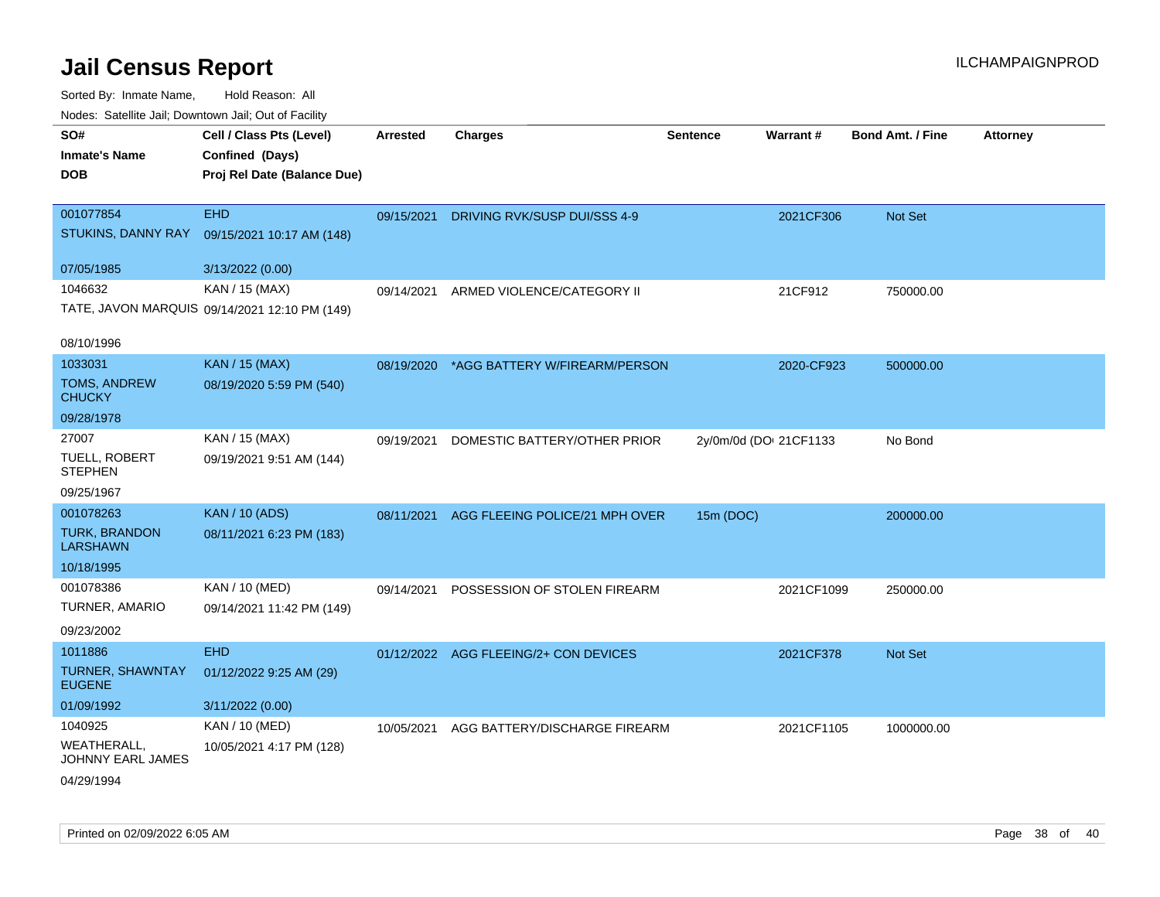| rouco. Calcillo Jali, Downtown Jali, Out of Facility |                                               |                 |                                       |                        |                 |                         |                 |
|------------------------------------------------------|-----------------------------------------------|-----------------|---------------------------------------|------------------------|-----------------|-------------------------|-----------------|
| SO#                                                  | Cell / Class Pts (Level)                      | <b>Arrested</b> | <b>Charges</b>                        | <b>Sentence</b>        | <b>Warrant#</b> | <b>Bond Amt. / Fine</b> | <b>Attorney</b> |
| <b>Inmate's Name</b>                                 | Confined (Days)                               |                 |                                       |                        |                 |                         |                 |
| <b>DOB</b>                                           | Proj Rel Date (Balance Due)                   |                 |                                       |                        |                 |                         |                 |
|                                                      |                                               |                 |                                       |                        |                 |                         |                 |
| 001077854                                            | <b>EHD</b>                                    | 09/15/2021      | DRIVING RVK/SUSP DUI/SSS 4-9          |                        | 2021CF306       | Not Set                 |                 |
| STUKINS, DANNY RAY                                   | 09/15/2021 10:17 AM (148)                     |                 |                                       |                        |                 |                         |                 |
| 07/05/1985                                           | 3/13/2022 (0.00)                              |                 |                                       |                        |                 |                         |                 |
| 1046632                                              | KAN / 15 (MAX)                                | 09/14/2021      | ARMED VIOLENCE/CATEGORY II            |                        | 21CF912         | 750000.00               |                 |
|                                                      | TATE, JAVON MARQUIS 09/14/2021 12:10 PM (149) |                 |                                       |                        |                 |                         |                 |
|                                                      |                                               |                 |                                       |                        |                 |                         |                 |
| 08/10/1996                                           |                                               |                 |                                       |                        |                 |                         |                 |
| 1033031                                              | <b>KAN / 15 (MAX)</b>                         | 08/19/2020      | *AGG BATTERY W/FIREARM/PERSON         |                        | 2020-CF923      | 500000.00               |                 |
| <b>TOMS, ANDREW</b><br><b>CHUCKY</b>                 | 08/19/2020 5:59 PM (540)                      |                 |                                       |                        |                 |                         |                 |
| 09/28/1978                                           |                                               |                 |                                       |                        |                 |                         |                 |
| 27007                                                | KAN / 15 (MAX)                                | 09/19/2021      | DOMESTIC BATTERY/OTHER PRIOR          | 2y/0m/0d (DOI 21CF1133 |                 | No Bond                 |                 |
| <b>TUELL, ROBERT</b><br><b>STEPHEN</b>               | 09/19/2021 9:51 AM (144)                      |                 |                                       |                        |                 |                         |                 |
| 09/25/1967                                           |                                               |                 |                                       |                        |                 |                         |                 |
| 001078263                                            | <b>KAN / 10 (ADS)</b>                         | 08/11/2021      | AGG FLEEING POLICE/21 MPH OVER        | 15m (DOC)              |                 | 200000.00               |                 |
| <b>TURK, BRANDON</b><br><b>LARSHAWN</b>              | 08/11/2021 6:23 PM (183)                      |                 |                                       |                        |                 |                         |                 |
| 10/18/1995                                           |                                               |                 |                                       |                        |                 |                         |                 |
| 001078386                                            | KAN / 10 (MED)                                | 09/14/2021      | POSSESSION OF STOLEN FIREARM          |                        | 2021CF1099      | 250000.00               |                 |
| TURNER, AMARIO                                       | 09/14/2021 11:42 PM (149)                     |                 |                                       |                        |                 |                         |                 |
| 09/23/2002                                           |                                               |                 |                                       |                        |                 |                         |                 |
| 1011886                                              | <b>EHD</b>                                    |                 | 01/12/2022 AGG FLEEING/2+ CON DEVICES |                        | 2021CF378       | <b>Not Set</b>          |                 |
| TURNER, SHAWNTAY<br><b>EUGENE</b>                    | 01/12/2022 9:25 AM (29)                       |                 |                                       |                        |                 |                         |                 |
| 01/09/1992                                           | 3/11/2022 (0.00)                              |                 |                                       |                        |                 |                         |                 |
| 1040925                                              | KAN / 10 (MED)                                | 10/05/2021      | AGG BATTERY/DISCHARGE FIREARM         |                        | 2021CF1105      | 1000000.00              |                 |
| WEATHERALL,<br>JOHNNY EARL JAMES                     | 10/05/2021 4:17 PM (128)                      |                 |                                       |                        |                 |                         |                 |
| 04/29/1994                                           |                                               |                 |                                       |                        |                 |                         |                 |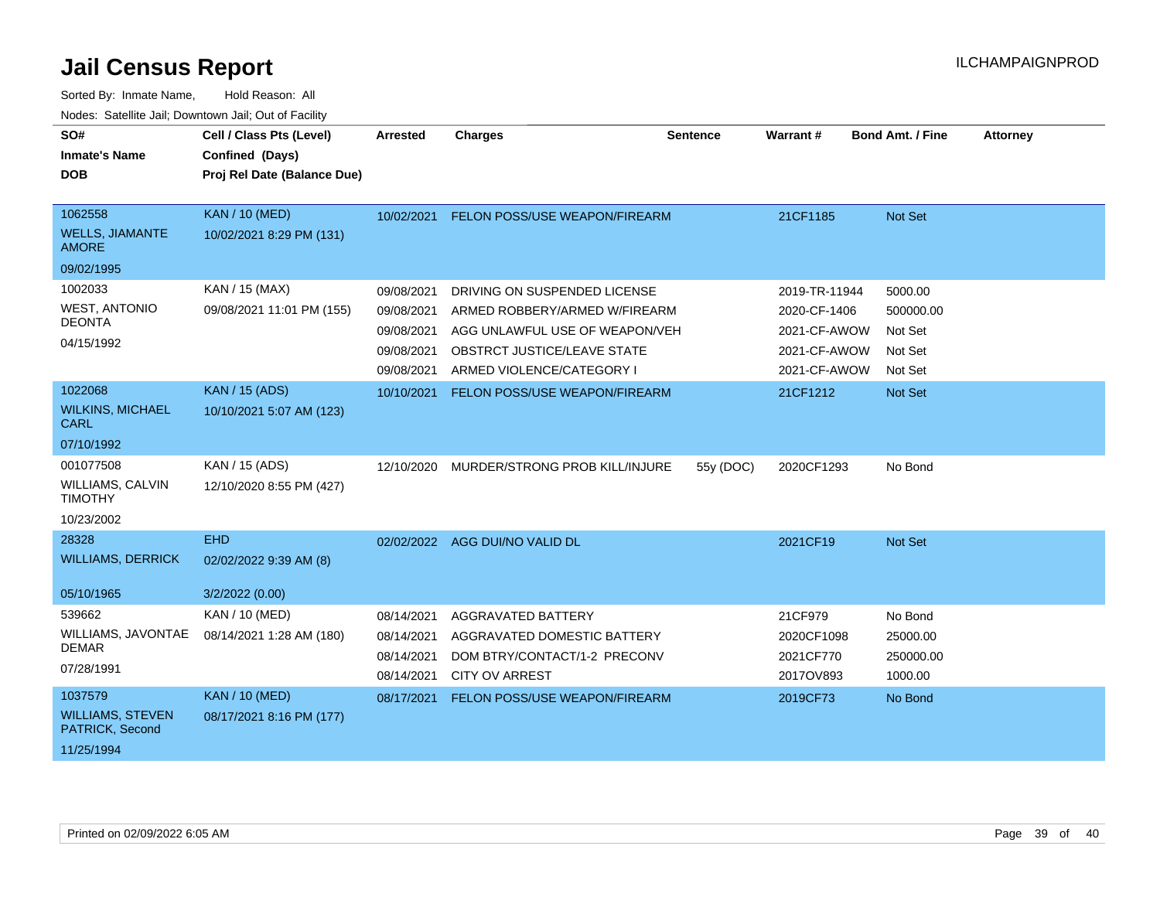| SO#<br><b>Inmate's Name</b><br><b>DOB</b>                            | Cell / Class Pts (Level)<br>Confined (Days)<br>Proj Rel Date (Balance Due) | <b>Arrested</b>                                                    | <b>Charges</b>                                                                                                                                              | <b>Sentence</b> | Warrant#                                                                      | <b>Bond Amt. / Fine</b>                               | <b>Attorney</b> |
|----------------------------------------------------------------------|----------------------------------------------------------------------------|--------------------------------------------------------------------|-------------------------------------------------------------------------------------------------------------------------------------------------------------|-----------------|-------------------------------------------------------------------------------|-------------------------------------------------------|-----------------|
| 1062558<br><b>WELLS, JIAMANTE</b><br><b>AMORE</b><br>09/02/1995      | <b>KAN / 10 (MED)</b><br>10/02/2021 8:29 PM (131)                          | 10/02/2021                                                         | FELON POSS/USE WEAPON/FIREARM                                                                                                                               |                 | 21CF1185                                                                      | Not Set                                               |                 |
| 1002033<br><b>WEST, ANTONIO</b><br><b>DEONTA</b><br>04/15/1992       | KAN / 15 (MAX)<br>09/08/2021 11:01 PM (155)                                | 09/08/2021<br>09/08/2021<br>09/08/2021<br>09/08/2021<br>09/08/2021 | DRIVING ON SUSPENDED LICENSE<br>ARMED ROBBERY/ARMED W/FIREARM<br>AGG UNLAWFUL USE OF WEAPON/VEH<br>OBSTRCT JUSTICE/LEAVE STATE<br>ARMED VIOLENCE/CATEGORY I |                 | 2019-TR-11944<br>2020-CF-1406<br>2021-CF-AWOW<br>2021-CF-AWOW<br>2021-CF-AWOW | 5000.00<br>500000.00<br>Not Set<br>Not Set<br>Not Set |                 |
| 1022068<br><b>WILKINS, MICHAEL</b><br><b>CARL</b><br>07/10/1992      | <b>KAN / 15 (ADS)</b><br>10/10/2021 5:07 AM (123)                          | 10/10/2021                                                         | <b>FELON POSS/USE WEAPON/FIREARM</b>                                                                                                                        |                 | 21CF1212                                                                      | Not Set                                               |                 |
| 001077508<br><b>WILLIAMS, CALVIN</b><br><b>TIMOTHY</b><br>10/23/2002 | KAN / 15 (ADS)<br>12/10/2020 8:55 PM (427)                                 | 12/10/2020                                                         | MURDER/STRONG PROB KILL/INJURE                                                                                                                              | 55y (DOC)       | 2020CF1293                                                                    | No Bond                                               |                 |
| 28328<br><b>WILLIAMS, DERRICK</b><br>05/10/1965                      | <b>EHD</b><br>02/02/2022 9:39 AM (8)<br>3/2/2022 (0.00)                    |                                                                    | 02/02/2022 AGG DUI/NO VALID DL                                                                                                                              |                 | 2021CF19                                                                      | Not Set                                               |                 |
| 539662<br>WILLIAMS, JAVONTAE<br><b>DEMAR</b><br>07/28/1991           | <b>KAN / 10 (MED)</b><br>08/14/2021 1:28 AM (180)                          | 08/14/2021<br>08/14/2021<br>08/14/2021<br>08/14/2021               | <b>AGGRAVATED BATTERY</b><br>AGGRAVATED DOMESTIC BATTERY<br>DOM BTRY/CONTACT/1-2 PRECONV<br><b>CITY OV ARREST</b>                                           |                 | 21CF979<br>2020CF1098<br>2021CF770<br>2017OV893                               | No Bond<br>25000.00<br>250000.00<br>1000.00           |                 |
| 1037579<br><b>WILLIAMS, STEVEN</b><br>PATRICK, Second<br>11/25/1994  | <b>KAN / 10 (MED)</b><br>08/17/2021 8:16 PM (177)                          | 08/17/2021                                                         | FELON POSS/USE WEAPON/FIREARM                                                                                                                               |                 | 2019CF73                                                                      | No Bond                                               |                 |